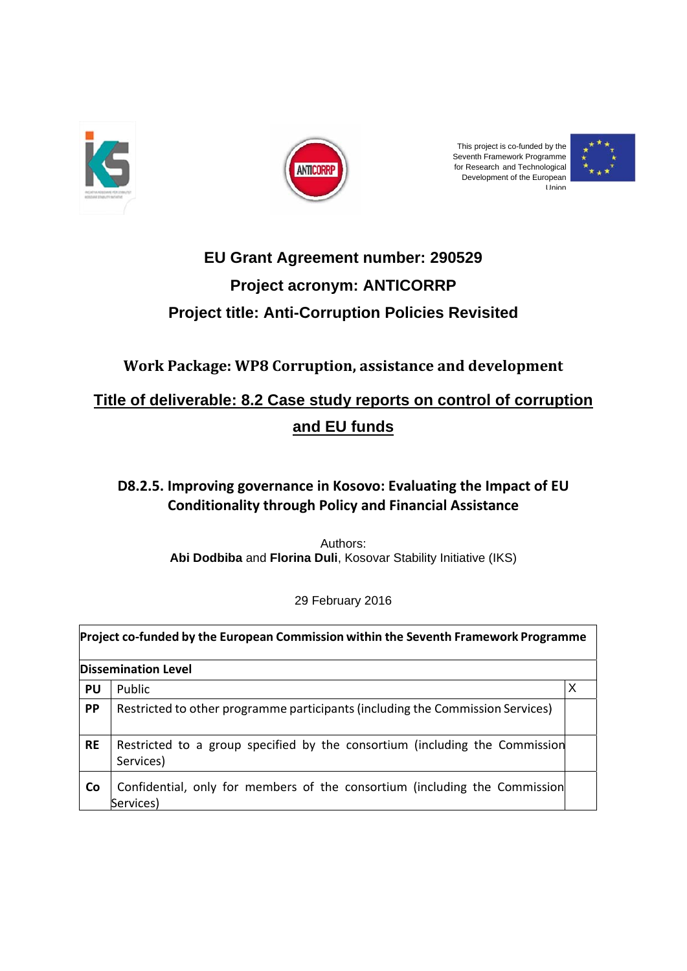



This project is co-funded by the Seventh Framework Programme for Research and Technological Development of the European U nion



# **Project title: Anti-Corruption Policies Revisited EU Grant Agreement number: 290529 Project acronym: ANTICORRP**

**Work Package: WP8 Corruption, assistance and development** 

# **Title of deliverable: 8.2 Case study reports on control of corruption and EU funds**

# **D8.2.5.** Improving governance in Kosovo: Evaluating the Impact of EU **Conditionality through Policy and Financial Assistance**

Abi Dodbiba and Florina Duli, Kosovar Stability Initiative (IKS) Authors:

29 9 February 2 2016

| Project co-funded by the European Commission within the Seventh Framework Programme |                                                                                          |  |  |  |
|-------------------------------------------------------------------------------------|------------------------------------------------------------------------------------------|--|--|--|
| <b>Dissemination Level</b>                                                          |                                                                                          |  |  |  |
| <b>PU</b>                                                                           | Public                                                                                   |  |  |  |
| PP                                                                                  | Restricted to other programme participants (including the Commission Services)           |  |  |  |
| <b>RE</b>                                                                           | Restricted to a group specified by the consortium (including the Commission<br>Services) |  |  |  |
| Co                                                                                  | Confidential, only for members of the consortium (including the Commission<br>Services)  |  |  |  |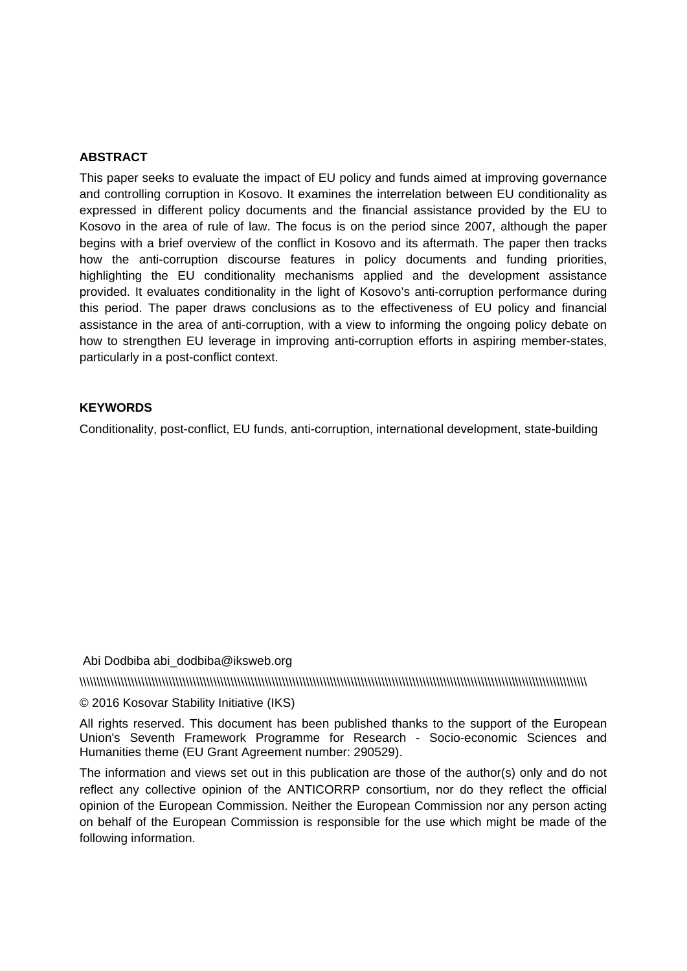#### **ABSTRACT**

This paper seeks to evaluate the impact of EU policy and funds aimed at improving governance and controlling corruption in Kosovo. It examines the interrelation between EU conditionality as expressed in different policy documents and the financial assistance provided by the EU to Kosovo in the area of rule of law. The focus is on the period since 2007, although the paper begins with a brief overview of the conflict in Kosovo and its aftermath. The paper then tracks how the anti-corruption discourse features in policy documents and funding priorities, highlighting the EU conditionality mechanisms applied and the development assistance provided. It evaluates conditionality in the light of Kosovo's anti-corruption performance during this period. The paper draws conclusions as to the effectiveness of EU policy and financial assistance in the area of anti-corruption, with a view to informing the ongoing policy debate on how to strengthen EU leverage in improving anti-corruption efforts in aspiring member-states, particularly in a post-conflict context.

#### **KEYWORDS**

Conditionality, post-conflict, EU funds, anti-corruption, international development, state-building

#### Abi Dodbiba abi\_dodbiba@iksweb.org

\\\\\\\\\\\\\\\\\\\\\\\\\\\\\\\\\\\\\\\\\\\\\\\\\\\\\\\\\\\\\\\\\\\\\\\\\\\\\\\\\\\\\\\\\\\\\\\\\\\\\\\\\\\\\\\\\\\\\\\\\\\\\\\\\\\\\\\\\\\\\\\\\\\\

#### © 2016 Kosovar Stability Initiative (IKS)

All rights reserved. This document has been published thanks to the support of the European Union's Seventh Framework Programme for Research - Socio-economic Sciences and Humanities theme (EU Grant Agreement number: 290529).

The information and views set out in this publication are those of the author(s) only and do not reflect any collective opinion of the ANTICORRP consortium, nor do they reflect the official opinion of the European Commission. Neither the European Commission nor any person acting on behalf of the European Commission is responsible for the use which might be made of the following information.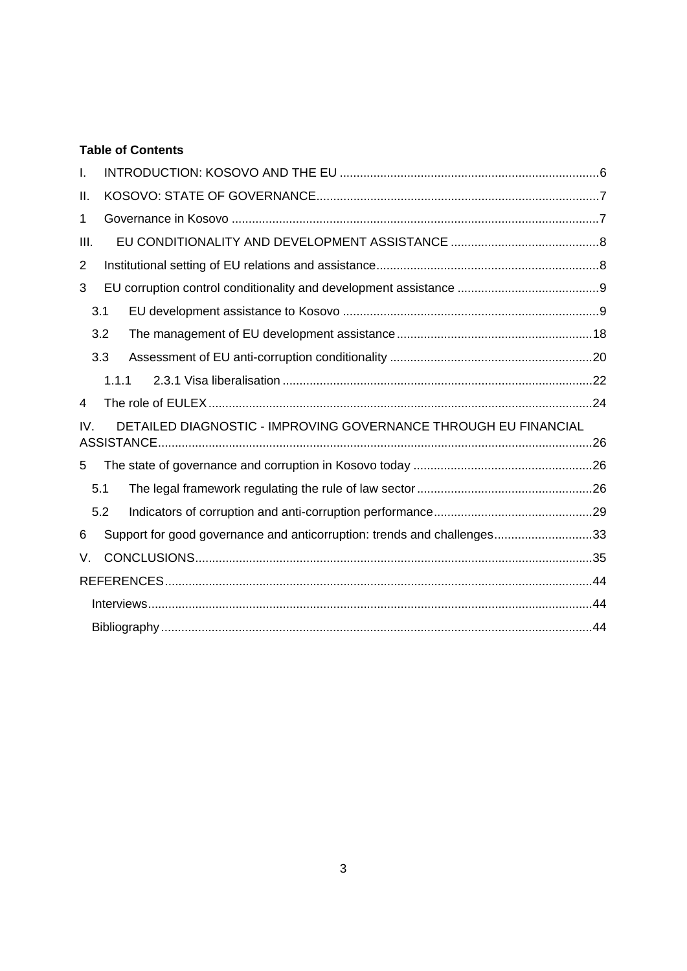# **Table of Contents**

| I.             |       |                                                                         |  |
|----------------|-------|-------------------------------------------------------------------------|--|
| Ш.             |       |                                                                         |  |
| $\mathbf{1}$   |       |                                                                         |  |
| Ш.             |       |                                                                         |  |
| $\overline{2}$ |       |                                                                         |  |
| 3              |       |                                                                         |  |
|                | 3.1   |                                                                         |  |
|                | 3.2   |                                                                         |  |
|                | 3.3   |                                                                         |  |
|                | 1.1.1 |                                                                         |  |
| 4              |       |                                                                         |  |
| IV.            |       | DETAILED DIAGNOSTIC - IMPROVING GOVERNANCE THROUGH EU FINANCIAL         |  |
|                |       |                                                                         |  |
| 5              |       |                                                                         |  |
|                | 5.1   |                                                                         |  |
|                | 5.2   |                                                                         |  |
| 6              |       | Support for good governance and anticorruption: trends and challenges33 |  |
| V.             |       |                                                                         |  |
|                |       |                                                                         |  |
|                |       |                                                                         |  |
|                |       |                                                                         |  |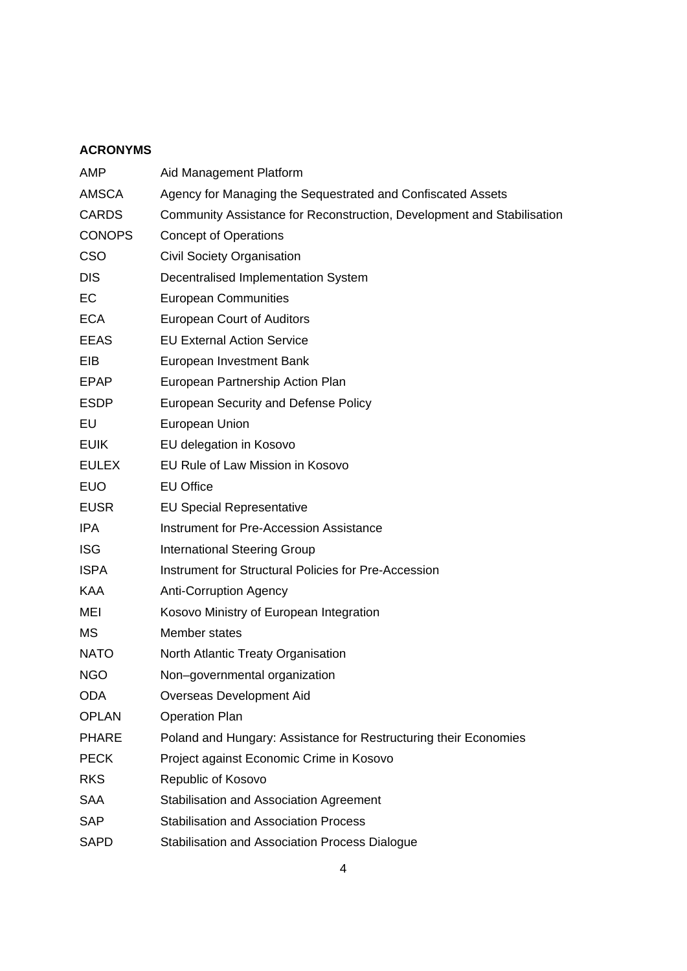### **ACRONYMS**

| <b>AMP</b>    | Aid Management Platform                                                |  |  |
|---------------|------------------------------------------------------------------------|--|--|
| <b>AMSCA</b>  | Agency for Managing the Sequestrated and Confiscated Assets            |  |  |
| <b>CARDS</b>  | Community Assistance for Reconstruction, Development and Stabilisation |  |  |
| <b>CONOPS</b> | <b>Concept of Operations</b>                                           |  |  |
| <b>CSO</b>    | <b>Civil Society Organisation</b>                                      |  |  |
| <b>DIS</b>    | Decentralised Implementation System                                    |  |  |
| EC            | <b>European Communities</b>                                            |  |  |
| <b>ECA</b>    | <b>European Court of Auditors</b>                                      |  |  |
| <b>EEAS</b>   | <b>EU External Action Service</b>                                      |  |  |
| EIB           | European Investment Bank                                               |  |  |
| <b>EPAP</b>   | European Partnership Action Plan                                       |  |  |
| <b>ESDP</b>   | <b>European Security and Defense Policy</b>                            |  |  |
| EU            | European Union                                                         |  |  |
| <b>EUIK</b>   | EU delegation in Kosovo                                                |  |  |
| <b>EULEX</b>  | EU Rule of Law Mission in Kosovo                                       |  |  |
| <b>EUO</b>    | <b>EU Office</b>                                                       |  |  |
| <b>EUSR</b>   | <b>EU Special Representative</b>                                       |  |  |
| <b>IPA</b>    | Instrument for Pre-Accession Assistance                                |  |  |
| <b>ISG</b>    | <b>International Steering Group</b>                                    |  |  |
| <b>ISPA</b>   | Instrument for Structural Policies for Pre-Accession                   |  |  |
| <b>KAA</b>    | <b>Anti-Corruption Agency</b>                                          |  |  |
| MEI           | Kosovo Ministry of European Integration                                |  |  |
| <b>MS</b>     | Member states                                                          |  |  |
| <b>NATO</b>   | North Atlantic Treaty Organisation                                     |  |  |
| <b>NGO</b>    | Non-governmental organization                                          |  |  |
| <b>ODA</b>    | Overseas Development Aid                                               |  |  |
| <b>OPLAN</b>  | <b>Operation Plan</b>                                                  |  |  |
| <b>PHARE</b>  | Poland and Hungary: Assistance for Restructuring their Economies       |  |  |
| <b>PECK</b>   | Project against Economic Crime in Kosovo                               |  |  |
| <b>RKS</b>    | Republic of Kosovo                                                     |  |  |
| <b>SAA</b>    | <b>Stabilisation and Association Agreement</b>                         |  |  |
| <b>SAP</b>    | <b>Stabilisation and Association Process</b>                           |  |  |
| <b>SAPD</b>   | Stabilisation and Association Process Dialogue                         |  |  |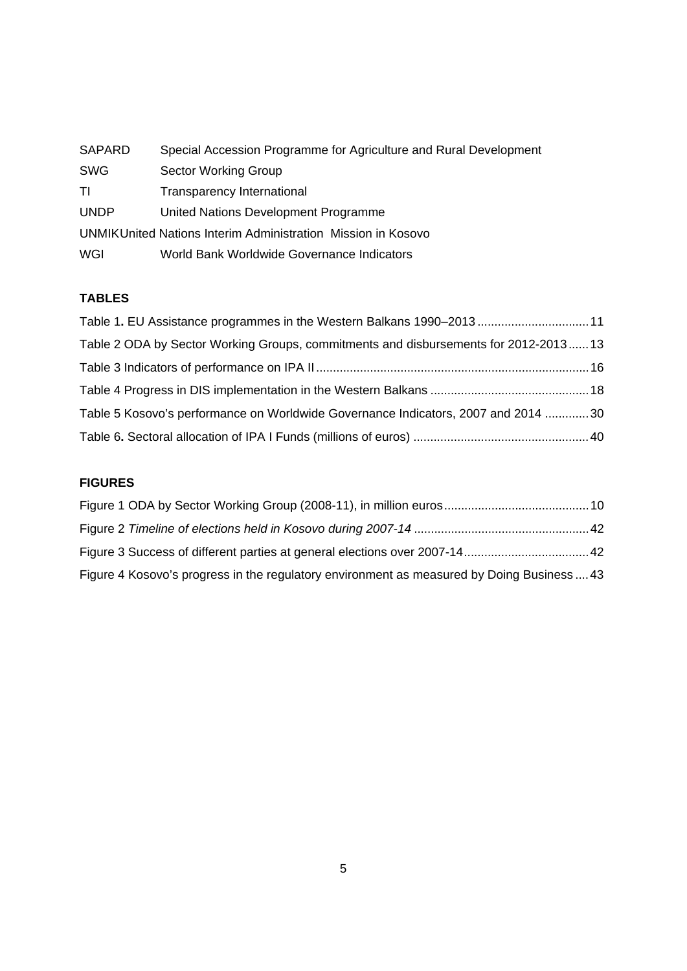| <b>SAPARD</b> | Special Accession Programme for Agriculture and Rural Development |
|---------------|-------------------------------------------------------------------|
| <b>SWG</b>    | Sector Working Group                                              |
| ΤI            | Transparency International                                        |
| <b>UNDP</b>   | United Nations Development Programme                              |
|               | UNMIKUnited Nations Interim Administration Mission in Kosovo      |
| WGI           | World Bank Worldwide Governance Indicators                        |

### **TABLES**

| Table 1. EU Assistance programmes in the Western Balkans 1990-201311                |  |
|-------------------------------------------------------------------------------------|--|
| Table 2 ODA by Sector Working Groups, commitments and disbursements for 2012-201313 |  |
|                                                                                     |  |
|                                                                                     |  |
| Table 5 Kosovo's performance on Worldwide Governance Indicators, 2007 and 2014 30   |  |
|                                                                                     |  |

### **FIGURES**

| Figure 4 Kosovo's progress in the regulatory environment as measured by Doing Business43 |  |
|------------------------------------------------------------------------------------------|--|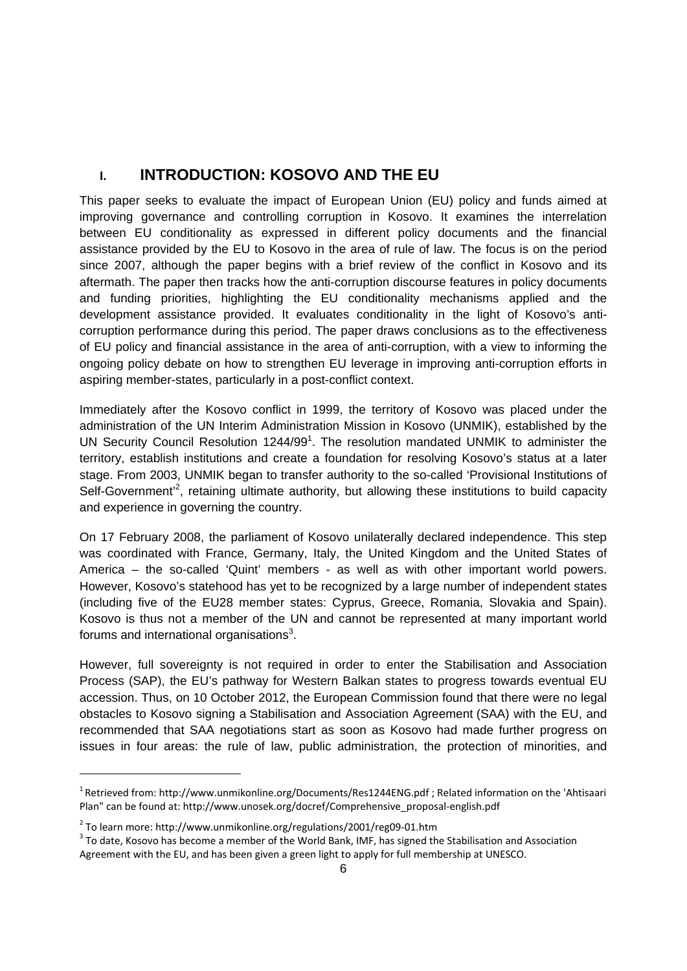# **I. INTRODUCTION: KOSOVO AND THE EU**

This paper seeks to evaluate the impact of European Union (EU) policy and funds aimed at improving governance and controlling corruption in Kosovo. It examines the interrelation between EU conditionality as expressed in different policy documents and the financial assistance provided by the EU to Kosovo in the area of rule of law. The focus is on the period since 2007, although the paper begins with a brief review of the conflict in Kosovo and its aftermath. The paper then tracks how the anti-corruption discourse features in policy documents and funding priorities, highlighting the EU conditionality mechanisms applied and the development assistance provided. It evaluates conditionality in the light of Kosovo's anticorruption performance during this period. The paper draws conclusions as to the effectiveness of EU policy and financial assistance in the area of anti-corruption, with a view to informing the ongoing policy debate on how to strengthen EU leverage in improving anti-corruption efforts in aspiring member-states, particularly in a post-conflict context.

Immediately after the Kosovo conflict in 1999, the territory of Kosovo was placed under the administration of the UN Interim Administration Mission in Kosovo (UNMIK), established by the UN Security Council Resolution 1244/99<sup>1</sup>. The resolution mandated UNMIK to administer the territory, establish institutions and create a foundation for resolving Kosovo's status at a later stage. From 2003, UNMIK began to transfer authority to the so-called 'Provisional Institutions of Self-Government<sup>2</sup>, retaining ultimate authority, but allowing these institutions to build capacity and experience in governing the country.

On 17 February 2008, the parliament of Kosovo unilaterally declared independence. This step was coordinated with France, Germany, Italy, the United Kingdom and the United States of America – the so-called 'Quint' members - as well as with other important world powers. However, Kosovo's statehood has yet to be recognized by a large number of independent states (including five of the EU28 member states: Cyprus, Greece, Romania, Slovakia and Spain). Kosovo is thus not a member of the UN and cannot be represented at many important world forums and international organisations<sup>3</sup>.

However, full sovereignty is not required in order to enter the Stabilisation and Association Process (SAP), the EU's pathway for Western Balkan states to progress towards eventual EU accession. Thus, on 10 October 2012, the European Commission found that there were no legal obstacles to Kosovo signing a Stabilisation and Association Agreement (SAA) with the EU, and recommended that SAA negotiations start as soon as Kosovo had made further progress on issues in four areas: the rule of law, public administration, the protection of minorities, and

-

<sup>&</sup>lt;sup>1</sup> Retrieved from: http://www.unmikonline.org/Documents/Res1244ENG.pdf ; Related information on the 'Ahtisaari Plan" can be found at: http://www.unosek.org/docref/Comprehensive\_proposal-english.pdf

<sup>&</sup>lt;sup>2</sup> To learn more: http://www.unmikonline.org/regulations/2001/reg09-01.htm<br><sup>3</sup> To date, Kosovo has become a member of the World Bank, IMF, has signed the Stabilisation and Association Agreement with the EU, and has been given a green light to apply for full membership at UNESCO.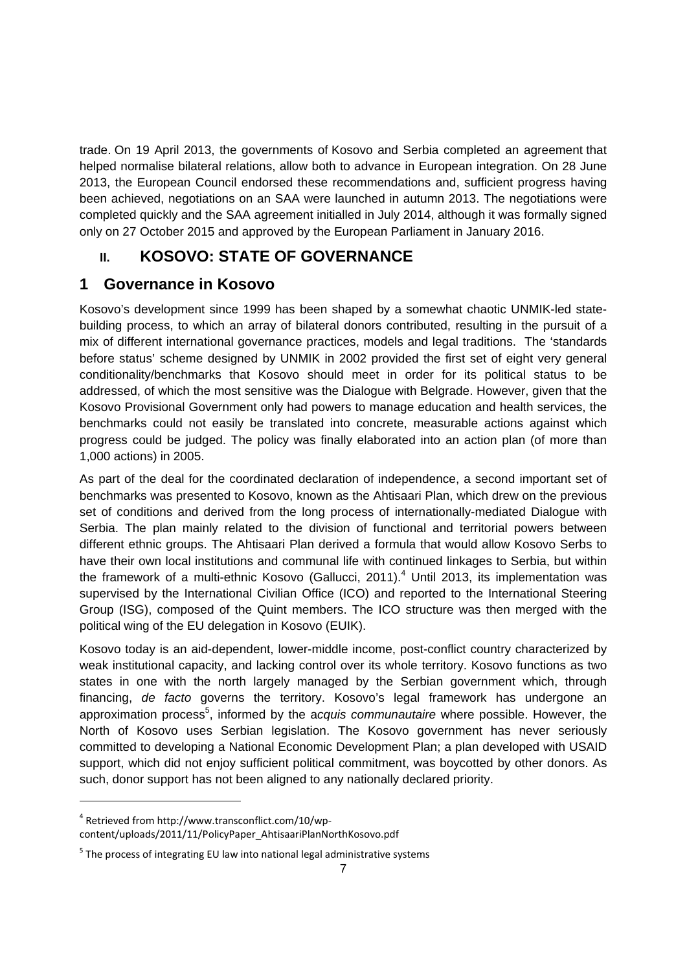trade. On 19 April 2013, the governments of Kosovo and Serbia completed an agreement that helped normalise bilateral relations, allow both to advance in European integration. On 28 June 2013, the European Council endorsed these recommendations and, sufficient progress having been achieved, negotiations on an SAA were launched in autumn 2013. The negotiations were completed quickly and the SAA agreement initialled in July 2014, although it was formally signed only on 27 October 2015 and approved by the European Parliament in January 2016.

# **II. KOSOVO: STATE OF GOVERNANCE**

# **1 Governance in Kosovo**

Kosovo's development since 1999 has been shaped by a somewhat chaotic UNMIK-led statebuilding process, to which an array of bilateral donors contributed, resulting in the pursuit of a mix of different international governance practices, models and legal traditions. The 'standards before status' scheme designed by UNMIK in 2002 provided the first set of eight very general conditionality/benchmarks that Kosovo should meet in order for its political status to be addressed, of which the most sensitive was the Dialogue with Belgrade. However, given that the Kosovo Provisional Government only had powers to manage education and health services, the benchmarks could not easily be translated into concrete, measurable actions against which progress could be judged. The policy was finally elaborated into an action plan (of more than 1,000 actions) in 2005.

As part of the deal for the coordinated declaration of independence, a second important set of benchmarks was presented to Kosovo, known as the Ahtisaari Plan, which drew on the previous set of conditions and derived from the long process of internationally-mediated Dialogue with Serbia. The plan mainly related to the division of functional and territorial powers between different ethnic groups. The Ahtisaari Plan derived a formula that would allow Kosovo Serbs to have their own local institutions and communal life with continued linkages to Serbia, but within the framework of a multi-ethnic Kosovo (Gallucci, 2011).<sup>4</sup> Until 2013, its implementation was supervised by the International Civilian Office (ICO) and reported to the International Steering Group (ISG), composed of the Quint members. The ICO structure was then merged with the political wing of the EU delegation in Kosovo (EUIK).

Kosovo today is an aid-dependent, lower-middle income, post-conflict country characterized by weak institutional capacity, and lacking control over its whole territory. Kosovo functions as two states in one with the north largely managed by the Serbian government which, through financing, *de facto* governs the territory. Kosovo's legal framework has undergone an approximation process<sup>5</sup>, informed by the a*cquis communautaire* where possible. However, the North of Kosovo uses Serbian legislation. The Kosovo government has never seriously committed to developing a National Economic Development Plan; a plan developed with USAID support, which did not enjoy sufficient political commitment, was boycotted by other donors. As such, donor support has not been aligned to any nationally declared priority.

<sup>4</sup> Retrieved from http://www.transconflict.com/10/wp‐

content/uploads/2011/11/PolicyPaper\_AhtisaariPlanNorthKosovo.pdf

 $5$  The process of integrating EU law into national legal administrative systems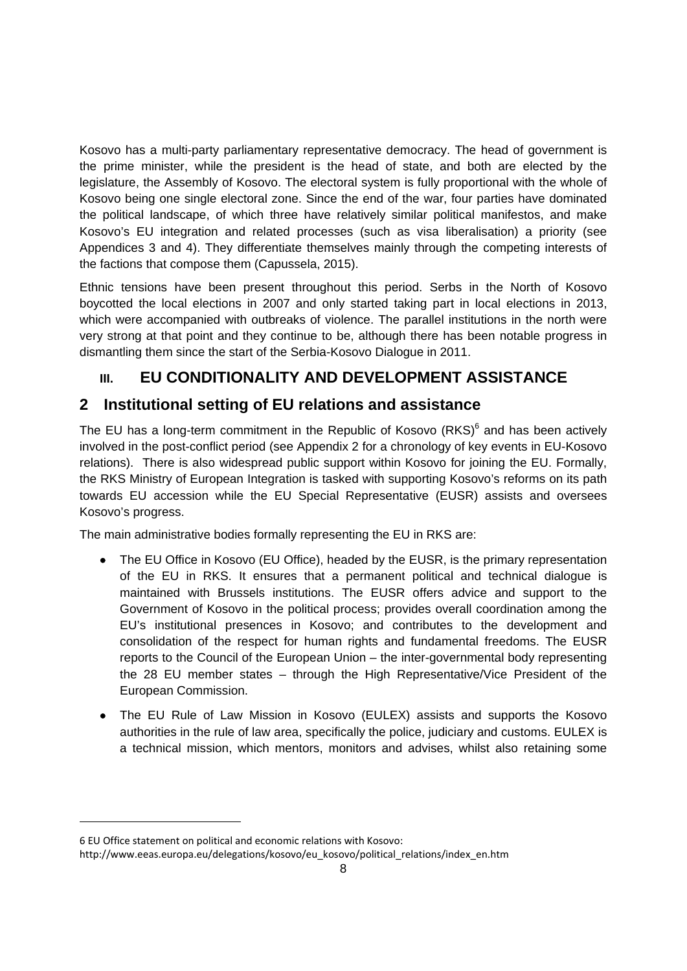Kosovo has a multi-party parliamentary representative democracy. The head of government is the prime minister, while the president is the head of state, and both are elected by the legislature, the Assembly of Kosovo. The electoral system is fully proportional with the whole of Kosovo being one single electoral zone. Since the end of the war, four parties have dominated the political landscape, of which three have relatively similar political manifestos, and make Kosovo's EU integration and related processes (such as visa liberalisation) a priority (see Appendices 3 and 4). They differentiate themselves mainly through the competing interests of the factions that compose them (Capussela, 2015).

Ethnic tensions have been present throughout this period. Serbs in the North of Kosovo boycotted the local elections in 2007 and only started taking part in local elections in 2013, which were accompanied with outbreaks of violence. The parallel institutions in the north were very strong at that point and they continue to be, although there has been notable progress in dismantling them since the start of the Serbia-Kosovo Dialogue in 2011.

# **III. EU CONDITIONALITY AND DEVELOPMENT ASSISTANCE**

# **2 Institutional setting of EU relations and assistance**

The EU has a long-term commitment in the Republic of Kosovo (RKS) $6$  and has been actively involved in the post-conflict period (see Appendix 2 for a chronology of key events in EU-Kosovo relations). There is also widespread public support within Kosovo for joining the EU. Formally, the RKS Ministry of European Integration is tasked with supporting Kosovo's reforms on its path towards EU accession while the EU Special Representative (EUSR) assists and oversees Kosovo's progress.

The main administrative bodies formally representing the EU in RKS are:

- The EU Office in Kosovo (EU Office), headed by the EUSR, is the primary representation of the EU in RKS. It ensures that a permanent political and technical dialogue is maintained with Brussels institutions. The EUSR offers advice and support to the Government of Kosovo in the political process; provides overall coordination among the EU's institutional presences in Kosovo; and contributes to the development and consolidation of the respect for human rights and fundamental freedoms. The EUSR reports to the Council of the European Union – the inter-governmental body representing the 28 EU member states – through the High Representative/Vice President of the European Commission.
- The EU Rule of Law Mission in Kosovo (EULEX) assists and supports the Kosovo authorities in the rule of law area, specifically the police, judiciary and customs. EULEX is a technical mission, which mentors, monitors and advises, whilst also retaining some

<sup>6</sup> EU Office statement on political and economic relations with Kosovo:

http://www.eeas.europa.eu/delegations/kosovo/eu\_kosovo/political\_relations/index\_en.htm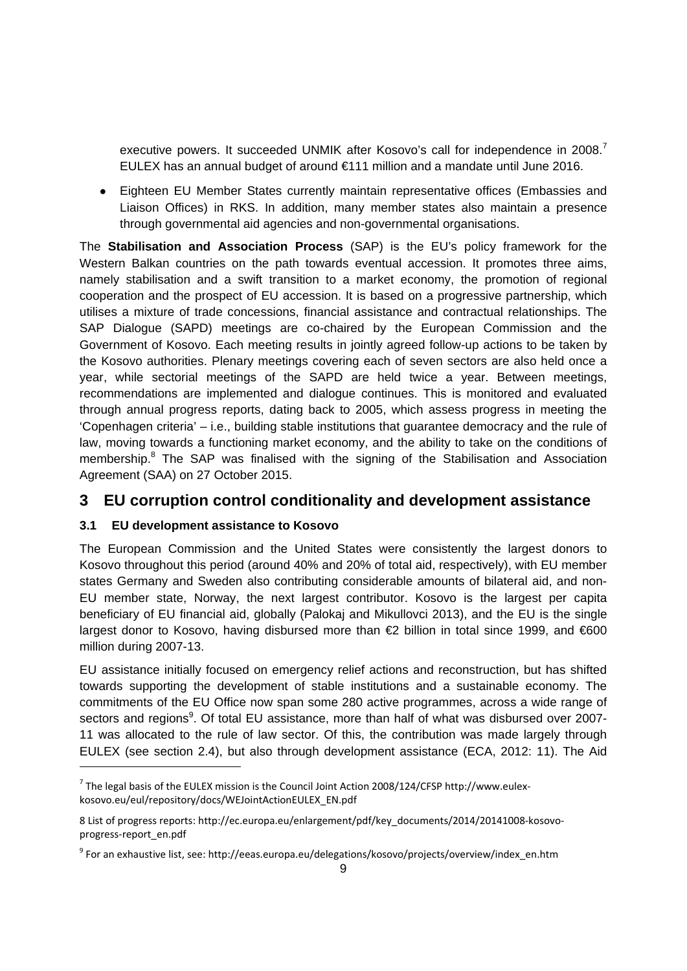executive powers. It succeeded UNMIK after Kosovo's call for independence in 2008.<sup>7</sup> EULEX has an annual budget of around €111 million and a mandate until June 2016.

 Eighteen EU Member States currently maintain representative offices (Embassies and Liaison Offices) in RKS. In addition, many member states also maintain a presence through governmental aid agencies and non-governmental organisations.

The **Stabilisation and Association Process** (SAP) is the EU's policy framework for the Western Balkan countries on the path towards eventual accession. It promotes three aims, namely stabilisation and a swift transition to a market economy, the promotion of regional cooperation and the prospect of EU accession. It is based on a progressive partnership, which utilises a mixture of trade concessions, financial assistance and contractual relationships. The SAP Dialogue (SAPD) meetings are co-chaired by the European Commission and the Government of Kosovo. Each meeting results in jointly agreed follow-up actions to be taken by the Kosovo authorities. Plenary meetings covering each of seven sectors are also held once a year, while sectorial meetings of the SAPD are held twice a year. Between meetings, recommendations are implemented and dialogue continues. This is monitored and evaluated through annual progress reports, dating back to 2005, which assess progress in meeting the 'Copenhagen criteria' – i.e., building stable institutions that guarantee democracy and the rule of law, moving towards a functioning market economy, and the ability to take on the conditions of membership.<sup>8</sup> The SAP was finalised with the signing of the Stabilisation and Association Agreement (SAA) on 27 October 2015.

# **3 EU corruption control conditionality and development assistance**

#### **3.1 EU development assistance to Kosovo**

The European Commission and the United States were consistently the largest donors to Kosovo throughout this period (around 40% and 20% of total aid, respectively), with EU member states Germany and Sweden also contributing considerable amounts of bilateral aid, and non-EU member state, Norway, the next largest contributor. Kosovo is the largest per capita beneficiary of EU financial aid, globally (Palokaj and Mikullovci 2013), and the EU is the single largest donor to Kosovo, having disbursed more than €2 billion in total since 1999, and €600 million during 2007-13.

EU assistance initially focused on emergency relief actions and reconstruction, but has shifted towards supporting the development of stable institutions and a sustainable economy. The commitments of the EU Office now span some 280 active programmes, across a wide range of sectors and regions<sup>9</sup>. Of total EU assistance, more than half of what was disbursed over 2007-11 was allocated to the rule of law sector. Of this, the contribution was made largely through EULEX (see section 2.4), but also through development assistance (ECA, 2012: 11). The Aid 1

 $7$  The legal basis of the EULEX mission is the Council Joint Action 2008/124/CFSP http://www.eulexkosovo.eu/eul/repository/docs/WEJointActionEULEX\_EN.pdf

<sup>8</sup> List of progress reports: http://ec.europa.eu/enlargement/pdf/key\_documents/2014/20141008-kosovoprogress‐report\_en.pdf

<sup>&</sup>lt;sup>9</sup> For an exhaustive list, see: http://eeas.europa.eu/delegations/kosovo/projects/overview/index\_en.htm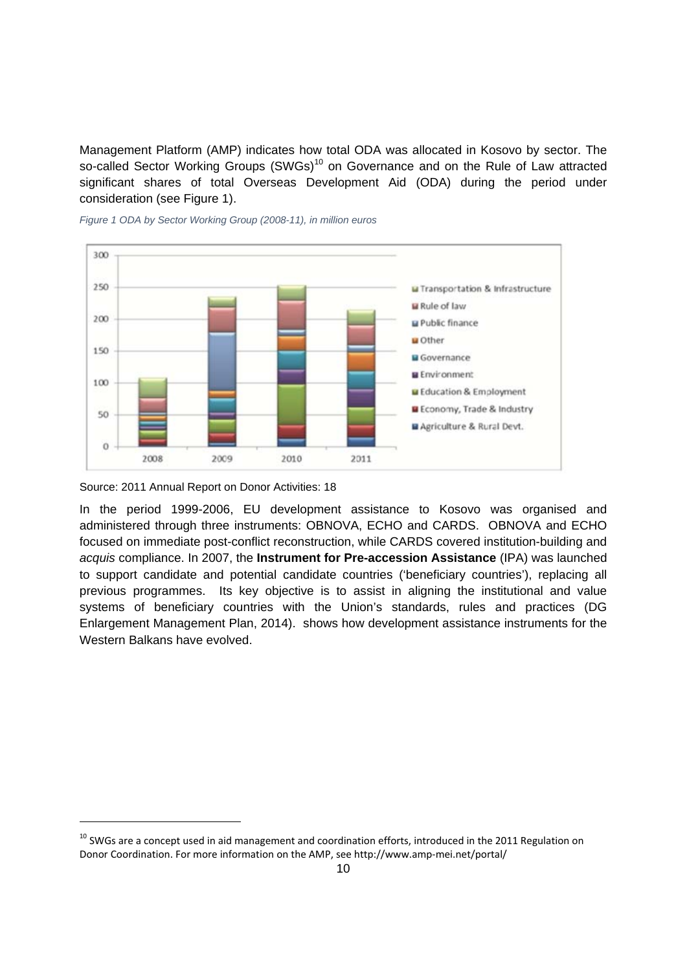Management Platform (AMP) indicates how total ODA was allocated in Kosovo by sector. The so-called Sector Working Groups (SWGs)<sup>10</sup> on Governance and on the Rule of Law attracted significant shares of total Overseas Development Aid (ODA) during the period under consideration (see Figure 1).



*Figure 1 ODA by Sector Working Group (2008-11), in million euros* 

Source: 2011 Annual Report on Donor Activities: 18

1

In the period 1999-2006, EU development assistance to Kosovo was organised and administered through three instruments: OBNOVA, ECHO and CARDS. OBNOVA and ECHO focused on immediate post-conflict reconstruction, while CARDS covered institution-building and *acquis* compliance. In 2007, the **Instrument for Pre-accession Assistance** (IPA) was launched to support candidate and potential candidate countries ('beneficiary countries'), replacing all previous programmes. Its key objective is to assist in aligning the institutional and value systems of beneficiary countries with the Union's standards, rules and practices (DG Enlargement Management Plan, 2014). shows how development assistance instruments for the Western Balkans have evolved.

 $10$  SWGs are a concept used in aid management and coordination efforts, introduced in the 2011 Regulation on Donor Coordination. For more information on the AMP, see http://www.amp‐mei.net/portal/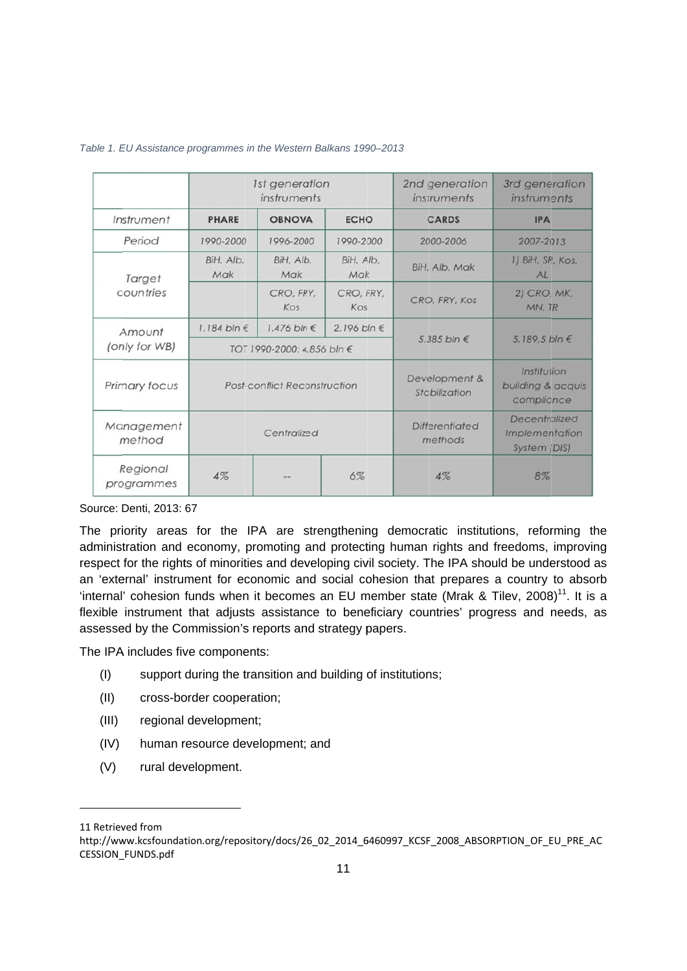|                        |                            | 1st generation<br>instruments       |                  | 2nd generation<br>instruments    | 3rd generation<br>instruments                                 |  |
|------------------------|----------------------------|-------------------------------------|------------------|----------------------------------|---------------------------------------------------------------|--|
| Instrument             | <b>PHARE</b>               | <b>OBNOVA</b><br><b>ECHO</b>        |                  | CARDS                            | <b>IPA</b>                                                    |  |
| Period                 | 1990-2000                  | 1996-2000                           | 1990-2000        | 2000-2006                        | 2007-2013                                                     |  |
| Target                 | BiH, Alb,<br>Mak           | BiH, Alb,<br>Mak                    | BiH, Alb,<br>Mak | BiH, Alb, Mak                    | 1) BiH, SR, Kos,<br>AL                                        |  |
| countries              |                            | CRO, FRY,<br>Kos                    | CRO, FRY,<br>Kos | CRO, FRY, Kos                    | 2) CRO, MK,<br>MN, TR                                         |  |
| Amount                 | 1.184 bln $\epsilon$       | 1.476 bln €                         | 2.196 bln €      |                                  |                                                               |  |
| (only for WB)          | TOT 1990-2000: 4.856 bln € |                                     |                  | 5.385 bln $\epsilon$             | 5.189.5 bln €                                                 |  |
| Primary focus          |                            | <b>Post-conflict Reconstruction</b> |                  | Development &<br>Stabilization   | Institution<br>building & acquis<br>compliance                |  |
| Management<br>method   |                            | Centralized                         |                  | <b>Differentiated</b><br>methods | Decentralized<br><i><b>Implementation</b></i><br>System (DIS) |  |
| Regional<br>programmes | 4%                         |                                     | 6%               | 4%                               | 8%                                                            |  |

#### Table 1. EU Assistance programmes in the Western Balkans 1990–2013

Source: Denti, 2013: 67

The priority areas for the IPA are strengthening democratic institutions, reforming the administration and economy, promoting and protecting human rights and freedoms, improving respect for the rights of minorities and developing civil society. The IPA should be understood as an 'external' instrument for economic and social cohesion that prepares a country to absorb 'internal' cohesion funds when it becomes an EU member state (Mrak & Tilev, 2008)<sup>11</sup>. It is a flexible instrument that adjusts assistance to beneficiary countries' progress and needs, as assessed by the Commission's reports and strategy papers.

The IPA includes five components:

- (I) support during the transition and building of institutions;
- (II) cross-border cooperation;
- (III) regional development;
- (IV) human resource development; and
- (V) rural development.

 $\overline{a}$ 

11 Retrieved from

 $\overline{a}$ 

-

http://www.kcsfoundation.org/repository/docs/26\_02\_2014\_6460997\_KCSF\_2008\_ABSORPTION\_OF\_EU\_PRE\_AC CESSION\_ \_FUNDS.pdf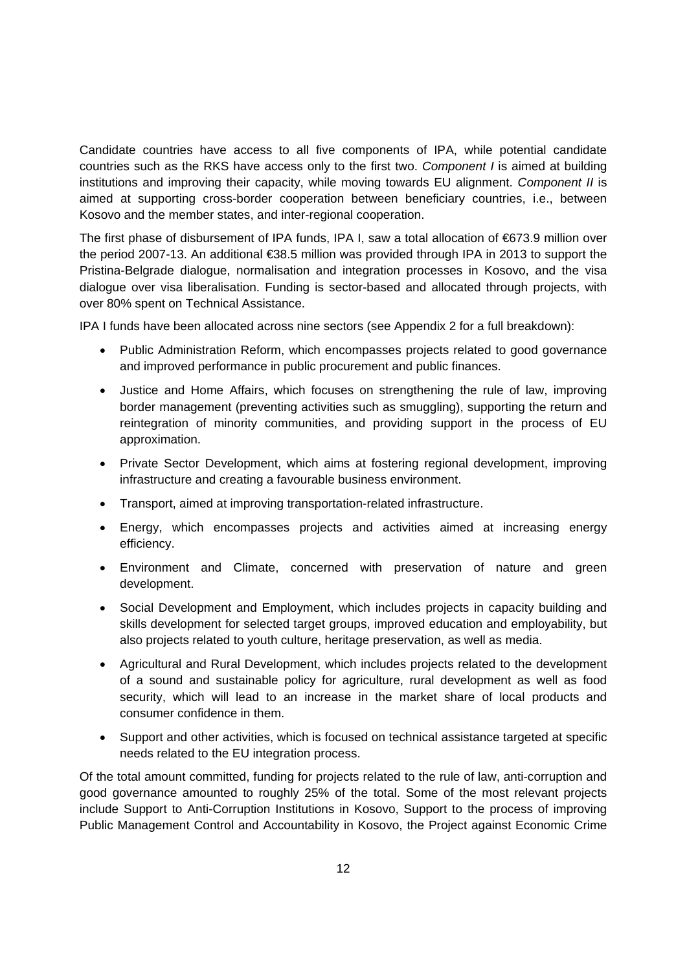Candidate countries have access to all five components of IPA, while potential candidate countries such as the RKS have access only to the first two. *Component I* is aimed at building institutions and improving their capacity, while moving towards EU alignment. *Component II* is aimed at supporting cross-border cooperation between beneficiary countries, i.e., between Kosovo and the member states, and inter-regional cooperation.

The first phase of disbursement of IPA funds, IPA I, saw a total allocation of €673.9 million over the period 2007-13. An additional €38.5 million was provided through IPA in 2013 to support the Pristina-Belgrade dialogue, normalisation and integration processes in Kosovo, and the visa dialogue over visa liberalisation. Funding is sector-based and allocated through projects, with over 80% spent on Technical Assistance.

IPA I funds have been allocated across nine sectors (see Appendix 2 for a full breakdown):

- Public Administration Reform, which encompasses projects related to good governance and improved performance in public procurement and public finances.
- Justice and Home Affairs, which focuses on strengthening the rule of law, improving border management (preventing activities such as smuggling), supporting the return and reintegration of minority communities, and providing support in the process of EU approximation.
- Private Sector Development, which aims at fostering regional development, improving infrastructure and creating a favourable business environment.
- Transport, aimed at improving transportation-related infrastructure.
- Energy, which encompasses projects and activities aimed at increasing energy efficiency.
- Environment and Climate, concerned with preservation of nature and green development.
- Social Development and Employment, which includes projects in capacity building and skills development for selected target groups, improved education and employability, but also projects related to youth culture, heritage preservation, as well as media.
- Agricultural and Rural Development, which includes projects related to the development of a sound and sustainable policy for agriculture, rural development as well as food security, which will lead to an increase in the market share of local products and consumer confidence in them.
- Support and other activities, which is focused on technical assistance targeted at specific needs related to the EU integration process.

Of the total amount committed, funding for projects related to the rule of law, anti-corruption and good governance amounted to roughly 25% of the total. Some of the most relevant projects include Support to Anti-Corruption Institutions in Kosovo, Support to the process of improving Public Management Control and Accountability in Kosovo, the Project against Economic Crime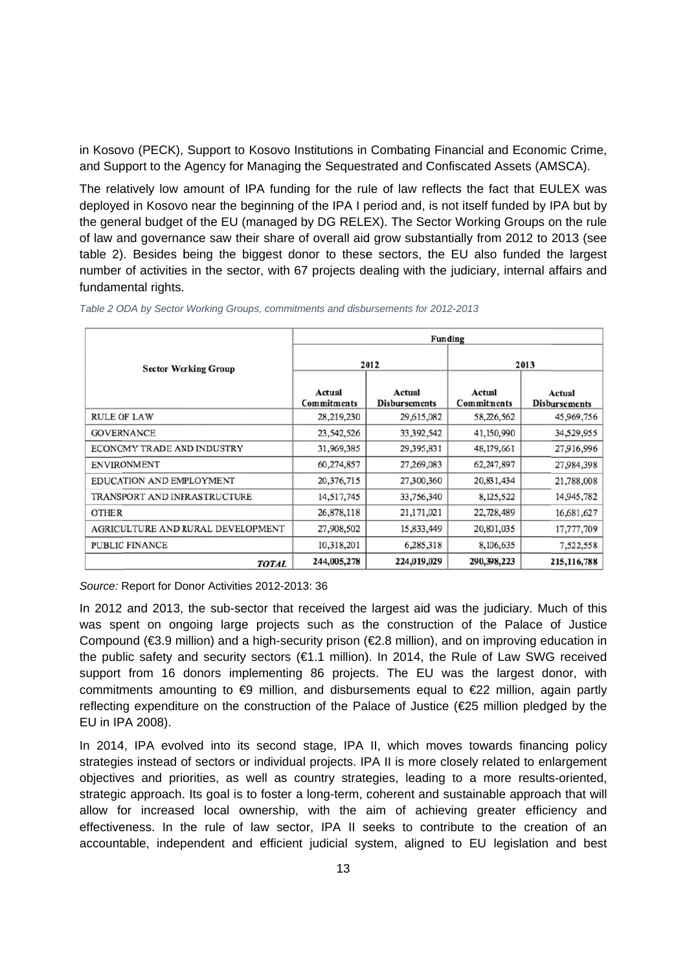in Kosovo (PECK), Support to Kosovo Institutions in Combating Financial and Economic Crime, and Support to the Agency for Managing the Sequestrated and Confiscated Assets (AMSCA).

The relatively low amount of IPA funding for the rule of law reflects the fact that EULEX was deployed in Kosovo near the beginning of the IPA I period and, is not itself funded by IPA but by the general budget of the EU (managed by DG RELEX). The Sector Working Groups on the rule of law and governance saw their share of overall aid grow substantially from 2012 to 2013 (see table 2). Besides being the biggest donor to these sectors, the EU also funded the largest number of activities in the sector, with 67 projects dealing with the judiciary, internal affairs and fundamental rights.

|                                   | Funding                      |                                |                              |                         |
|-----------------------------------|------------------------------|--------------------------------|------------------------------|-------------------------|
| <b>Sector Working Group</b>       | 2012                         |                                | 2013                         |                         |
|                                   | Actual<br><b>Commitments</b> | Actual<br><b>Disbursements</b> | Actual<br><b>Commitments</b> | Actual<br>Disbursements |
| <b>RULE OF LAW</b>                | 28,219,230                   | 29,615,082                     | 58,226,562                   | 45,969,756              |
| <b>GOVERNANCE</b>                 | 23,542,526                   | 33,392,542                     | 41,150,990                   | 34,529,955              |
| ECONOMY TRADE AND INDUSTRY        | 31,969,385                   | 29,395,831                     | 48,179,661                   | 27,916,996              |
| <b>ENVIRONMENT</b>                | 60,274,857                   | 27,269,083                     | 62,247,897                   | 27,984,398              |
| EDUCATION AND EMPLOYMENT          | 20,376,715                   | 27,300,360                     | 20,831,434                   | 21,788,008              |
| TRANSPORT AND INFRASTRUCTURE      | 14,517,745                   | 33,756,340                     | 8,125,522                    | 14,945,782              |
| <b>OTHER</b>                      | 26,878,118                   | 21,171,021                     | 22,728,489                   | 16,681,627              |
| AGRICULTURE AND RURAL DEVELOPMENT | 27,908,502                   | 15,833,449                     | 20,801,035                   | 17,777,709              |
| <b>PUBLIC FINANCE</b>             | 10,318,201                   | 6,285,318                      | 8,106,635                    | 7,522,558               |
| <b>TOTAL</b>                      | 244,005,278                  | 224,019,029                    | 290,398,223                  | 215, 116, 788           |

*Table 2 ODA by Sector Working Groups, commitments and disbursements for 2012-2013* 

Source: Report for Donor Activities 2012-2013: 36

In 2012 and 2013, the sub-sector that received the largest aid was the judiciary. Much of this was spent on ongoing large projects such as the construction of the Palace of Justice Compound ( $\epsilon$ 3.9 million) and a high-security prison ( $\epsilon$ 2.8 million), and on improving education in the public safety and security sectors ( $\epsilon$ 1.1 million). In 2014, the Rule of Law SWG received support from 16 donors implementing 86 projects. The EU was the largest donor, with commitments amounting to €9 million, and disbursements equal to €22 million, again partly reflecting expenditure on the construction of the Palace of Justice (€25 million pledged by the EU in IP PA 2008).

In 2014, IPA evolved into its second stage, IPA II, which moves towards financing policy strategies instead of sectors or individual projects. IPA II is more closely related to enlargement objectives and priorities, as well as country strategies, leading to a more results-oriented, strategic approach. Its goal is to foster a long-term, coherent and sustainable approach that will allow for increased local ownership, with the aim of achieving greater efficiency and effectiveness. In the rule of law sector, IPA II seeks to contribute to the creation of an accountable, independent and efficient judicial system, aligned to EU legislation and best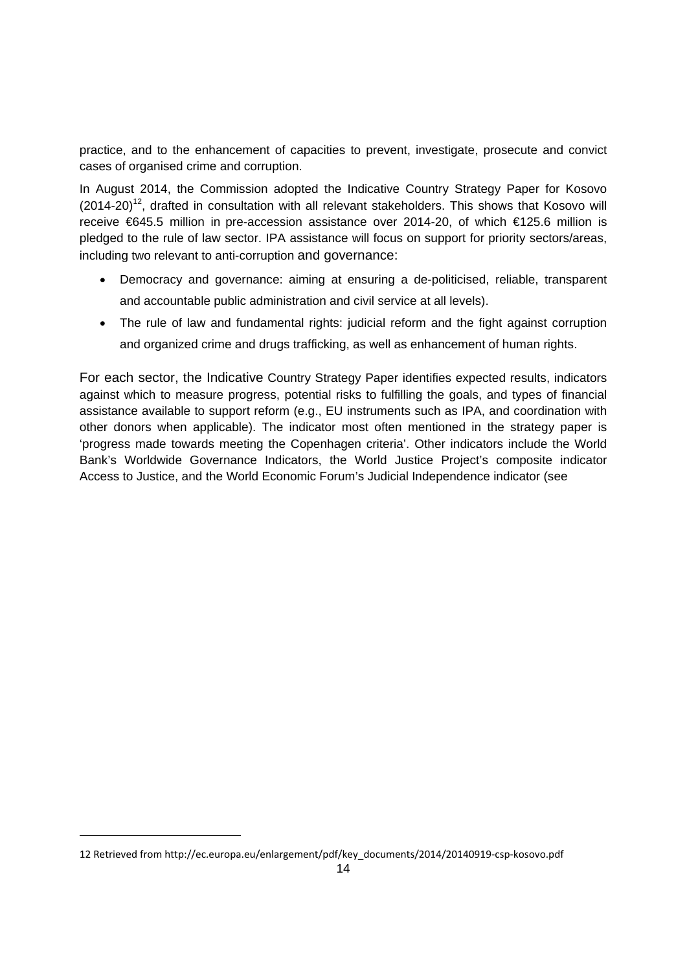practice, and to the enhancement of capacities to prevent, investigate, prosecute and convict cases of organised crime and corruption.

In August 2014, the Commission adopted the Indicative Country Strategy Paper for Kosovo  $(2014-20)^{12}$ , drafted in consultation with all relevant stakeholders. This shows that Kosovo will receive €645.5 million in pre-accession assistance over 2014-20, of which €125.6 million is pledged to the rule of law sector. IPA assistance will focus on support for priority sectors/areas, including two relevant to anti-corruption and governance:

- Democracy and governance: aiming at ensuring a de-politicised, reliable, transparent and accountable public administration and civil service at all levels).
- The rule of law and fundamental rights: judicial reform and the fight against corruption and organized crime and drugs trafficking, as well as enhancement of human rights.

For each sector, the Indicative Country Strategy Paper identifies expected results, indicators against which to measure progress, potential risks to fulfilling the goals, and types of financial assistance available to support reform (e.g., EU instruments such as IPA, and coordination with other donors when applicable). The indicator most often mentioned in the strategy paper is 'progress made towards meeting the Copenhagen criteria'. Other indicators include the World Bank's Worldwide Governance Indicators, the World Justice Project's composite indicator Access to Justice, and the World Economic Forum's Judicial Independence indicator (see

<sup>12</sup> Retrieved from http://ec.europa.eu/enlargement/pdf/key\_documents/2014/20140919‐csp‐kosovo.pdf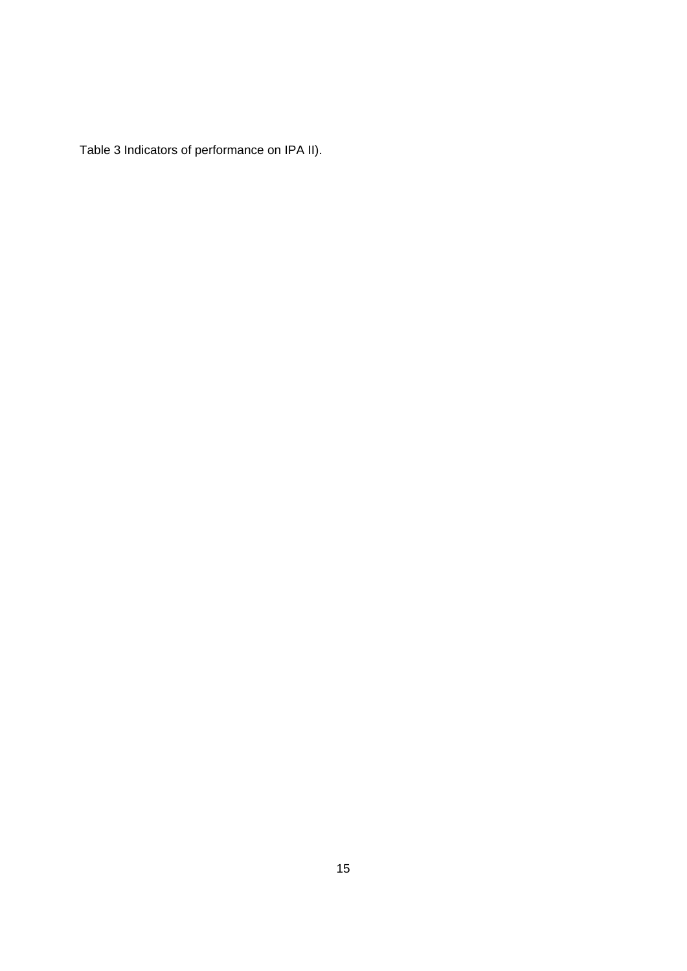Table 3 Indicators of performance on IPA II).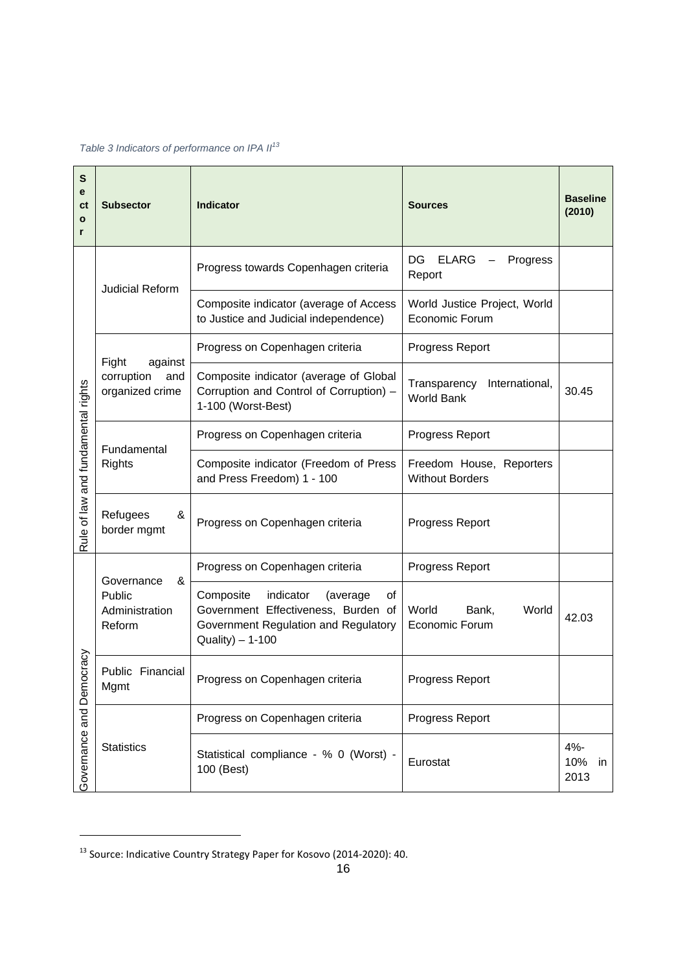*Table 3 Indicators of performance on IPA II<sup>13</sup>*

| S<br>е<br><b>ct</b><br>$\mathbf{o}$<br>r | <b>Subsector</b>                                                                                                                                                    | Indicator                                                                                                                                   | <b>Sources</b>                                      | <b>Baseline</b><br>(2010) |
|------------------------------------------|---------------------------------------------------------------------------------------------------------------------------------------------------------------------|---------------------------------------------------------------------------------------------------------------------------------------------|-----------------------------------------------------|---------------------------|
|                                          | <b>Judicial Reform</b>                                                                                                                                              | Progress towards Copenhagen criteria                                                                                                        | DG<br><b>ELARG</b><br>Progress<br>Report            |                           |
|                                          |                                                                                                                                                                     | Composite indicator (average of Access<br>to Justice and Judicial independence)                                                             | World Justice Project, World<br>Economic Forum      |                           |
|                                          |                                                                                                                                                                     | Progress on Copenhagen criteria                                                                                                             | Progress Report                                     |                           |
| Rule of law and fundamental rights       | Fight<br>against<br>corruption<br>Composite indicator (average of Global<br>and<br>Corruption and Control of Corruption) -<br>organized crime<br>1-100 (Worst-Best) |                                                                                                                                             | Transparency<br>International,<br><b>World Bank</b> | 30.45                     |
|                                          | Fundamental                                                                                                                                                         | Progress on Copenhagen criteria                                                                                                             | Progress Report                                     |                           |
|                                          | <b>Rights</b>                                                                                                                                                       | Composite indicator (Freedom of Press<br>and Press Freedom) 1 - 100                                                                         | Freedom House, Reporters<br><b>Without Borders</b>  |                           |
|                                          | Refugees<br>&<br>border mgmt                                                                                                                                        | Progress on Copenhagen criteria                                                                                                             | Progress Report                                     |                           |
|                                          | &<br>Governance                                                                                                                                                     | Progress on Copenhagen criteria                                                                                                             | Progress Report                                     |                           |
| ocracy<br>Governance and Dem             | Public<br>Administration<br>Reform                                                                                                                                  | Composite<br>indicator<br>(average<br>οf<br>Government Effectiveness, Burden of<br>Government Regulation and Regulatory<br>Quality) - 1-100 | World<br>World<br>Bank,<br>Economic Forum           | 42.03                     |
|                                          | Public Financial<br>Progress on Copenhagen criteria<br>Mgmt                                                                                                         |                                                                                                                                             | Progress Report                                     |                           |
|                                          |                                                                                                                                                                     | Progress on Copenhagen criteria                                                                                                             | Progress Report                                     |                           |
|                                          | <b>Statistics</b>                                                                                                                                                   | Statistical compliance - % 0 (Worst) -<br>100 (Best)                                                                                        | Eurostat                                            | 4%-<br>10%<br>in<br>2013  |

<sup>&</sup>lt;sup>13</sup> Source: Indicative Country Strategy Paper for Kosovo (2014-2020): 40.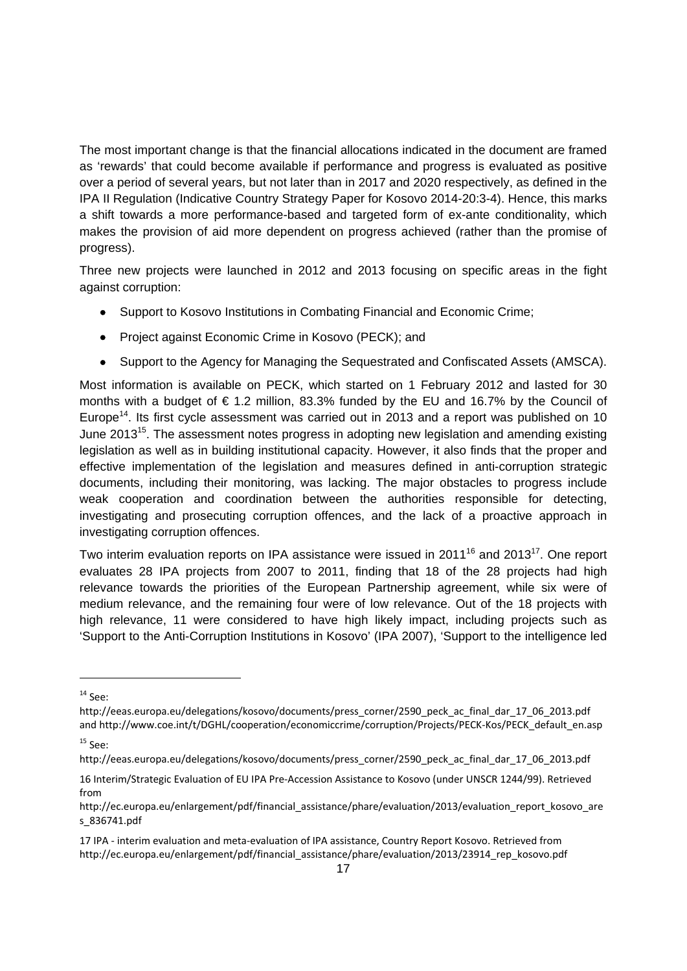The most important change is that the financial allocations indicated in the document are framed as 'rewards' that could become available if performance and progress is evaluated as positive over a period of several years, but not later than in 2017 and 2020 respectively, as defined in the IPA II Regulation (Indicative Country Strategy Paper for Kosovo 2014-20:3-4). Hence, this marks a shift towards a more performance-based and targeted form of ex-ante conditionality, which makes the provision of aid more dependent on progress achieved (rather than the promise of progress).

Three new projects were launched in 2012 and 2013 focusing on specific areas in the fight against corruption:

- Support to Kosovo Institutions in Combating Financial and Economic Crime;
- Project against Economic Crime in Kosovo (PECK); and
- Support to the Agency for Managing the Sequestrated and Confiscated Assets (AMSCA).

Most information is available on PECK, which started on 1 February 2012 and lasted for 30 months with a budget of  $\epsilon$  1.2 million, 83.3% funded by the EU and 16.7% by the Council of Europe<sup>14</sup>. Its first cycle assessment was carried out in 2013 and a report was published on 10 June 2013<sup>15</sup>. The assessment notes progress in adopting new legislation and amending existing legislation as well as in building institutional capacity. However, it also finds that the proper and effective implementation of the legislation and measures defined in anti-corruption strategic documents, including their monitoring, was lacking. The major obstacles to progress include weak cooperation and coordination between the authorities responsible for detecting, investigating and prosecuting corruption offences, and the lack of a proactive approach in investigating corruption offences.

Two interim evaluation reports on IPA assistance were issued in 2011<sup>16</sup> and 2013<sup>17</sup>. One report evaluates 28 IPA projects from 2007 to 2011, finding that 18 of the 28 projects had high relevance towards the priorities of the European Partnership agreement, while six were of medium relevance, and the remaining four were of low relevance. Out of the 18 projects with high relevance, 11 were considered to have high likely impact, including projects such as 'Support to the Anti-Corruption Institutions in Kosovo' (IPA 2007), 'Support to the intelligence led

-

 $14$  See:

http://eeas.europa.eu/delegations/kosovo/documents/press\_corner/2590\_peck\_ac\_final\_dar\_17\_06\_2013.pdf and http://www.coe.int/t/DGHL/cooperation/economiccrime/corruption/Projects/PECK-Kos/PECK\_default\_en.asp

 $15$  See:

http://eeas.europa.eu/delegations/kosovo/documents/press\_corner/2590\_peck\_ac\_final\_dar\_17\_06\_2013.pdf

<sup>16</sup> Interim/Strategic Evaluation of EU IPA Pre‐Accession Assistance to Kosovo (under UNSCR 1244/99). Retrieved from

http://ec.europa.eu/enlargement/pdf/financial\_assistance/phare/evaluation/2013/evaluation\_report\_kosovo\_are s\_836741.pdf

<sup>17</sup> IPA ‐ interim evaluation and meta‐evaluation of IPA assistance, Country Report Kosovo. Retrieved from http://ec.europa.eu/enlargement/pdf/financial\_assistance/phare/evaluation/2013/23914\_rep\_kosovo.pdf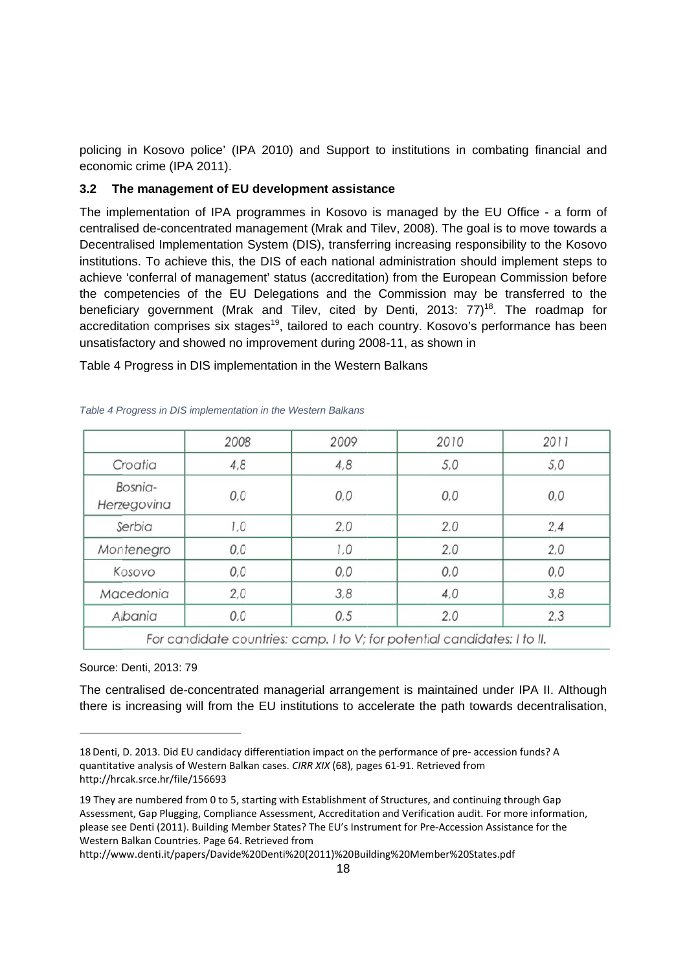policing in Kosovo police' (IPA 2010) and Support to institutions in combating financial and economic crime (IPA 2011).

#### **3.2 Th he manage ment of EU U developm ment assista ance**

The implementation of IPA programmes in Kosovo is managed by the EU Office - a form of centralised de-concentrated management (Mrak and Tilev, 2008). The goal is to move towards a Decentralised Implementation System (DIS), transferring increasing responsibility to the Kosovo institutions. To achieve this, the DIS of each national administration should implement steps to achieve 'conferral of management' status (accreditation) from the European Commission before the competencies of the EU Delegations and the Commission may be transferred to the beneficiary government (Mrak and Tilev, cited by Denti, 2013: 77)<sup>18</sup>. The roadmap for accreditation comprises six stages<sup>19</sup>, tailored to each country. Kosovo's performance has been unsatisfactory and showed no improvement during 2008-11, as shown in

|                        | 2008 | 2009                                                                      | 2010 | 2011 |
|------------------------|------|---------------------------------------------------------------------------|------|------|
| Croatia                | 4,8  | 4,8                                                                       | 5,0  | 5,0  |
| Bosnia-<br>Herzegovina | 0,0  | 0,0                                                                       | 0,0  | 0,0  |
| Serbia                 | 1,0  | 2,0                                                                       | 2,0  | 2,4  |
| Montenegro             | 0,0  | 1,0                                                                       | 2,0  | 2,0  |
| Kosovo                 | 0,0  | 0,0                                                                       | 0,0  | 0,0  |
| Macedonia              | 2,0  | 3,8                                                                       | 4,0  | 3,8  |
| Albania                | 0,0  | 0,5                                                                       | 2,0  | 2,3  |
|                        |      | For candidate countries: comp. I to V; for potential candidates: I to II. |      |      |

Table 4 Progress in DIS implementation in the Western Balkans

*Table 4 P Progress in DIS S implementati ion in the Wes stern Balkans*

Source: D Denti, 2013: 79

1

The centralised de-concentrated managerial arrangement is maintained under IPA II. Although there is increasing will from the EU institutions to accelerate the path towards decentralisation,

<sup>18</sup> Denti, D. 2013. Did EU candidacy differentiation impact on the performance of pre- accession funds? A quantitative analysis of Western Balkan cases. CIRR XIX (68), pages 61-91. Retrieved from http://hrcak.srce.hr/file/156693

<sup>19</sup> They are numbered from 0 to 5, starting with Establishment of Structures, and continuing through Gap Assessment, Gap Plugging, Compliance Assessment, Accreditation and Verification audit. For more information, please see Denti (2011). Building Member States? The EU's Instrument for Pre-Accession Assistance for the Western Balkan Countries. Page 64. Retrieved from Western Balkan Countries. Page 64. Retrieved from<br>http://www.denti.it/papers/Davide%20Denti%20(2011)%20Building%20Member%20States.pdf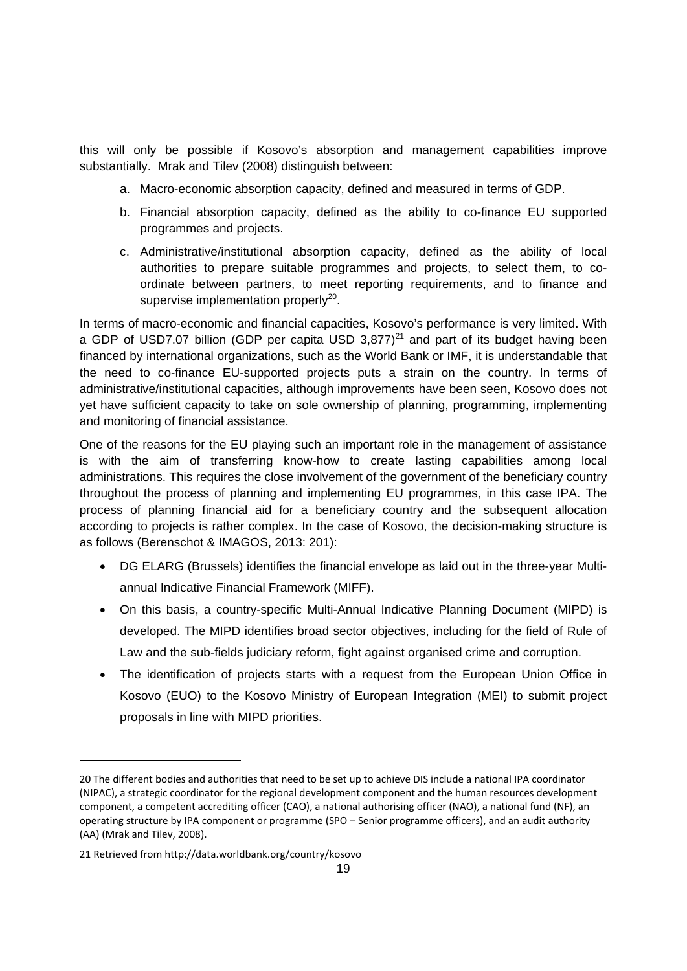this will only be possible if Kosovo's absorption and management capabilities improve substantially. Mrak and Tilev (2008) distinguish between:

- a. Macro-economic absorption capacity, defined and measured in terms of GDP.
- b. Financial absorption capacity, defined as the ability to co-finance EU supported programmes and projects.
- c. Administrative/institutional absorption capacity, defined as the ability of local authorities to prepare suitable programmes and projects, to select them, to coordinate between partners, to meet reporting requirements, and to finance and supervise implementation properly $^{20}$ .

In terms of macro-economic and financial capacities, Kosovo's performance is very limited. With a GDP of USD7.07 billion (GDP per capita USD 3.877)<sup>21</sup> and part of its budget having been financed by international organizations, such as the World Bank or IMF, it is understandable that the need to co-finance EU-supported projects puts a strain on the country. In terms of administrative/institutional capacities, although improvements have been seen, Kosovo does not yet have sufficient capacity to take on sole ownership of planning, programming, implementing and monitoring of financial assistance.

One of the reasons for the EU playing such an important role in the management of assistance is with the aim of transferring know-how to create lasting capabilities among local administrations. This requires the close involvement of the government of the beneficiary country throughout the process of planning and implementing EU programmes, in this case IPA. The process of planning financial aid for a beneficiary country and the subsequent allocation according to projects is rather complex. In the case of Kosovo, the decision-making structure is as follows (Berenschot & IMAGOS, 2013: 201):

- DG ELARG (Brussels) identifies the financial envelope as laid out in the three-year Multiannual Indicative Financial Framework (MIFF).
- On this basis, a country-specific Multi-Annual Indicative Planning Document (MIPD) is developed. The MIPD identifies broad sector objectives, including for the field of Rule of Law and the sub-fields judiciary reform, fight against organised crime and corruption.
- The identification of projects starts with a request from the European Union Office in Kosovo (EUO) to the Kosovo Ministry of European Integration (MEI) to submit project proposals in line with MIPD priorities.

<sup>20</sup> The different bodies and authorities that need to be set up to achieve DIS include a national IPA coordinator (NIPAC), a strategic coordinator for the regional development component and the human resources development component, a competent accrediting officer (CAO), a national authorising officer (NAO), a national fund (NF), an operating structure by IPA component or programme (SPO – Senior programme officers), and an audit authority (AA) (Mrak and Tilev, 2008).

<sup>21</sup> Retrieved from http://data.worldbank.org/country/kosovo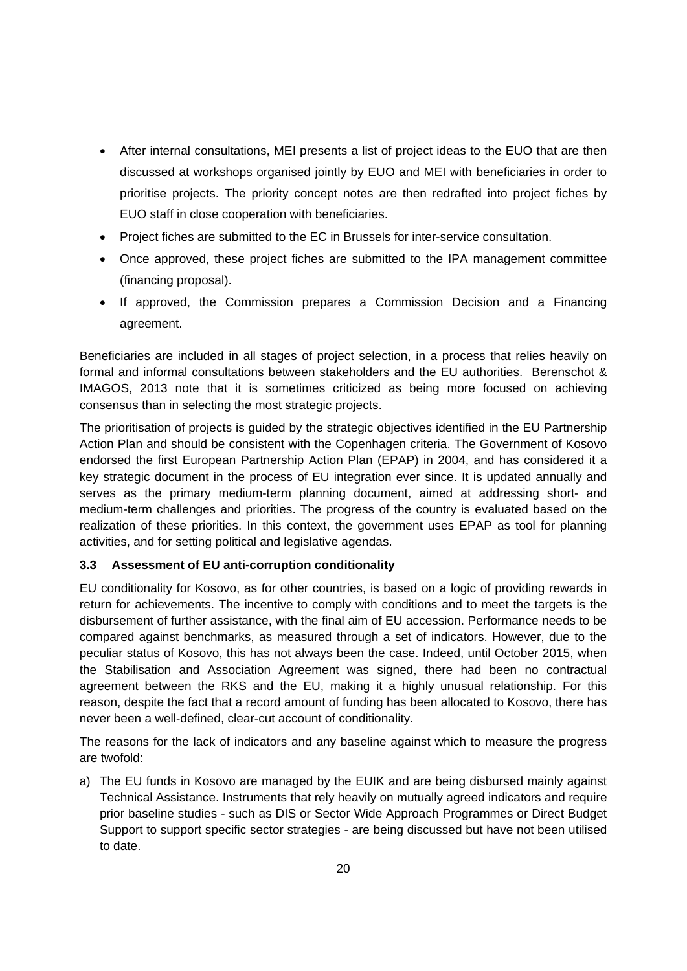- After internal consultations, MEI presents a list of project ideas to the EUO that are then discussed at workshops organised jointly by EUO and MEI with beneficiaries in order to prioritise projects. The priority concept notes are then redrafted into project fiches by EUO staff in close cooperation with beneficiaries.
- Project fiches are submitted to the EC in Brussels for inter-service consultation.
- Once approved, these project fiches are submitted to the IPA management committee (financing proposal).
- If approved, the Commission prepares a Commission Decision and a Financing agreement.

Beneficiaries are included in all stages of project selection, in a process that relies heavily on formal and informal consultations between stakeholders and the EU authorities. Berenschot & IMAGOS, 2013 note that it is sometimes criticized as being more focused on achieving consensus than in selecting the most strategic projects.

The prioritisation of projects is guided by the strategic objectives identified in the EU Partnership Action Plan and should be consistent with the Copenhagen criteria. The Government of Kosovo endorsed the first European Partnership Action Plan (EPAP) in 2004, and has considered it a key strategic document in the process of EU integration ever since. It is updated annually and serves as the primary medium-term planning document, aimed at addressing short- and medium-term challenges and priorities. The progress of the country is evaluated based on the realization of these priorities. In this context, the government uses EPAP as tool for planning activities, and for setting political and legislative agendas.

#### **3.3 Assessment of EU anti-corruption conditionality**

EU conditionality for Kosovo, as for other countries, is based on a logic of providing rewards in return for achievements. The incentive to comply with conditions and to meet the targets is the disbursement of further assistance, with the final aim of EU accession. Performance needs to be compared against benchmarks, as measured through a set of indicators. However, due to the peculiar status of Kosovo, this has not always been the case. Indeed, until October 2015, when the Stabilisation and Association Agreement was signed, there had been no contractual agreement between the RKS and the EU, making it a highly unusual relationship. For this reason, despite the fact that a record amount of funding has been allocated to Kosovo, there has never been a well-defined, clear-cut account of conditionality.

The reasons for the lack of indicators and any baseline against which to measure the progress are twofold:

a) The EU funds in Kosovo are managed by the EUIK and are being disbursed mainly against Technical Assistance. Instruments that rely heavily on mutually agreed indicators and require prior baseline studies - such as DIS or Sector Wide Approach Programmes or Direct Budget Support to support specific sector strategies - are being discussed but have not been utilised to date.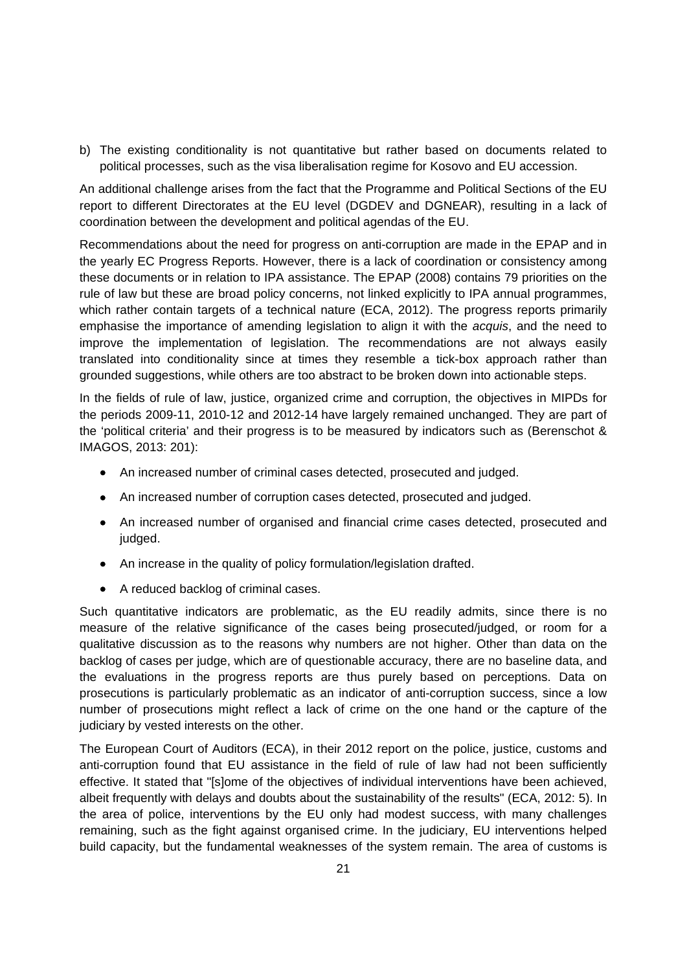b) The existing conditionality is not quantitative but rather based on documents related to political processes, such as the visa liberalisation regime for Kosovo and EU accession.

An additional challenge arises from the fact that the Programme and Political Sections of the EU report to different Directorates at the EU level (DGDEV and DGNEAR), resulting in a lack of coordination between the development and political agendas of the EU.

Recommendations about the need for progress on anti-corruption are made in the EPAP and in the yearly EC Progress Reports. However, there is a lack of coordination or consistency among these documents or in relation to IPA assistance. The EPAP (2008) contains 79 priorities on the rule of law but these are broad policy concerns, not linked explicitly to IPA annual programmes, which rather contain targets of a technical nature (ECA, 2012). The progress reports primarily emphasise the importance of amending legislation to align it with the *acquis*, and the need to improve the implementation of legislation. The recommendations are not always easily translated into conditionality since at times they resemble a tick-box approach rather than grounded suggestions, while others are too abstract to be broken down into actionable steps.

In the fields of rule of law, justice, organized crime and corruption, the objectives in MIPDs for the periods 2009-11, 2010-12 and 2012-14 have largely remained unchanged. They are part of the 'political criteria' and their progress is to be measured by indicators such as (Berenschot & IMAGOS, 2013: 201):

- An increased number of criminal cases detected, prosecuted and judged.
- An increased number of corruption cases detected, prosecuted and judged.
- An increased number of organised and financial crime cases detected, prosecuted and judged.
- An increase in the quality of policy formulation/legislation drafted.
- A reduced backlog of criminal cases.

Such quantitative indicators are problematic, as the EU readily admits, since there is no measure of the relative significance of the cases being prosecuted/judged, or room for a qualitative discussion as to the reasons why numbers are not higher. Other than data on the backlog of cases per judge, which are of questionable accuracy, there are no baseline data, and the evaluations in the progress reports are thus purely based on perceptions. Data on prosecutions is particularly problematic as an indicator of anti-corruption success, since a low number of prosecutions might reflect a lack of crime on the one hand or the capture of the judiciary by vested interests on the other.

The European Court of Auditors (ECA), in their 2012 report on the police, justice, customs and anti-corruption found that EU assistance in the field of rule of law had not been sufficiently effective. It stated that "[s]ome of the objectives of individual interventions have been achieved, albeit frequently with delays and doubts about the sustainability of the results" (ECA, 2012: 5). In the area of police, interventions by the EU only had modest success, with many challenges remaining, such as the fight against organised crime. In the judiciary, EU interventions helped build capacity, but the fundamental weaknesses of the system remain. The area of customs is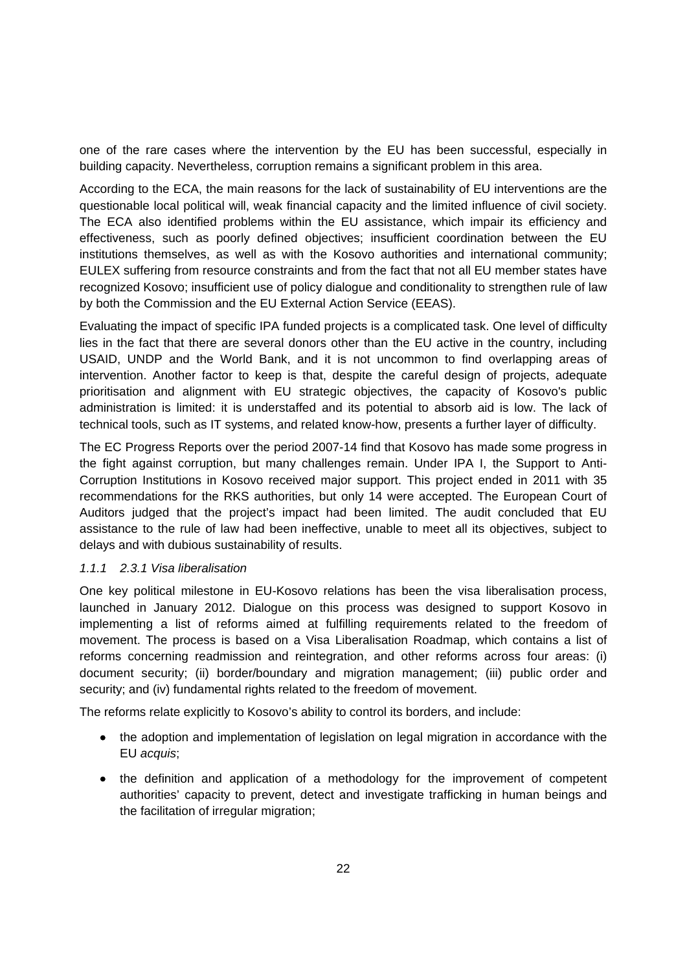one of the rare cases where the intervention by the EU has been successful, especially in building capacity. Nevertheless, corruption remains a significant problem in this area.

According to the ECA, the main reasons for the lack of sustainability of EU interventions are the questionable local political will, weak financial capacity and the limited influence of civil society. The ECA also identified problems within the EU assistance, which impair its efficiency and effectiveness, such as poorly defined objectives; insufficient coordination between the EU institutions themselves, as well as with the Kosovo authorities and international community; EULEX suffering from resource constraints and from the fact that not all EU member states have recognized Kosovo; insufficient use of policy dialogue and conditionality to strengthen rule of law by both the Commission and the EU External Action Service (EEAS).

Evaluating the impact of specific IPA funded projects is a complicated task. One level of difficulty lies in the fact that there are several donors other than the EU active in the country, including USAID, UNDP and the World Bank, and it is not uncommon to find overlapping areas of intervention. Another factor to keep is that, despite the careful design of projects, adequate prioritisation and alignment with EU strategic objectives, the capacity of Kosovo's public administration is limited: it is understaffed and its potential to absorb aid is low. The lack of technical tools, such as IT systems, and related know-how, presents a further layer of difficulty.

The EC Progress Reports over the period 2007-14 find that Kosovo has made some progress in the fight against corruption, but many challenges remain. Under IPA I, the Support to Anti-Corruption Institutions in Kosovo received major support. This project ended in 2011 with 35 recommendations for the RKS authorities, but only 14 were accepted. The European Court of Auditors judged that the project's impact had been limited. The audit concluded that EU assistance to the rule of law had been ineffective, unable to meet all its objectives, subject to delays and with dubious sustainability of results.

#### *1.1.1 2.3.1 Visa liberalisation*

One key political milestone in EU-Kosovo relations has been the visa liberalisation process, launched in January 2012. Dialogue on this process was designed to support Kosovo in implementing a list of reforms aimed at fulfilling requirements related to the freedom of movement. The process is based on a Visa Liberalisation Roadmap, which contains a list of reforms concerning readmission and reintegration, and other reforms across four areas: (i) document security; (ii) border/boundary and migration management; (iii) public order and security; and (iv) fundamental rights related to the freedom of movement.

The reforms relate explicitly to Kosovo's ability to control its borders, and include:

- the adoption and implementation of legislation on legal migration in accordance with the EU *acquis*;
- the definition and application of a methodology for the improvement of competent authorities' capacity to prevent, detect and investigate trafficking in human beings and the facilitation of irregular migration;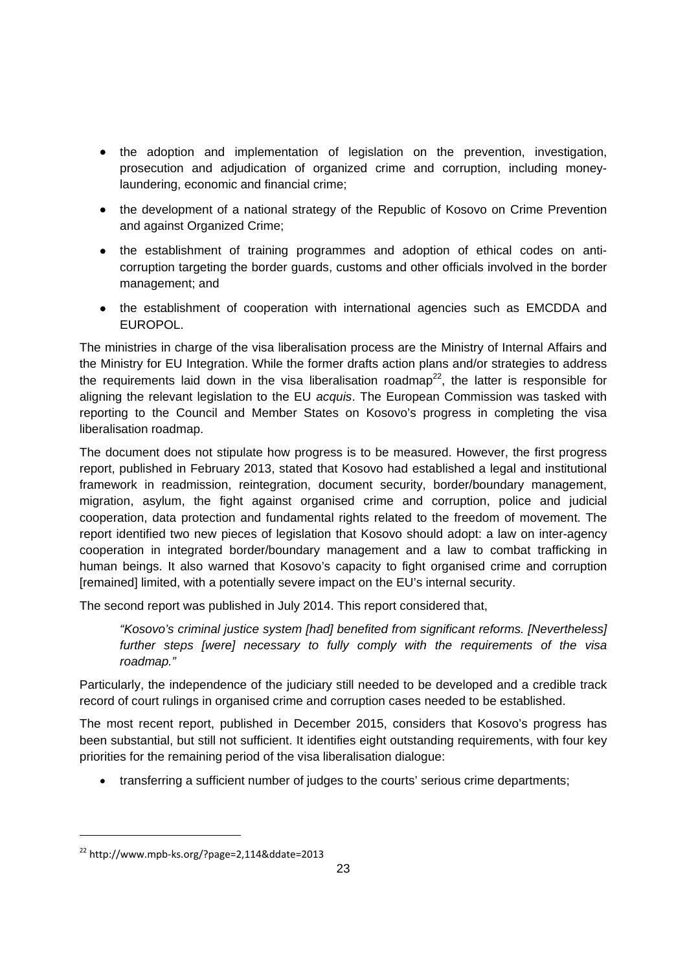- the adoption and implementation of legislation on the prevention, investigation, prosecution and adjudication of organized crime and corruption, including moneylaundering, economic and financial crime;
- the development of a national strategy of the Republic of Kosovo on Crime Prevention and against Organized Crime;
- the establishment of training programmes and adoption of ethical codes on anticorruption targeting the border guards, customs and other officials involved in the border management; and
- the establishment of cooperation with international agencies such as EMCDDA and **FUROPOL.**

The ministries in charge of the visa liberalisation process are the Ministry of Internal Affairs and the Ministry for EU Integration. While the former drafts action plans and/or strategies to address the requirements laid down in the visa liberalisation roadmap<sup>22</sup>, the latter is responsible for aligning the relevant legislation to the EU *acquis*. The European Commission was tasked with reporting to the Council and Member States on Kosovo's progress in completing the visa liberalisation roadmap.

The document does not stipulate how progress is to be measured. However, the first progress report, published in February 2013, stated that Kosovo had established a legal and institutional framework in readmission, reintegration, document security, border/boundary management, migration, asylum, the fight against organised crime and corruption, police and judicial cooperation, data protection and fundamental rights related to the freedom of movement. The report identified two new pieces of legislation that Kosovo should adopt: a law on inter-agency cooperation in integrated border/boundary management and a law to combat trafficking in human beings. It also warned that Kosovo's capacity to fight organised crime and corruption [remained] limited, with a potentially severe impact on the EU's internal security.

The second report was published in July 2014. This report considered that,

*"Kosovo's criminal justice system [had] benefited from significant reforms. [Nevertheless] further steps [were] necessary to fully comply with the requirements of the visa roadmap."* 

Particularly, the independence of the judiciary still needed to be developed and a credible track record of court rulings in organised crime and corruption cases needed to be established.

The most recent report, published in December 2015, considers that Kosovo's progress has been substantial, but still not sufficient. It identifies eight outstanding requirements, with four key priorities for the remaining period of the visa liberalisation dialogue:

transferring a sufficient number of judges to the courts' serious crime departments;

<sup>22</sup> http://www.mpb‐ks.org/?page=2,114&ddate=2013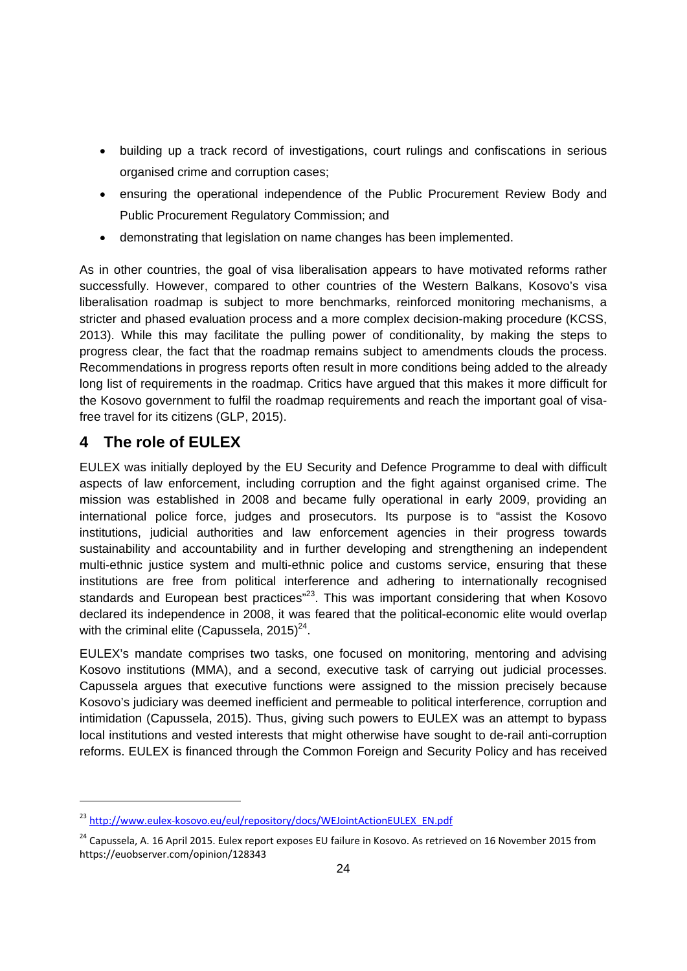- building up a track record of investigations, court rulings and confiscations in serious organised crime and corruption cases;
- ensuring the operational independence of the Public Procurement Review Body and Public Procurement Regulatory Commission; and
- demonstrating that legislation on name changes has been implemented.

As in other countries, the goal of visa liberalisation appears to have motivated reforms rather successfully. However, compared to other countries of the Western Balkans, Kosovo's visa liberalisation roadmap is subject to more benchmarks, reinforced monitoring mechanisms, a stricter and phased evaluation process and a more complex decision-making procedure (KCSS, 2013). While this may facilitate the pulling power of conditionality, by making the steps to progress clear, the fact that the roadmap remains subject to amendments clouds the process. Recommendations in progress reports often result in more conditions being added to the already long list of requirements in the roadmap. Critics have argued that this makes it more difficult for the Kosovo government to fulfil the roadmap requirements and reach the important goal of visafree travel for its citizens (GLP, 2015).

# **4 The role of EULEX**

1

EULEX was initially deployed by the EU Security and Defence Programme to deal with difficult aspects of law enforcement, including corruption and the fight against organised crime. The mission was established in 2008 and became fully operational in early 2009, providing an international police force, judges and prosecutors. Its purpose is to "assist the Kosovo institutions, judicial authorities and law enforcement agencies in their progress towards sustainability and accountability and in further developing and strengthening an independent multi-ethnic justice system and multi-ethnic police and customs service, ensuring that these institutions are free from political interference and adhering to internationally recognised standards and European best practices"<sup>23</sup>. This was important considering that when Kosovo declared its independence in 2008, it was feared that the political-economic elite would overlap with the criminal elite (Capussela,  $2015)^{24}$ .

EULEX's mandate comprises two tasks, one focused on monitoring, mentoring and advising Kosovo institutions (MMA), and a second, executive task of carrying out judicial processes. Capussela argues that executive functions were assigned to the mission precisely because Kosovo's judiciary was deemed inefficient and permeable to political interference, corruption and intimidation (Capussela, 2015). Thus, giving such powers to EULEX was an attempt to bypass local institutions and vested interests that might otherwise have sought to de-rail anti-corruption reforms. EULEX is financed through the Common Foreign and Security Policy and has received

<sup>&</sup>lt;sup>23</sup> http://www.eulex-kosovo.eu/eul/repository/docs/WEJointActionEULEX\_EN.pdf

<sup>&</sup>lt;sup>24</sup> Capussela, A. 16 April 2015. Eulex report exposes EU failure in Kosovo. As retrieved on 16 November 2015 from https://euobserver.com/opinion/128343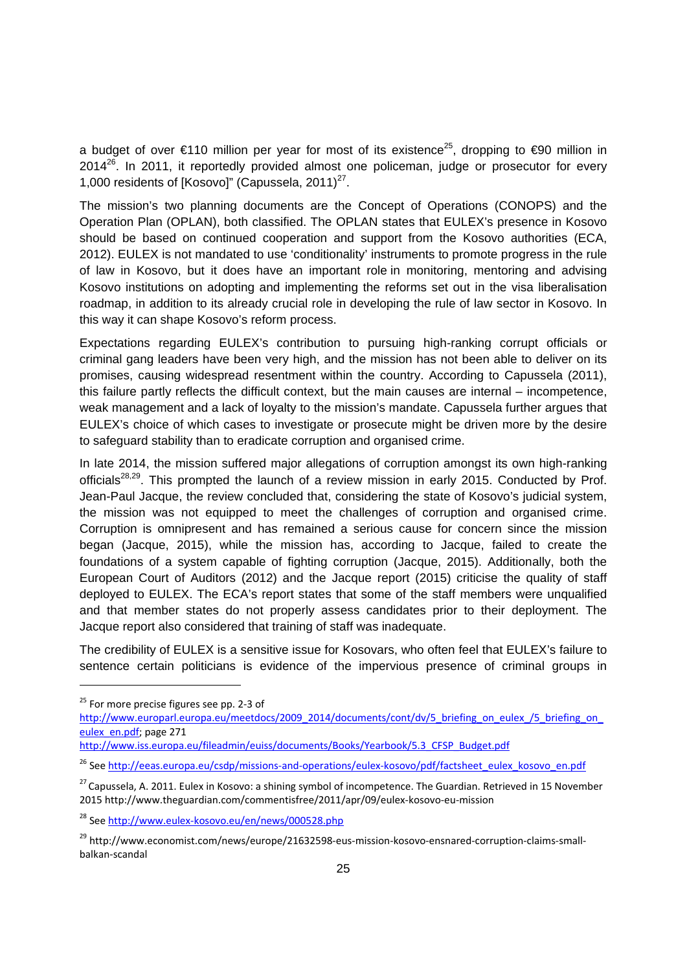a budget of over €110 million per year for most of its existence<sup>25</sup>, dropping to €90 million in  $2014^{26}$ . In 2011, it reportedly provided almost one policeman, judge or prosecutor for every 1,000 residents of [Kosovo]" (Capussela, 2011) $^{27}$ .

The mission's two planning documents are the Concept of Operations (CONOPS) and the Operation Plan (OPLAN), both classified. The OPLAN states that EULEX's presence in Kosovo should be based on continued cooperation and support from the Kosovo authorities (ECA, 2012). EULEX is not mandated to use 'conditionality' instruments to promote progress in the rule of law in Kosovo, but it does have an important role in monitoring, mentoring and advising Kosovo institutions on adopting and implementing the reforms set out in the visa liberalisation roadmap, in addition to its already crucial role in developing the rule of law sector in Kosovo. In this way it can shape Kosovo's reform process.

Expectations regarding EULEX's contribution to pursuing high-ranking corrupt officials or criminal gang leaders have been very high, and the mission has not been able to deliver on its promises, causing widespread resentment within the country. According to Capussela (2011), this failure partly reflects the difficult context, but the main causes are internal – incompetence, weak management and a lack of loyalty to the mission's mandate. Capussela further argues that EULEX's choice of which cases to investigate or prosecute might be driven more by the desire to safeguard stability than to eradicate corruption and organised crime.

In late 2014, the mission suffered major allegations of corruption amongst its own high-ranking officials<sup>28,29</sup>. This prompted the launch of a review mission in early 2015. Conducted by Prof. Jean-Paul Jacque, the review concluded that, considering the state of Kosovo's judicial system, the mission was not equipped to meet the challenges of corruption and organised crime. Corruption is omnipresent and has remained a serious cause for concern since the mission began (Jacque, 2015), while the mission has, according to Jacque, failed to create the foundations of a system capable of fighting corruption (Jacque, 2015). Additionally, both the European Court of Auditors (2012) and the Jacque report (2015) criticise the quality of staff deployed to EULEX. The ECA's report states that some of the staff members were unqualified and that member states do not properly assess candidates prior to their deployment. The Jacque report also considered that training of staff was inadequate.

The credibility of EULEX is a sensitive issue for Kosovars, who often feel that EULEX's failure to sentence certain politicians is evidence of the impervious presence of criminal groups in

-

http://www.iss.europa.eu/fileadmin/euiss/documents/Books/Yearbook/5.3\_CFSP\_Budget.pdf

 $25$  For more precise figures see pp. 2-3 of

http://www.europarl.europa.eu/meetdocs/2009\_2014/documents/cont/dv/5\_briefing\_on\_eulex\_/5\_briefing\_on eulex\_en.pdf; page 271

<sup>&</sup>lt;sup>26</sup> See http://eeas.europa.eu/csdp/missions-and-operations/eulex-kosovo/pdf/factsheet\_eulex\_kosovo\_en.pdf

<sup>&</sup>lt;sup>27</sup> Capussela, A. 2011. Eulex in Kosovo: a shining symbol of incompetence. The Guardian. Retrieved in 15 November 2015 http://www.theguardian.com/commentisfree/2011/apr/09/eulex‐kosovo‐eu‐mission

<sup>&</sup>lt;sup>28</sup> See http://www.eulex-kosovo.eu/en/news/000528.php

<sup>&</sup>lt;sup>29</sup> http://www.economist.com/news/europe/21632598-eus-mission-kosovo-ensnared-corruption-claims-smallbalkan‐scandal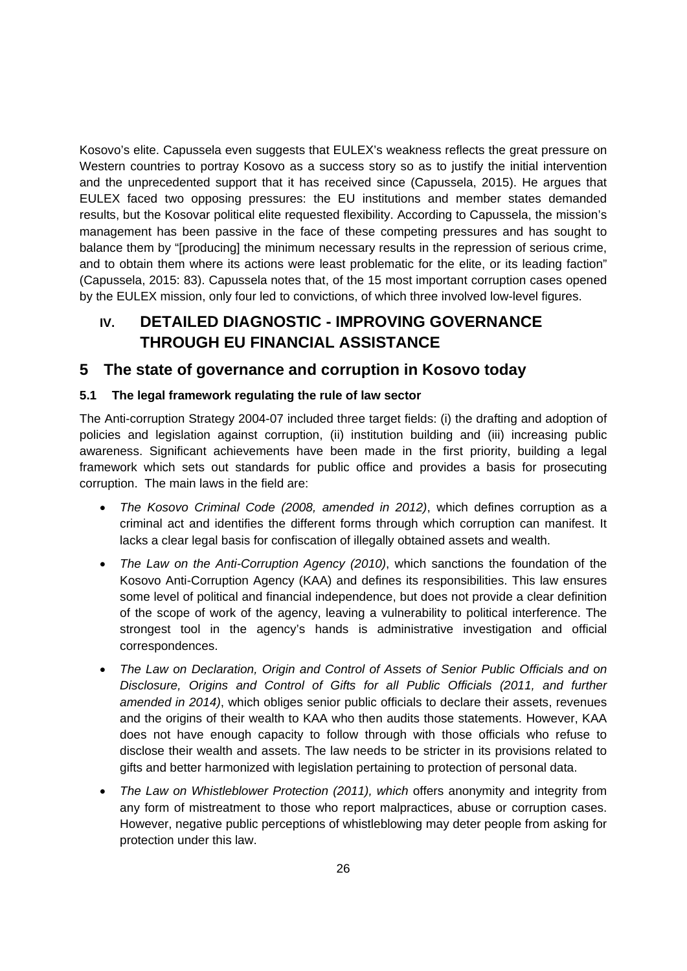Kosovo's elite. Capussela even suggests that EULEX's weakness reflects the great pressure on Western countries to portray Kosovo as a success story so as to justify the initial intervention and the unprecedented support that it has received since (Capussela, 2015). He argues that EULEX faced two opposing pressures: the EU institutions and member states demanded results, but the Kosovar political elite requested flexibility. According to Capussela, the mission's management has been passive in the face of these competing pressures and has sought to balance them by "[producing] the minimum necessary results in the repression of serious crime, and to obtain them where its actions were least problematic for the elite, or its leading faction" (Capussela, 2015: 83). Capussela notes that, of the 15 most important corruption cases opened by the EULEX mission, only four led to convictions, of which three involved low-level figures.

# **IV. DETAILED DIAGNOSTIC - IMPROVING GOVERNANCE THROUGH EU FINANCIAL ASSISTANCE**

# **5 The state of governance and corruption in Kosovo today**

#### **5.1 The legal framework regulating the rule of law sector**

The Anti-corruption Strategy 2004-07 included three target fields: (i) the drafting and adoption of policies and legislation against corruption, (ii) institution building and (iii) increasing public awareness. Significant achievements have been made in the first priority, building a legal framework which sets out standards for public office and provides a basis for prosecuting corruption. The main laws in the field are:

- *The Kosovo Criminal Code (2008, amended in 2012)*, which defines corruption as a criminal act and identifies the different forms through which corruption can manifest. It lacks a clear legal basis for confiscation of illegally obtained assets and wealth.
- *The Law on the Anti-Corruption Agency (2010)*, which sanctions the foundation of the Kosovo Anti-Corruption Agency (KAA) and defines its responsibilities. This law ensures some level of political and financial independence, but does not provide a clear definition of the scope of work of the agency, leaving a vulnerability to political interference. The strongest tool in the agency's hands is administrative investigation and official correspondences.
- *The Law on Declaration, Origin and Control of Assets of Senior Public Officials and on Disclosure, Origins and Control of Gifts for all Public Officials (2011, and further amended in 2014)*, which obliges senior public officials to declare their assets, revenues and the origins of their wealth to KAA who then audits those statements. However, KAA does not have enough capacity to follow through with those officials who refuse to disclose their wealth and assets. The law needs to be stricter in its provisions related to gifts and better harmonized with legislation pertaining to protection of personal data.
- *The Law on Whistleblower Protection (2011), which* offers anonymity and integrity from any form of mistreatment to those who report malpractices, abuse or corruption cases. However, negative public perceptions of whistleblowing may deter people from asking for protection under this law.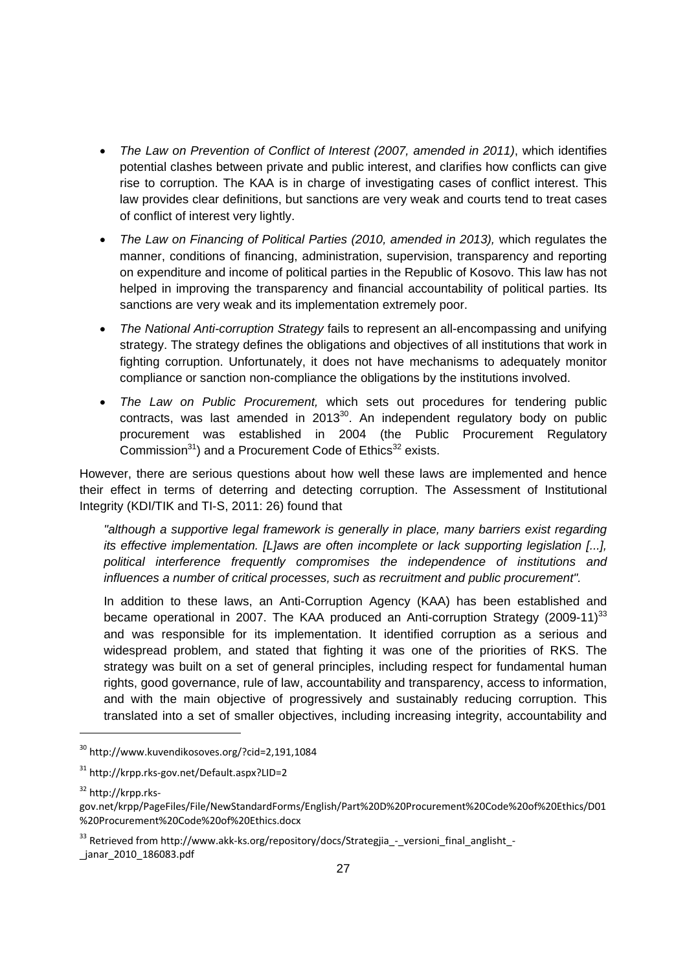- *The Law on Prevention of Conflict of Interest (2007, amended in 2011)*, which identifies potential clashes between private and public interest, and clarifies how conflicts can give rise to corruption. The KAA is in charge of investigating cases of conflict interest. This law provides clear definitions, but sanctions are very weak and courts tend to treat cases of conflict of interest very lightly.
- The Law on Financing of Political Parties (2010, amended in 2013), which regulates the manner, conditions of financing, administration, supervision, transparency and reporting on expenditure and income of political parties in the Republic of Kosovo. This law has not helped in improving the transparency and financial accountability of political parties. Its sanctions are very weak and its implementation extremely poor.
- *The National Anti-corruption Strategy* fails to represent an all-encompassing and unifying strategy. The strategy defines the obligations and objectives of all institutions that work in fighting corruption. Unfortunately, it does not have mechanisms to adequately monitor compliance or sanction non-compliance the obligations by the institutions involved.
- *The Law on Public Procurement,* which sets out procedures for tendering public contracts, was last amended in  $2013^{30}$ . An independent regulatory body on public procurement was established in 2004 (the Public Procurement Regulatory Commission<sup>31</sup>) and a Procurement Code of Ethics<sup>32</sup> exists.

However, there are serious questions about how well these laws are implemented and hence their effect in terms of deterring and detecting corruption. The Assessment of Institutional Integrity (KDI/TIK and TI-S, 2011: 26) found that

*"although a supportive legal framework is generally in place, many barriers exist regarding its effective implementation. [L]aws are often incomplete or lack supporting legislation [...], political interference frequently compromises the independence of institutions and influences a number of critical processes, such as recruitment and public procurement".* 

In addition to these laws, an Anti-Corruption Agency (KAA) has been established and became operational in 2007. The KAA produced an Anti-corruption Strategy (2009-11)<sup>33</sup> and was responsible for its implementation. It identified corruption as a serious and widespread problem, and stated that fighting it was one of the priorities of RKS. The strategy was built on a set of general principles, including respect for fundamental human rights, good governance, rule of law, accountability and transparency, access to information, and with the main objective of progressively and sustainably reducing corruption. This translated into a set of smaller objectives, including increasing integrity, accountability and

<sup>30</sup> http://www.kuvendikosoves.org/?cid=2,191,1084

<sup>31</sup> http://krpp.rks‐gov.net/Default.aspx?LID=2

<sup>32</sup> http://krpp.rks‐

gov.net/krpp/PageFiles/File/NewStandardForms/English/Part%20D%20Procurement%20Code%20of%20Ethics/D01 %20Procurement%20Code%20of%20Ethics.docx

<sup>33</sup> Retrieved from http://www.akk-ks.org/repository/docs/Strategjia\_-\_versioni\_final\_anglisht\_-\_janar\_2010\_186083.pdf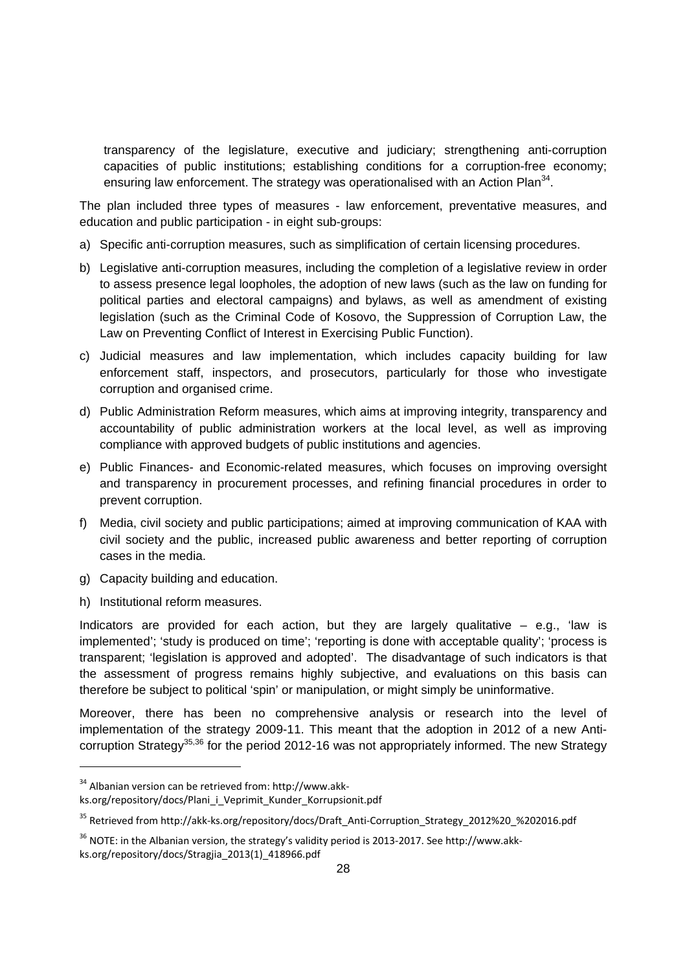transparency of the legislature, executive and judiciary; strengthening anti-corruption capacities of public institutions; establishing conditions for a corruption-free economy; ensuring law enforcement. The strategy was operationalised with an Action Plan<sup>34</sup>.

The plan included three types of measures - law enforcement, preventative measures, and education and public participation - in eight sub-groups:

- a) Specific anti-corruption measures, such as simplification of certain licensing procedures.
- b) Legislative anti-corruption measures, including the completion of a legislative review in order to assess presence legal loopholes, the adoption of new laws (such as the law on funding for political parties and electoral campaigns) and bylaws, as well as amendment of existing legislation (such as the Criminal Code of Kosovo, the Suppression of Corruption Law, the Law on Preventing Conflict of Interest in Exercising Public Function).
- c) Judicial measures and law implementation, which includes capacity building for law enforcement staff, inspectors, and prosecutors, particularly for those who investigate corruption and organised crime.
- d) Public Administration Reform measures, which aims at improving integrity, transparency and accountability of public administration workers at the local level, as well as improving compliance with approved budgets of public institutions and agencies.
- e) Public Finances- and Economic-related measures, which focuses on improving oversight and transparency in procurement processes, and refining financial procedures in order to prevent corruption.
- f) Media, civil society and public participations; aimed at improving communication of KAA with civil society and the public, increased public awareness and better reporting of corruption cases in the media.
- g) Capacity building and education.
- h) Institutional reform measures.

1

Indicators are provided for each action, but they are largely qualitative  $-$  e.g., 'law is implemented'; 'study is produced on time'; 'reporting is done with acceptable quality'; 'process is transparent; 'legislation is approved and adopted'. The disadvantage of such indicators is that the assessment of progress remains highly subjective, and evaluations on this basis can therefore be subject to political 'spin' or manipulation, or might simply be uninformative.

Moreover, there has been no comprehensive analysis or research into the level of implementation of the strategy 2009-11. This meant that the adoption in 2012 of a new Anticorruption Strategy<sup>35,36</sup> for the period 2012-16 was not appropriately informed. The new Strategy

<sup>34</sup> Albanian version can be retrieved from: http://www.akk‐

ks.org/repository/docs/Plani\_i\_Veprimit\_Kunder\_Korrupsionit.pdf

<sup>&</sup>lt;sup>35</sup> Retrieved from http://akk-ks.org/repository/docs/Draft\_Anti-Corruption\_Strategy\_2012%20\_%202016.pdf

<sup>&</sup>lt;sup>36</sup> NOTE: in the Albanian version, the strategy's validity period is 2013-2017. See http://www.akkks.org/repository/docs/Stragjia\_2013(1)\_418966.pdf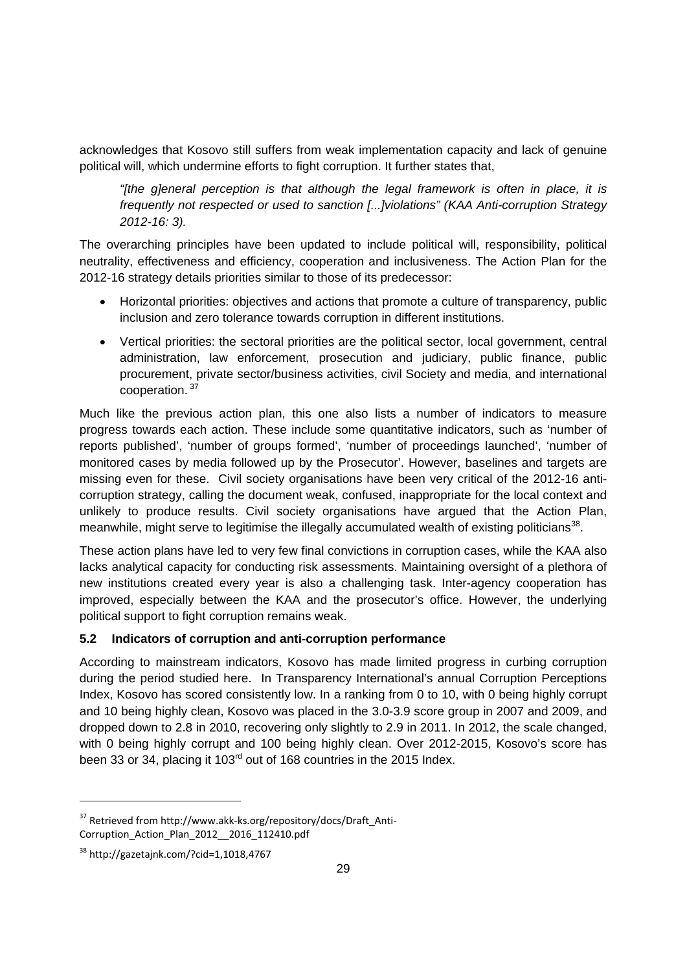acknowledges that Kosovo still suffers from weak implementation capacity and lack of genuine political will, which undermine efforts to fight corruption. It further states that,

*"[the g]eneral perception is that although the legal framework is often in place, it is frequently not respected or used to sanction [...]violations" (KAA Anti-corruption Strategy 2012-16: 3).* 

The overarching principles have been updated to include political will, responsibility, political neutrality, effectiveness and efficiency, cooperation and inclusiveness. The Action Plan for the 2012-16 strategy details priorities similar to those of its predecessor:

- Horizontal priorities: objectives and actions that promote a culture of transparency, public inclusion and zero tolerance towards corruption in different institutions.
- Vertical priorities: the sectoral priorities are the political sector, local government, central administration, law enforcement, prosecution and judiciary, public finance, public procurement, private sector/business activities, civil Society and media, and international cooperation. 37

Much like the previous action plan, this one also lists a number of indicators to measure progress towards each action. These include some quantitative indicators, such as 'number of reports published', 'number of groups formed', 'number of proceedings launched', 'number of monitored cases by media followed up by the Prosecutor'. However, baselines and targets are missing even for these. Civil society organisations have been very critical of the 2012-16 anticorruption strategy, calling the document weak, confused, inappropriate for the local context and unlikely to produce results. Civil society organisations have argued that the Action Plan, meanwhile, might serve to legitimise the illegally accumulated wealth of existing politicians<sup>38</sup>.

These action plans have led to very few final convictions in corruption cases, while the KAA also lacks analytical capacity for conducting risk assessments. Maintaining oversight of a plethora of new institutions created every year is also a challenging task. Inter-agency cooperation has improved, especially between the KAA and the prosecutor's office. However, the underlying political support to fight corruption remains weak.

#### **5.2 Indicators of corruption and anti-corruption performance**

According to mainstream indicators, Kosovo has made limited progress in curbing corruption during the period studied here. In Transparency International's annual Corruption Perceptions Index, Kosovo has scored consistently low. In a ranking from 0 to 10, with 0 being highly corrupt and 10 being highly clean, Kosovo was placed in the 3.0-3.9 score group in 2007 and 2009, and dropped down to 2.8 in 2010, recovering only slightly to 2.9 in 2011. In 2012, the scale changed, with 0 being highly corrupt and 100 being highly clean. Over 2012-2015, Kosovo's score has been 33 or 34, placing it 103<sup>rd</sup> out of 168 countries in the 2015 Index.

<sup>&</sup>lt;sup>37</sup> Retrieved from http://www.akk-ks.org/repository/docs/Draft\_Anti-Corruption\_Action\_Plan\_2012\_\_2016\_112410.pdf

<sup>38</sup> http://gazetajnk.com/?cid=1,1018,4767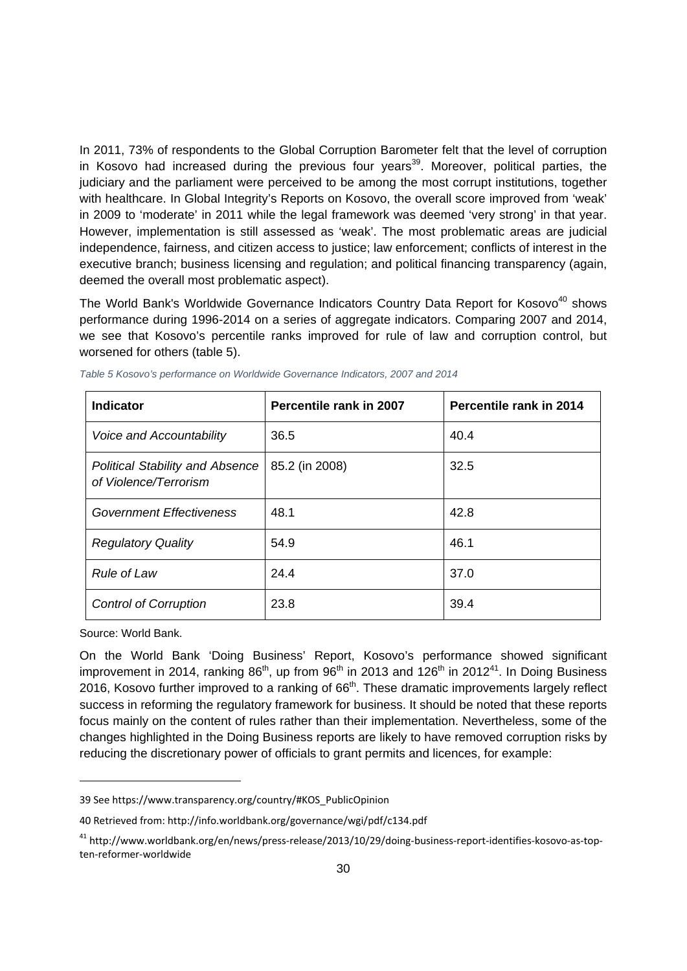In 2011, 73% of respondents to the Global Corruption Barometer felt that the level of corruption in Kosovo had increased during the previous four years<sup>39</sup>. Moreover, political parties, the judiciary and the parliament were perceived to be among the most corrupt institutions, together with healthcare. In Global Integrity's Reports on Kosovo, the overall score improved from 'weak' in 2009 to 'moderate' in 2011 while the legal framework was deemed 'very strong' in that year. However, implementation is still assessed as 'weak'. The most problematic areas are judicial independence, fairness, and citizen access to justice; law enforcement; conflicts of interest in the executive branch; business licensing and regulation; and political financing transparency (again, deemed the overall most problematic aspect).

The World Bank's Worldwide Governance Indicators Country Data Report for Kosovo<sup>40</sup> shows performance during 1996-2014 on a series of aggregate indicators. Comparing 2007 and 2014, we see that Kosovo's percentile ranks improved for rule of law and corruption control, but worsened for others (table 5).

| Indicator                                                       | Percentile rank in 2007 | Percentile rank in 2014 |
|-----------------------------------------------------------------|-------------------------|-------------------------|
| Voice and Accountability                                        | 36.5                    | 40.4                    |
| <b>Political Stability and Absence</b><br>of Violence/Terrorism | 85.2 (in 2008)          | 32.5                    |
| Government Effectiveness                                        | 48.1                    | 42.8                    |
| <b>Regulatory Quality</b>                                       | 54.9                    | 46.1                    |
| <b>Rule of Law</b>                                              | 24.4                    | 37.0                    |
| <b>Control of Corruption</b>                                    | 23.8                    | 39.4                    |

*Table 5 Kosovo's performance on Worldwide Governance Indicators, 2007 and 2014* 

Source: World Bank.

1

On the World Bank 'Doing Business' Report, Kosovo's performance showed significant improvement in 2014, ranking  $86<sup>th</sup>$ , up from  $96<sup>th</sup>$  in 2013 and 126<sup>th</sup> in 2012<sup>41</sup>. In Doing Business 2016, Kosovo further improved to a ranking of 66<sup>th</sup>. These dramatic improvements largely reflect success in reforming the regulatory framework for business. It should be noted that these reports focus mainly on the content of rules rather than their implementation. Nevertheless, some of the changes highlighted in the Doing Business reports are likely to have removed corruption risks by reducing the discretionary power of officials to grant permits and licences, for example:

<sup>39</sup> See https://www.transparency.org/country/#KOS\_PublicOpinion

<sup>40</sup> Retrieved from: http://info.worldbank.org/governance/wgi/pdf/c134.pdf

<sup>&</sup>lt;sup>41</sup> http://www.worldbank.org/en/news/press-release/2013/10/29/doing-business-report-identifies-kosovo-as-topten‐reformer‐worldwide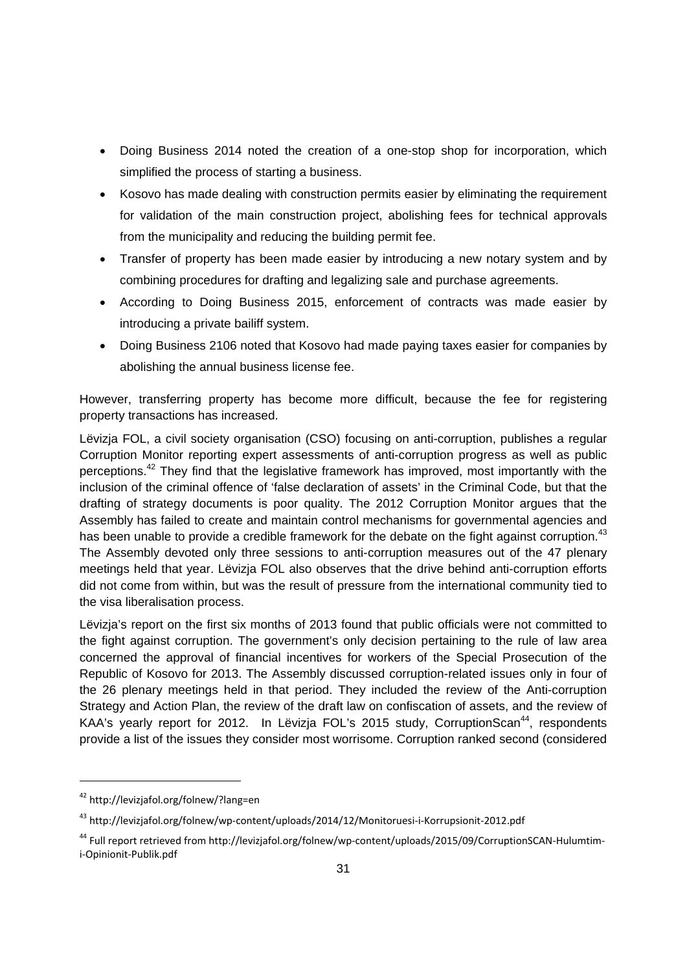- Doing Business 2014 noted the creation of a one-stop shop for incorporation, which simplified the process of starting a business.
- Kosovo has made dealing with construction permits easier by eliminating the requirement for validation of the main construction project, abolishing fees for technical approvals from the municipality and reducing the building permit fee.
- Transfer of property has been made easier by introducing a new notary system and by combining procedures for drafting and legalizing sale and purchase agreements.
- According to Doing Business 2015, enforcement of contracts was made easier by introducing a private bailiff system.
- Doing Business 2106 noted that Kosovo had made paying taxes easier for companies by abolishing the annual business license fee.

However, transferring property has become more difficult, because the fee for registering property transactions has increased.

Lëvizja FOL, a civil society organisation (CSO) focusing on anti-corruption, publishes a regular Corruption Monitor reporting expert assessments of anti-corruption progress as well as public perceptions.<sup>42</sup> They find that the legislative framework has improved, most importantly with the inclusion of the criminal offence of 'false declaration of assets' in the Criminal Code, but that the drafting of strategy documents is poor quality. The 2012 Corruption Monitor argues that the Assembly has failed to create and maintain control mechanisms for governmental agencies and has been unable to provide a credible framework for the debate on the fight against corruption.<sup>43</sup> The Assembly devoted only three sessions to anti-corruption measures out of the 47 plenary meetings held that year. Lëvizja FOL also observes that the drive behind anti-corruption efforts did not come from within, but was the result of pressure from the international community tied to the visa liberalisation process.

Lëvizja's report on the first six months of 2013 found that public officials were not committed to the fight against corruption. The government's only decision pertaining to the rule of law area concerned the approval of financial incentives for workers of the Special Prosecution of the Republic of Kosovo for 2013. The Assembly discussed corruption-related issues only in four of the 26 plenary meetings held in that period. They included the review of the Anti-corruption Strategy and Action Plan, the review of the draft law on confiscation of assets, and the review of KAA's yearly report for 2012. In Lëvizia FOL's 2015 study, CorruptionScan<sup>44</sup>, respondents provide a list of the issues they consider most worrisome. Corruption ranked second (considered

<sup>42</sup> http://levizjafol.org/folnew/?lang=en

<sup>&</sup>lt;sup>43</sup> http://levizjafol.org/folnew/wp-content/uploads/2014/12/Monitoruesi-i-Korrupsionit-2012.pdf

<sup>&</sup>lt;sup>44</sup> Full report retrieved from http://levizjafol.org/folnew/wp-content/uploads/2015/09/CorruptionSCAN-Hulumtimi‐Opinionit‐Publik.pdf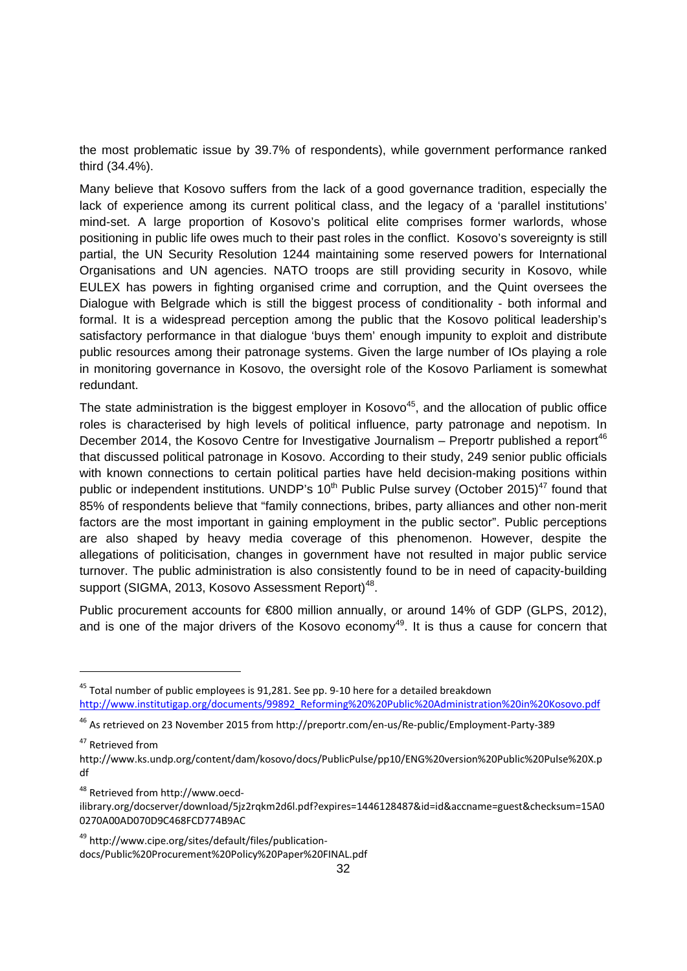the most problematic issue by 39.7% of respondents), while government performance ranked third (34.4%).

Many believe that Kosovo suffers from the lack of a good governance tradition, especially the lack of experience among its current political class, and the legacy of a 'parallel institutions' mind-set. A large proportion of Kosovo's political elite comprises former warlords, whose positioning in public life owes much to their past roles in the conflict. Kosovo's sovereignty is still partial, the UN Security Resolution 1244 maintaining some reserved powers for International Organisations and UN agencies. NATO troops are still providing security in Kosovo, while EULEX has powers in fighting organised crime and corruption, and the Quint oversees the Dialogue with Belgrade which is still the biggest process of conditionality - both informal and formal. It is a widespread perception among the public that the Kosovo political leadership's satisfactory performance in that dialogue 'buys them' enough impunity to exploit and distribute public resources among their patronage systems. Given the large number of IOs playing a role in monitoring governance in Kosovo, the oversight role of the Kosovo Parliament is somewhat redundant.

The state administration is the biggest employer in Kosovo<sup>45</sup>, and the allocation of public office roles is characterised by high levels of political influence, party patronage and nepotism. In December 2014, the Kosovo Centre for Investigative Journalism – Preportr published a report<sup>46</sup> that discussed political patronage in Kosovo. According to their study, 249 senior public officials with known connections to certain political parties have held decision-making positions within public or independent institutions. UNDP's  $10<sup>th</sup>$  Public Pulse survey (October 2015)<sup>47</sup> found that 85% of respondents believe that "family connections, bribes, party alliances and other non-merit factors are the most important in gaining employment in the public sector". Public perceptions are also shaped by heavy media coverage of this phenomenon. However, despite the allegations of politicisation, changes in government have not resulted in major public service turnover. The public administration is also consistently found to be in need of capacity-building support (SIGMA, 2013, Kosovo Assessment Report)<sup>48</sup>.

Public procurement accounts for €800 million annually, or around 14% of GDP (GLPS, 2012), and is one of the major drivers of the Kosovo economy<sup>49</sup>. It is thus a cause for concern that

<sup>47</sup> Retrieved from

1

<sup>48</sup> Retrieved from http://www.oecd‐

 $45$  Total number of public employees is 91,281. See pp. 9-10 here for a detailed breakdown http://www.institutigap.org/documents/99892\_Reforming%20%20Public%20Administration%20in%20Kosovo.pdf

<sup>46</sup> As retrieved on 23 November 2015 from http://preportr.com/en‐us/Re‐public/Employment‐Party‐389

http://www.ks.undp.org/content/dam/kosovo/docs/PublicPulse/pp10/ENG%20version%20Public%20Pulse%20X.p df

ilibrary.org/docserver/download/5jz2rqkm2d6l.pdf?expires=1446128487&id=id&accname=guest&checksum=15A0 0270A00AD070D9C468FCD774B9AC

<sup>49</sup> http://www.cipe.org/sites/default/files/publication‐ docs/Public%20Procurement%20Policy%20Paper%20FINAL.pdf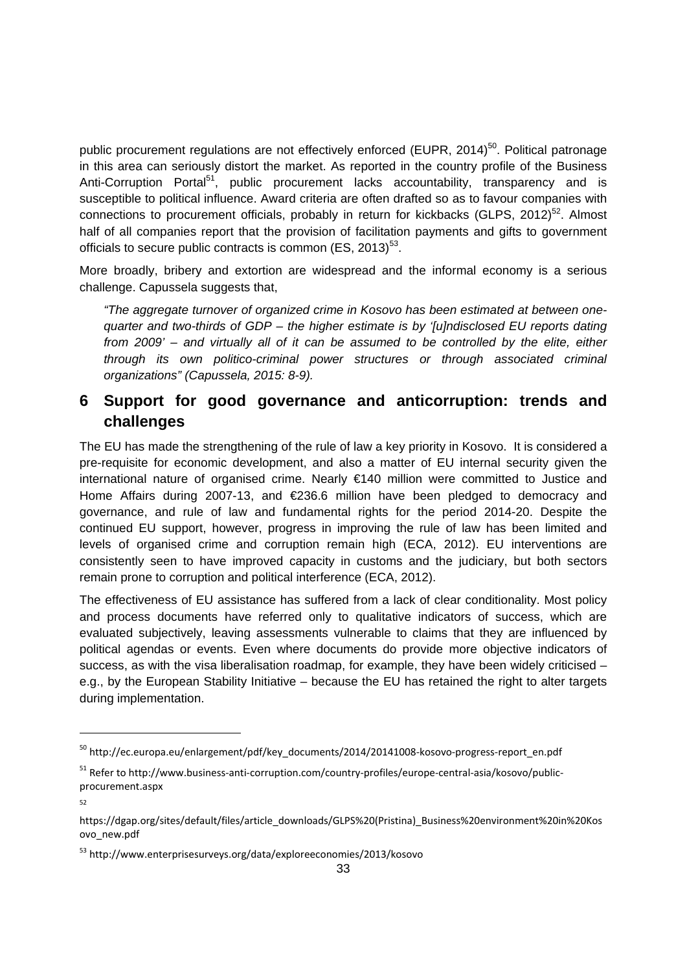public procurement regulations are not effectively enforced (EUPR, 2014)<sup>50</sup>. Political patronage in this area can seriously distort the market. As reported in the country profile of the Business Anti-Corruption Portal<sup>51</sup>, public procurement lacks accountability, transparency and is susceptible to political influence. Award criteria are often drafted so as to favour companies with connections to procurement officials, probably in return for kickbacks (GLPS, 2012)<sup>52</sup>. Almost half of all companies report that the provision of facilitation payments and gifts to government officials to secure public contracts is common  $(ES, 2013)^{53}$ .

More broadly, bribery and extortion are widespread and the informal economy is a serious challenge. Capussela suggests that,

*"The aggregate turnover of organized crime in Kosovo has been estimated at between onequarter and two-thirds of GDP – the higher estimate is by '[u]ndisclosed EU reports dating from 2009' – and virtually all of it can be assumed to be controlled by the elite, either through its own politico-criminal power structures or through associated criminal organizations" (Capussela, 2015: 8-9).*

# **6 Support for good governance and anticorruption: trends and challenges**

The EU has made the strengthening of the rule of law a key priority in Kosovo. It is considered a pre-requisite for economic development, and also a matter of EU internal security given the international nature of organised crime. Nearly €140 million were committed to Justice and Home Affairs during 2007-13, and €236.6 million have been pledged to democracy and governance, and rule of law and fundamental rights for the period 2014-20. Despite the continued EU support, however, progress in improving the rule of law has been limited and levels of organised crime and corruption remain high (ECA, 2012). EU interventions are consistently seen to have improved capacity in customs and the judiciary, but both sectors remain prone to corruption and political interference (ECA, 2012).

The effectiveness of EU assistance has suffered from a lack of clear conditionality. Most policy and process documents have referred only to qualitative indicators of success, which are evaluated subjectively, leaving assessments vulnerable to claims that they are influenced by political agendas or events. Even where documents do provide more objective indicators of success, as with the visa liberalisation roadmap, for example, they have been widely criticised – e.g., by the European Stability Initiative – because the EU has retained the right to alter targets during implementation.

<sup>&</sup>lt;sup>50</sup> http://ec.europa.eu/enlargement/pdf/key\_documents/2014/20141008-kosovo-progress-report\_en.pdf

<sup>51</sup> Refer to http://www.business-anti-corruption.com/country-profiles/europe-central-asia/kosovo/publicprocurement.aspx

<sup>52</sup>

https://dgap.org/sites/default/files/article\_downloads/GLPS%20(Pristina)\_Business%20environment%20in%20Kos ovo\_new.pdf

<sup>53</sup> http://www.enterprisesurveys.org/data/exploreeconomies/2013/kosovo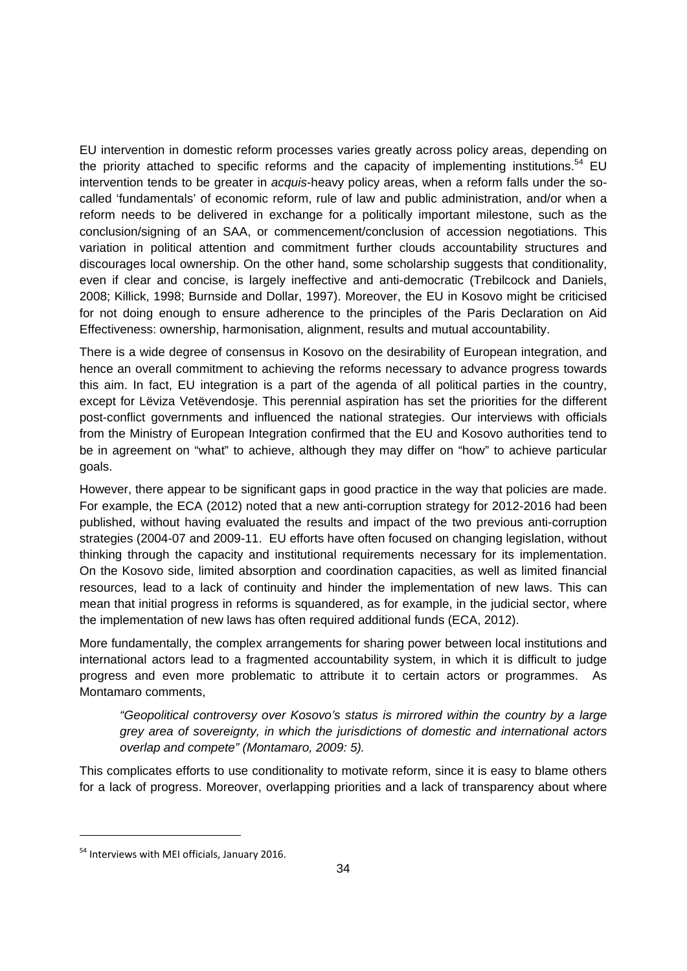EU intervention in domestic reform processes varies greatly across policy areas, depending on the priority attached to specific reforms and the capacity of implementing institutions.<sup>54</sup> EU intervention tends to be greater in *acquis*-heavy policy areas, when a reform falls under the socalled 'fundamentals' of economic reform, rule of law and public administration, and/or when a reform needs to be delivered in exchange for a politically important milestone, such as the conclusion/signing of an SAA, or commencement/conclusion of accession negotiations. This variation in political attention and commitment further clouds accountability structures and discourages local ownership. On the other hand, some scholarship suggests that conditionality, even if clear and concise, is largely ineffective and anti-democratic (Trebilcock and Daniels, 2008; Killick, 1998; Burnside and Dollar, 1997). Moreover, the EU in Kosovo might be criticised for not doing enough to ensure adherence to the principles of the Paris Declaration on Aid Effectiveness: ownership, harmonisation, alignment, results and mutual accountability.

There is a wide degree of consensus in Kosovo on the desirability of European integration, and hence an overall commitment to achieving the reforms necessary to advance progress towards this aim. In fact, EU integration is a part of the agenda of all political parties in the country, except for Lëviza Vetëvendosje. This perennial aspiration has set the priorities for the different post-conflict governments and influenced the national strategies. Our interviews with officials from the Ministry of European Integration confirmed that the EU and Kosovo authorities tend to be in agreement on "what" to achieve, although they may differ on "how" to achieve particular goals.

However, there appear to be significant gaps in good practice in the way that policies are made. For example, the ECA (2012) noted that a new anti-corruption strategy for 2012-2016 had been published, without having evaluated the results and impact of the two previous anti-corruption strategies (2004-07 and 2009-11. EU efforts have often focused on changing legislation, without thinking through the capacity and institutional requirements necessary for its implementation. On the Kosovo side, limited absorption and coordination capacities, as well as limited financial resources, lead to a lack of continuity and hinder the implementation of new laws. This can mean that initial progress in reforms is squandered, as for example, in the judicial sector, where the implementation of new laws has often required additional funds (ECA, 2012).

More fundamentally, the complex arrangements for sharing power between local institutions and international actors lead to a fragmented accountability system, in which it is difficult to judge progress and even more problematic to attribute it to certain actors or programmes. As Montamaro comments,

*"Geopolitical controversy over Kosovo's status is mirrored within the country by a large grey area of sovereignty, in which the jurisdictions of domestic and international actors overlap and compete" (Montamaro, 2009: 5).* 

This complicates efforts to use conditionality to motivate reform, since it is easy to blame others for a lack of progress. Moreover, overlapping priorities and a lack of transparency about where

<sup>&</sup>lt;sup>54</sup> Interviews with MEI officials, January 2016.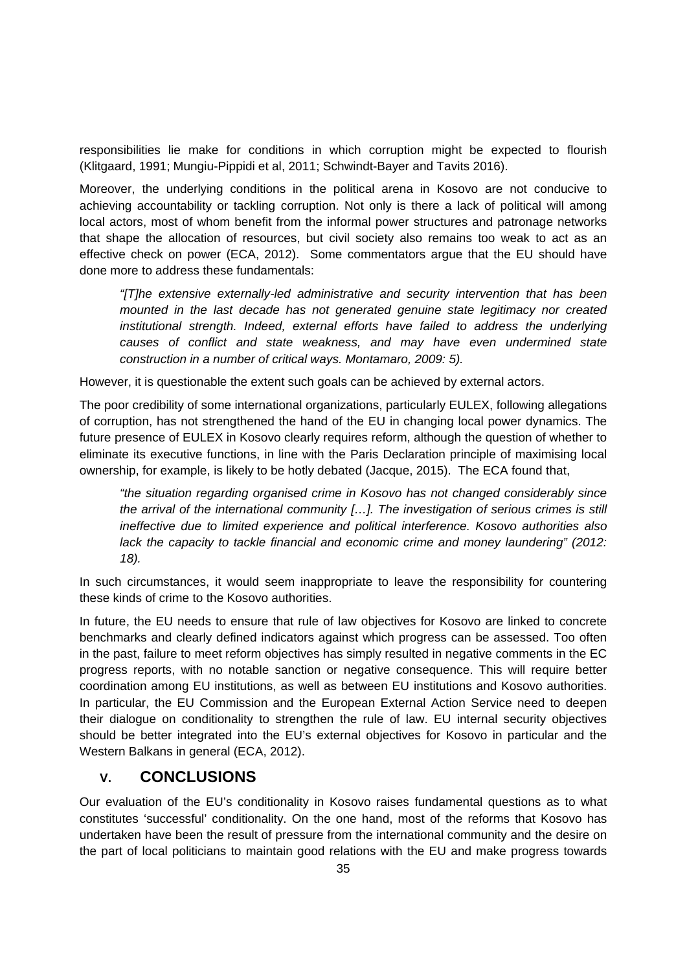responsibilities lie make for conditions in which corruption might be expected to flourish (Klitgaard, 1991; Mungiu-Pippidi et al, 2011; Schwindt-Bayer and Tavits 2016).

Moreover, the underlying conditions in the political arena in Kosovo are not conducive to achieving accountability or tackling corruption. Not only is there a lack of political will among local actors, most of whom benefit from the informal power structures and patronage networks that shape the allocation of resources, but civil society also remains too weak to act as an effective check on power (ECA, 2012). Some commentators argue that the EU should have done more to address these fundamentals:

*"[T]he extensive externally-led administrative and security intervention that has been mounted in the last decade has not generated genuine state legitimacy nor created institutional strength. Indeed, external efforts have failed to address the underlying causes of conflict and state weakness, and may have even undermined state construction in a number of critical ways. Montamaro, 2009: 5).*

However, it is questionable the extent such goals can be achieved by external actors.

The poor credibility of some international organizations, particularly EULEX, following allegations of corruption, has not strengthened the hand of the EU in changing local power dynamics. The future presence of EULEX in Kosovo clearly requires reform, although the question of whether to eliminate its executive functions, in line with the Paris Declaration principle of maximising local ownership, for example, is likely to be hotly debated (Jacque, 2015). The ECA found that,

*"the situation regarding organised crime in Kosovo has not changed considerably since the arrival of the international community […]. The investigation of serious crimes is still ineffective due to limited experience and political interference. Kosovo authorities also lack the capacity to tackle financial and economic crime and money laundering" (2012: 18).* 

In such circumstances, it would seem inappropriate to leave the responsibility for countering these kinds of crime to the Kosovo authorities.

In future, the EU needs to ensure that rule of law objectives for Kosovo are linked to concrete benchmarks and clearly defined indicators against which progress can be assessed. Too often in the past, failure to meet reform objectives has simply resulted in negative comments in the EC progress reports, with no notable sanction or negative consequence. This will require better coordination among EU institutions, as well as between EU institutions and Kosovo authorities. In particular, the EU Commission and the European External Action Service need to deepen their dialogue on conditionality to strengthen the rule of law. EU internal security objectives should be better integrated into the EU's external objectives for Kosovo in particular and the Western Balkans in general (ECA, 2012).

# **V. CONCLUSIONS**

Our evaluation of the EU's conditionality in Kosovo raises fundamental questions as to what constitutes 'successful' conditionality. On the one hand, most of the reforms that Kosovo has undertaken have been the result of pressure from the international community and the desire on the part of local politicians to maintain good relations with the EU and make progress towards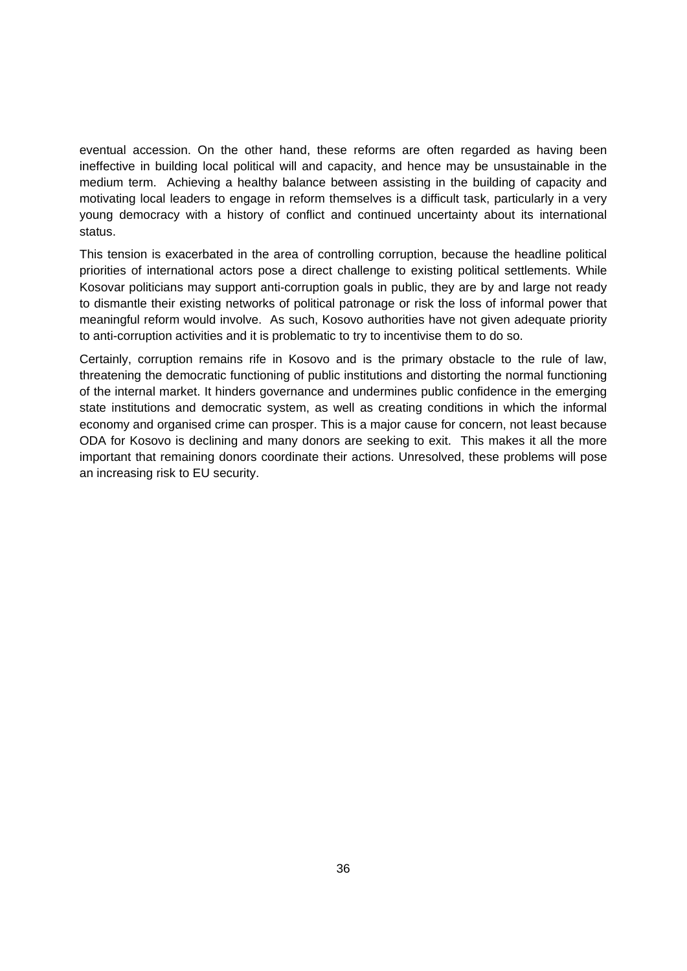eventual accession. On the other hand, these reforms are often regarded as having been ineffective in building local political will and capacity, and hence may be unsustainable in the medium term. Achieving a healthy balance between assisting in the building of capacity and motivating local leaders to engage in reform themselves is a difficult task, particularly in a very young democracy with a history of conflict and continued uncertainty about its international status.

This tension is exacerbated in the area of controlling corruption, because the headline political priorities of international actors pose a direct challenge to existing political settlements. While Kosovar politicians may support anti-corruption goals in public, they are by and large not ready to dismantle their existing networks of political patronage or risk the loss of informal power that meaningful reform would involve. As such, Kosovo authorities have not given adequate priority to anti-corruption activities and it is problematic to try to incentivise them to do so.

Certainly, corruption remains rife in Kosovo and is the primary obstacle to the rule of law, threatening the democratic functioning of public institutions and distorting the normal functioning of the internal market. It hinders governance and undermines public confidence in the emerging state institutions and democratic system, as well as creating conditions in which the informal economy and organised crime can prosper. This is a major cause for concern, not least because ODA for Kosovo is declining and many donors are seeking to exit. This makes it all the more important that remaining donors coordinate their actions. Unresolved, these problems will pose an increasing risk to EU security.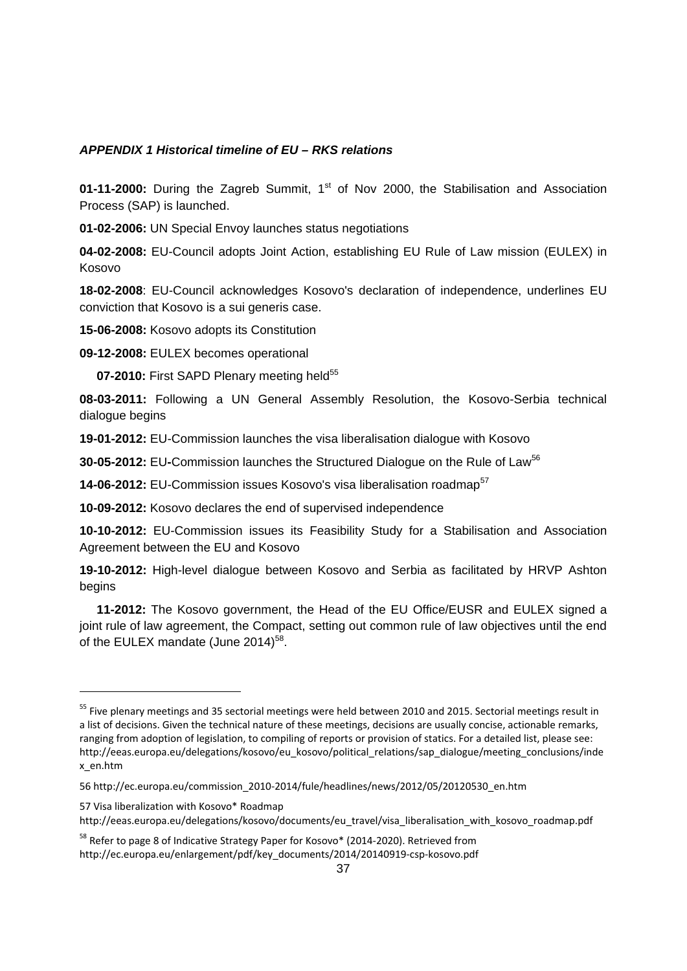#### *APPENDIX 1 Historical timeline of EU – RKS relations*

**01-11-2000:** During the Zagreb Summit, 1<sup>st</sup> of Nov 2000, the Stabilisation and Association Process (SAP) is launched.

**01-02-2006:** UN Special Envoy launches status negotiations

**04-02-2008:** EU-Council adopts Joint Action, establishing EU Rule of Law mission (EULEX) in Kosovo

**18-02-2008**: EU-Council acknowledges Kosovo's declaration of independence, underlines EU conviction that Kosovo is a sui generis case.

**15-06-2008:** Kosovo adopts its Constitution

**09-12-2008:** EULEX becomes operational

1

07-2010: First SAPD Plenary meeting held<sup>55</sup>

**08-03-2011:** Following a UN General Assembly Resolution, the Kosovo-Serbia technical dialogue begins

**19-01-2012:** EU-Commission launches the visa liberalisation dialogue with Kosovo

**30-05-2012:** EU**-**Commission launches the Structured Dialogue on the Rule of Law<sup>56</sup>

**14-06-2012:** EU-Commission issues Kosovo's visa liberalisation roadmap<sup>57</sup>

**10-09-2012:** Kosovo declares the end of supervised independence

**10-10-2012:** EU-Commission issues its Feasibility Study for a Stabilisation and Association Agreement between the EU and Kosovo

**19-10-2012:** High-level dialogue between Kosovo and Serbia as facilitated by HRVP Ashton begins

 **11-2012:** The Kosovo government, the Head of the EU Office/EUSR and EULEX signed a joint rule of law agreement, the Compact, setting out common rule of law objectives until the end of the EULEX mandate (June  $2014$ <sup>58</sup>.

<sup>&</sup>lt;sup>55</sup> Five plenary meetings and 35 sectorial meetings were held between 2010 and 2015. Sectorial meetings result in a list of decisions. Given the technical nature of these meetings, decisions are usually concise, actionable remarks, ranging from adoption of legislation, to compiling of reports or provision of statics. For a detailed list, please see: http://eeas.europa.eu/delegations/kosovo/eu\_kosovo/political\_relations/sap\_dialogue/meeting\_conclusions/inde x\_en.htm

<sup>56</sup> http://ec.europa.eu/commission\_2010‐2014/fule/headlines/news/2012/05/20120530\_en.htm

<sup>57</sup> Visa liberalization with Kosovo\* Roadmap http://eeas.europa.eu/delegations/kosovo/documents/eu\_travel/visa\_liberalisation\_with\_kosovo\_roadmap.pdf

<sup>&</sup>lt;sup>58</sup> Refer to page 8 of Indicative Strategy Paper for Kosovo\* (2014-2020). Retrieved from http://ec.europa.eu/enlargement/pdf/key\_documents/2014/20140919‐csp‐kosovo.pdf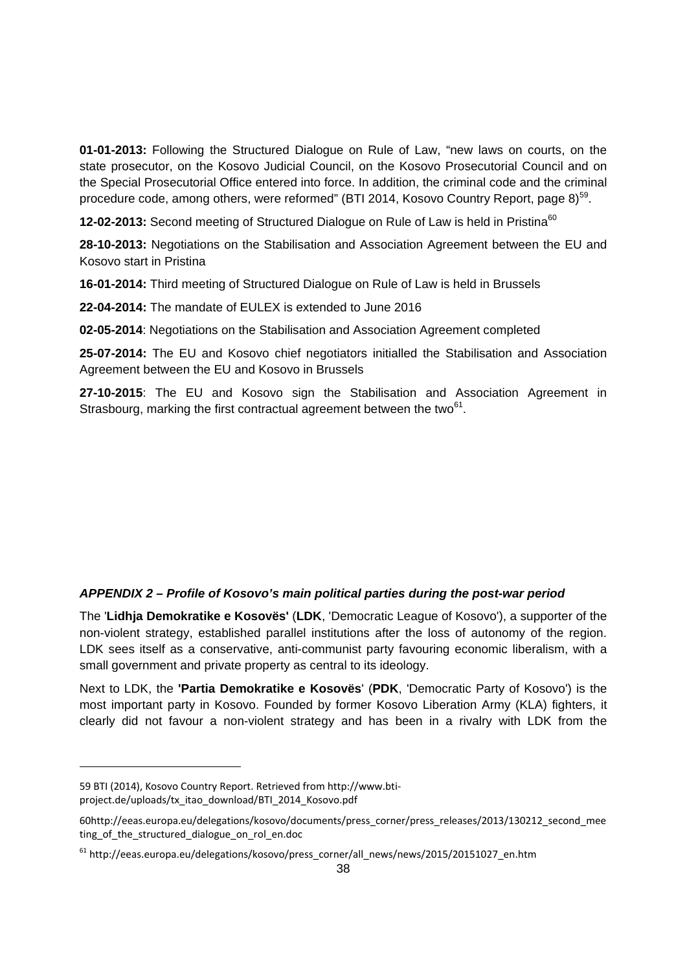**01-01-2013:** Following the Structured Dialogue on Rule of Law, "new laws on courts, on the state prosecutor, on the Kosovo Judicial Council, on the Kosovo Prosecutorial Council and on the Special Prosecutorial Office entered into force. In addition, the criminal code and the criminal procedure code, among others, were reformed" (BTI 2014, Kosovo Country Report, page  $8$ )<sup>59</sup>.

**12-02-2013:** Second meeting of Structured Dialogue on Rule of Law is held in Pristina<sup>60</sup>

**28-10-2013:** Negotiations on the Stabilisation and Association Agreement between the EU and Kosovo start in Pristina

**16-01-2014:** Third meeting of Structured Dialogue on Rule of Law is held in Brussels

**22-04-2014:** The mandate of EULEX is extended to June 2016

**02-05-2014**: Negotiations on the Stabilisation and Association Agreement completed

**25-07-2014:** The EU and Kosovo chief negotiators initialled the Stabilisation and Association Agreement between the EU and Kosovo in Brussels

**27-10-2015**: The EU and Kosovo sign the Stabilisation and Association Agreement in Strasbourg, marking the first contractual agreement between the two $61$ .

#### *APPENDIX 2 – Profile of Kosovo's main political parties during the post-war period*

The '**Lidhja Demokratike e Kosovës'** (**LDK**, 'Democratic League of Kosovo'), a supporter of the non-violent strategy, established parallel institutions after the loss of autonomy of the region. LDK sees itself as a conservative, anti-communist party favouring economic liberalism, with a small government and private property as central to its ideology.

Next to LDK, the **'Partia Demokratike e Kosovës**' (**PDK**, 'Democratic Party of Kosovo') is the most important party in Kosovo. Founded by former Kosovo Liberation Army (KLA) fighters, it clearly did not favour a non-violent strategy and has been in a rivalry with LDK from the

<sup>59</sup> BTI (2014), Kosovo Country Report. Retrieved from http://www.bti‐ project.de/uploads/tx\_itao\_download/BTI\_2014\_Kosovo.pdf

<sup>60</sup>http://eeas.europa.eu/delegations/kosovo/documents/press\_corner/press\_releases/2013/130212\_second\_mee ting of the structured dialogue on rol en.doc

<sup>61</sup> http://eeas.europa.eu/delegations/kosovo/press\_corner/all\_news/news/2015/20151027\_en.htm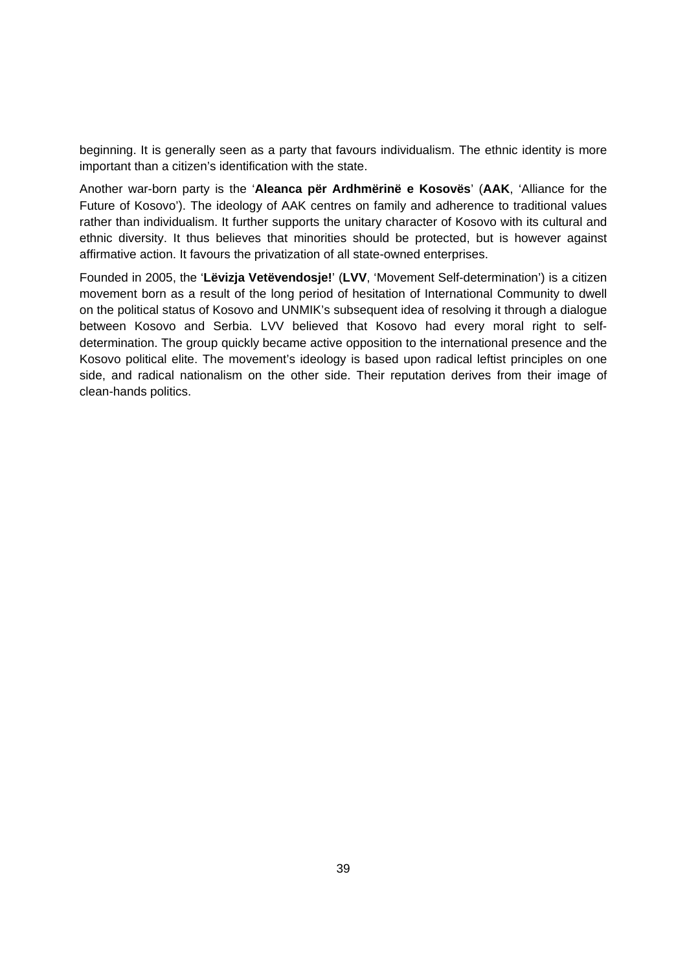beginning. It is generally seen as a party that favours individualism. The ethnic identity is more important than a citizen's identification with the state.

Another war-born party is the '**Aleanca për Ardhmërinë e Kosovës**' (**AAK**, 'Alliance for the Future of Kosovo'). The ideology of AAK centres on family and adherence to traditional values rather than individualism. It further supports the unitary character of Kosovo with its cultural and ethnic diversity. It thus believes that minorities should be protected, but is however against affirmative action. It favours the privatization of all state-owned enterprises.

Founded in 2005, the '**Lëvizja Vetëvendosje!**' (**LVV**, 'Movement Self-determination') is a citizen movement born as a result of the long period of hesitation of International Community to dwell on the political status of Kosovo and UNMIK's subsequent idea of resolving it through a dialogue between Kosovo and Serbia. LVV believed that Kosovo had every moral right to selfdetermination. The group quickly became active opposition to the international presence and the Kosovo political elite. The movement's ideology is based upon radical leftist principles on one side, and radical nationalism on the other side. Their reputation derives from their image of clean-hands politics.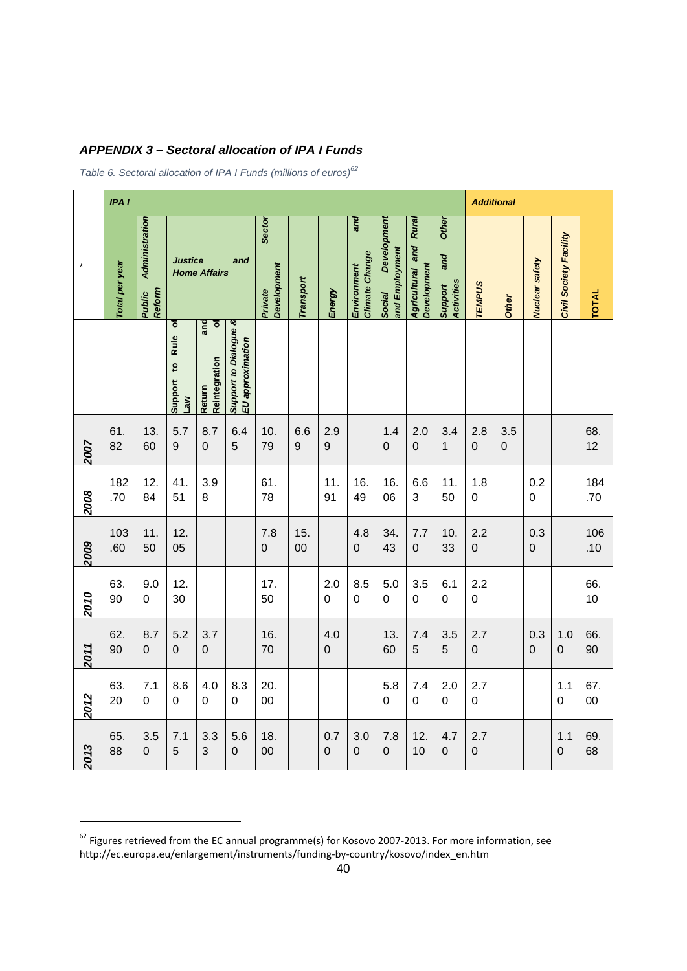|  | <b>APPENDIX 3-Sectoral allocation of IPA I Funds</b> |
|--|------------------------------------------------------|
|--|------------------------------------------------------|

*Table 6. Sectoral allocation of IPA I Funds (millions of euros)<sup>62</sup>*

|      | IPA <sub>I</sub> |                                    |                                                                |                                     |                                           |                                  |                         |                         |                                             |                                               |                                                 |                                              |                       | <b>Additional</b>  |                       |                        |               |  |  |
|------|------------------|------------------------------------|----------------------------------------------------------------|-------------------------------------|-------------------------------------------|----------------------------------|-------------------------|-------------------------|---------------------------------------------|-----------------------------------------------|-------------------------------------------------|----------------------------------------------|-----------------------|--------------------|-----------------------|------------------------|---------------|--|--|
|      | Total per year   | Administration<br>Reform<br>Public | <b>Justice</b><br>and<br><b>Home Affairs</b>                   |                                     |                                           | Sector<br>Development<br>Private | <b>Transport</b>        | Energy                  | and<br><b>Climate Change</b><br>Environment | Developmen<br>and Employment<br><b>Social</b> | Rural<br>Agricultural and<br><b>Development</b> | <b>Other</b><br>and<br>Activities<br>Support | <b>TEMPUS</b>         | <b>Other</b>       | Nuclear safety        | Civil Society Facility | <b>TOTAL</b>  |  |  |
|      |                  |                                    | $\overline{\sigma}$<br><b>Rule</b><br>Support to<br><b>Law</b> | and<br>৳<br>Reintegration<br>Return | Support to Dialogue &<br>EU approximation |                                  |                         |                         |                                             |                                               |                                                 |                                              |                       |                    |                       |                        |               |  |  |
| 2007 | 61.<br>82        | 13.<br>60                          | 5.7<br>9                                                       | 8.7<br>$\mathbf 0$                  | 6.4<br>5                                  | 10.<br>79                        | 6.6<br>$\boldsymbol{9}$ | 2.9<br>$\boldsymbol{9}$ |                                             | 1.4<br>$\mathbf 0$                            | 2.0<br>0                                        | 3.4<br>1                                     | 2.8<br>$\mathbf 0$    | 3.5<br>$\mathbf 0$ |                       |                        | 68.<br>12     |  |  |
| 2008 | 182<br>.70       | 12.<br>84                          | 41.<br>51                                                      | 3.9<br>8                            |                                           | 61.<br>78                        |                         | 11.<br>91               | 16.<br>49                                   | 16.<br>06                                     | 6.6<br>3                                        | 11.<br>50                                    | 1.8<br>0              |                    | 0.2<br>$\mathbf 0$    |                        | 184<br>.70    |  |  |
| 2009 | 103<br>.60       | 11.<br>50                          | 12.<br>05                                                      |                                     |                                           | 7.8<br>0                         | 15.<br>00               |                         | 4.8<br>$\boldsymbol{0}$                     | 34.<br>43                                     | 7.7<br>0                                        | 10.<br>33                                    | 2.2<br>$\overline{0}$ |                    | 0.3<br>0              |                        | 106<br>.10    |  |  |
| 2010 | 63.<br>90        | 9.0<br>$\mathbf 0$                 | 12.<br>30                                                      |                                     |                                           | 17.<br>50                        |                         | 2.0<br>$\mathbf 0$      | 8.5<br>$\mathbf 0$                          | 5.0<br>0                                      | 3.5<br>$\mathbf 0$                              | 6.1<br>$\mathbf 0$                           | 2.2<br>0              |                    |                       |                        | 66.<br>10     |  |  |
| 2011 | 62.<br>90        | 8.7<br>$\mathbf 0$                 | 5.2<br>0                                                       | 3.7<br>$\boldsymbol{0}$             |                                           | 16.<br>70                        |                         | 4.0<br>$\mathbf 0$      |                                             | 13.<br>60                                     | 7.4<br>5                                        | 3.5<br>5                                     | 2.7<br>$\mathbf 0$    |                    | 0.3<br>$\overline{0}$ | 1.0<br>$\mathbf 0$     | 66.<br>90     |  |  |
| 2012 | 63.<br>20        | 7.1<br>$\mathbf 0$                 | 8.6<br>0                                                       | 4.0<br>0                            | 8.3<br>$\mathbf 0$                        | 20.<br>00                        |                         |                         |                                             | 5.8<br>$\mathbf 0$                            | 7.4<br>$\mathbf 0$                              | 2.0<br>$\mathbf 0$                           | 2.7<br>$\mathbf 0$    |                    |                       | 1.1<br>$\overline{0}$  | 67.<br>$00\,$ |  |  |
| 2013 | 65.<br>88        | 3.5<br>$\mathbf 0$                 | 7.1<br>5                                                       | 3.3<br>3                            | 5.6<br>$\mathbf 0$                        | 18.<br>00                        |                         | 0.7<br>0                | 3.0<br>0                                    | 7.8<br>$\mathbf 0$                            | 12.<br>10                                       | 4.7<br>$\mathbf 0$                           | 2.7<br>$\mathbf 0$    |                    |                       | 1.1<br>0               | 69.<br>68     |  |  |

 $^{62}$  Figures retrieved from the EC annual programme(s) for Kosovo 2007-2013. For more information, see http://ec.europa.eu/enlargement/instruments/funding‐by‐country/kosovo/index\_en.htm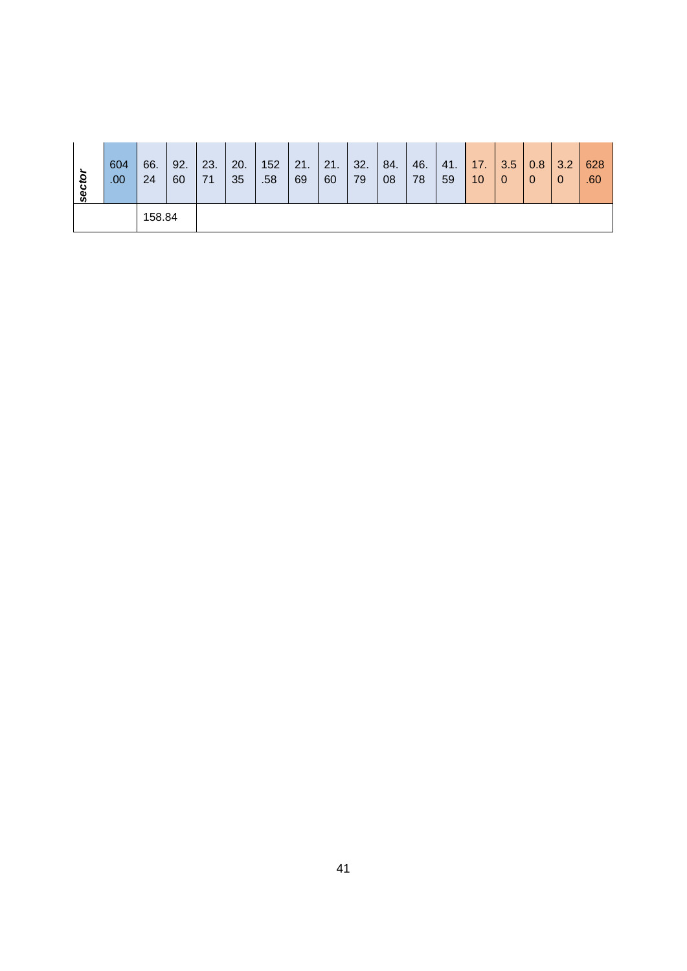| sector | 604              | 66. | 92. | 23. | 20. | 152 | 21. | 21. | 32. | 84. | 46. | 41. | <b>17.</b> | 3.5            | 0.8            | $\vert 3.2 \vert$ | 628 |
|--------|------------------|-----|-----|-----|-----|-----|-----|-----|-----|-----|-----|-----|------------|----------------|----------------|-------------------|-----|
|        | .00 <sub>1</sub> | 24  | 60  | 71  | 35  | .58 | 69  | 60  | 79  | 08  | 78  | 59  | 10         | $\overline{0}$ | $\overline{0}$ | -0                | .60 |
|        | 158.84           |     |     |     |     |     |     |     |     |     |     |     |            |                |                |                   |     |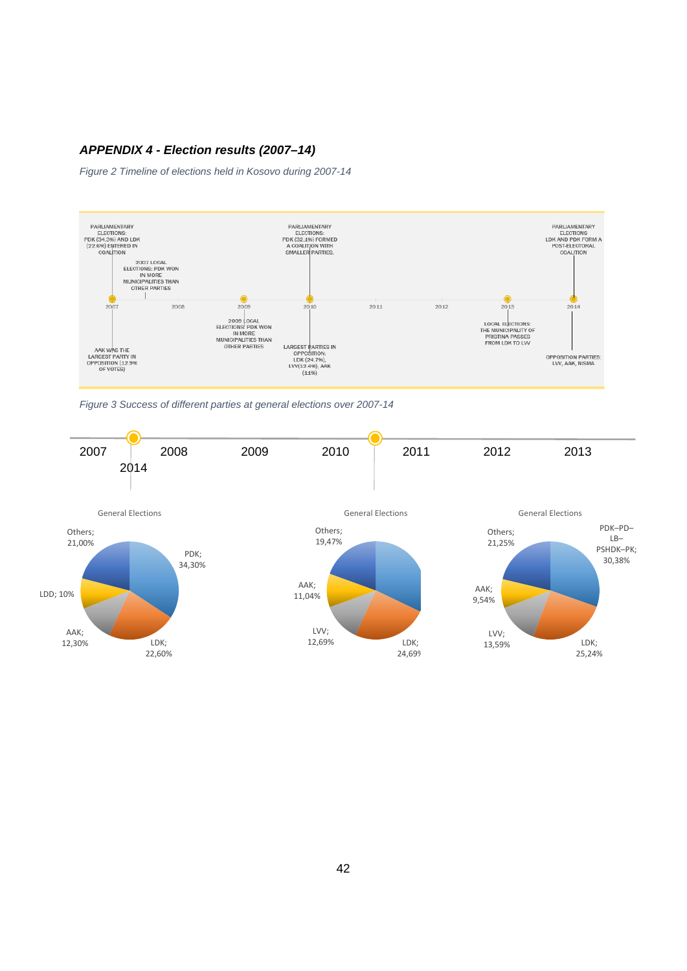#### *APPENDIX 4 - Election results (2007–14)*

*Figure 2 Timeline of elections held in Kosovo during 2007-14* 



*Figure 3 Success of different parties at general elections over 2007-14* 

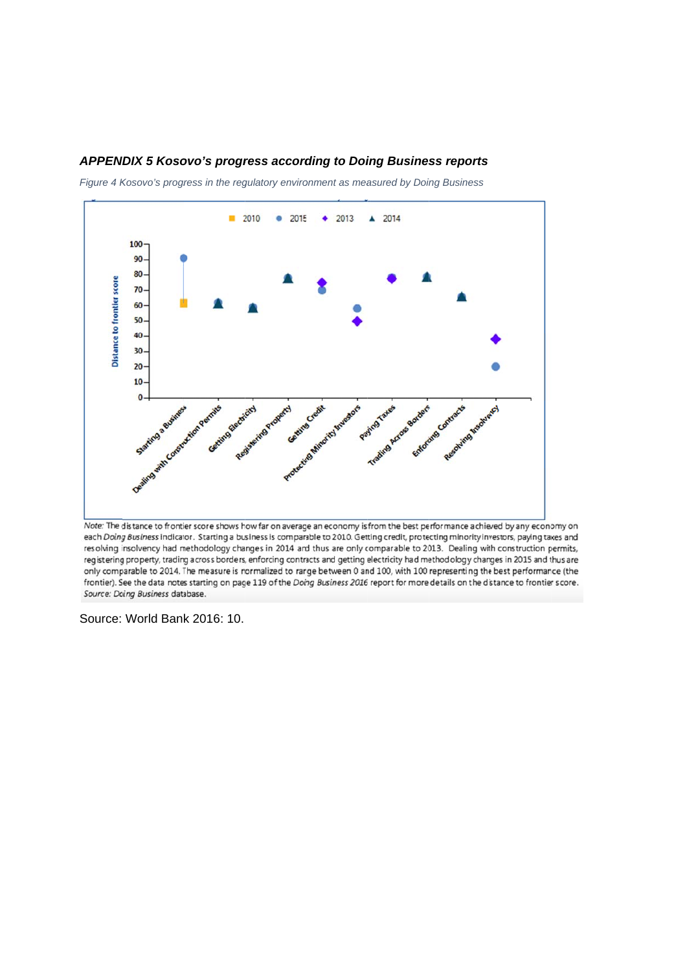#### APPENDIX 5 Kosovo's progress according to Doing Business reports

*Figure 4 Kosovo's progress in the regulatory environment as measured by Doing Business* 



Note: The distance to frontier score shows how far on average an economy isfrom the best performance achieved by any economy on each Doing Business indicator. Starting a business is comparable to 2010. Getting credit, protecting minority investors, paying taxes and resolving insolvency had methodology changes in 2014 and thus are only comparable to 2013. Dealing with construction permits, registering property, trading across borders, enforcing contracts and getting electricity had methodology changes in 2015 and thus are only comparable to 2014. The measure is normalized to range between 0 and 100, with 100 representing the best performance (the frontier). See the data notes starting on page 119 of the Doing Business 2016 report for more details on the distance to frontier score. Source: Doing Business database.

Source: World Ban k 2016: 10.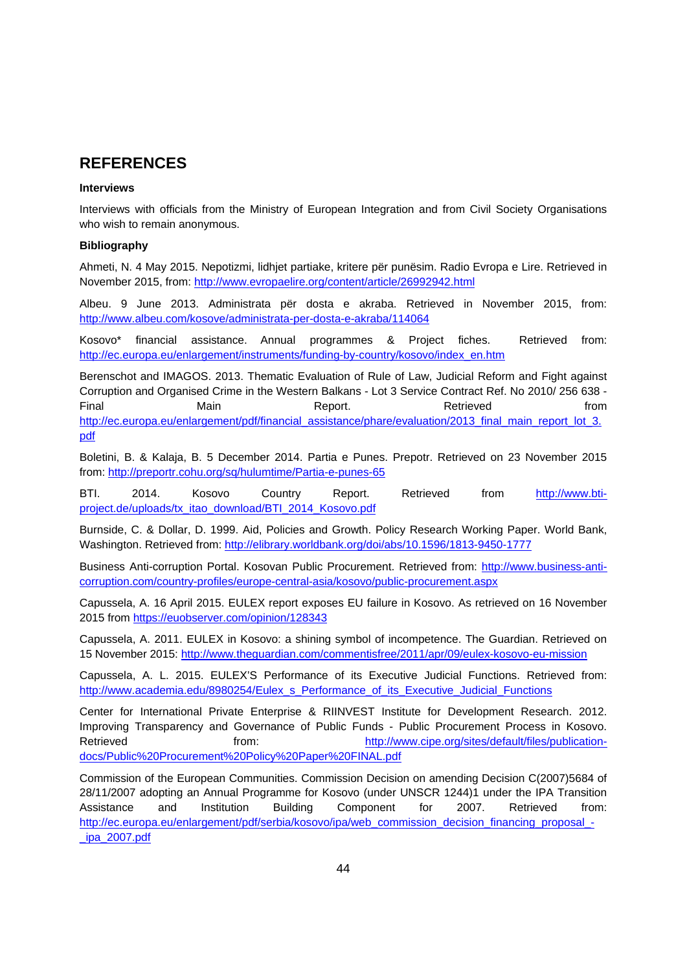### **REFERENCES**

#### **Interviews**

Interviews with officials from the Ministry of European Integration and from Civil Society Organisations who wish to remain anonymous.

#### **Bibliography**

Ahmeti, N. 4 May 2015. Nepotizmi, lidhjet partiake, kritere për punësim. Radio Evropa e Lire. Retrieved in November 2015, from: http://www.evropaelire.org/content/article/26992942.html

Albeu. 9 June 2013. Administrata për dosta e akraba. Retrieved in November 2015, from: http://www.albeu.com/kosove/administrata-per-dosta-e-akraba/114064

Kosovo\* financial assistance. Annual programmes & Project fiches. Retrieved from: http://ec.europa.eu/enlargement/instruments/funding-by-country/kosovo/index\_en.htm

Berenschot and IMAGOS. 2013. Thematic Evaluation of Rule of Law, Judicial Reform and Fight against Corruption and Organised Crime in the Western Balkans - Lot 3 Service Contract Ref. No 2010/ 256 638 - Final Main Report. Retrieved from http://ec.europa.eu/enlargement/pdf/financial\_assistance/phare/evaluation/2013\_final\_main\_report\_lot\_3. pdf

Boletini, B. & Kalaja, B. 5 December 2014. Partia e Punes. Prepotr. Retrieved on 23 November 2015 from: http://preportr.cohu.org/sq/hulumtime/Partia-e-punes-65

BTI. 2014. Kosovo Country Report. Retrieved from http://www.btiproject.de/uploads/tx\_itao\_download/BTI\_2014\_Kosovo.pdf

Burnside, C. & Dollar, D. 1999. Aid, Policies and Growth. Policy Research Working Paper. World Bank, Washington. Retrieved from: http://elibrary.worldbank.org/doi/abs/10.1596/1813-9450-1777

Business Anti-corruption Portal. Kosovan Public Procurement. Retrieved from: http://www.business-anticorruption.com/country-profiles/europe-central-asia/kosovo/public-procurement.aspx

Capussela, A. 16 April 2015. EULEX report exposes EU failure in Kosovo. As retrieved on 16 November 2015 from https://euobserver.com/opinion/128343

Capussela, A. 2011. EULEX in Kosovo: a shining symbol of incompetence. The Guardian. Retrieved on 15 November 2015: http://www.theguardian.com/commentisfree/2011/apr/09/eulex-kosovo-eu-mission

Capussela, A. L. 2015. EULEX'S Performance of its Executive Judicial Functions. Retrieved from: http://www.academia.edu/8980254/Eulex\_s\_Performance\_of\_its\_Executive\_Judicial\_Functions

Center for International Private Enterprise & RIINVEST Institute for Development Research. 2012. Improving Transparency and Governance of Public Funds - Public Procurement Process in Kosovo. Retrieved from: http://www.cipe.org/sites/default/files/publicationdocs/Public%20Procurement%20Policy%20Paper%20FINAL.pdf

Commission of the European Communities. Commission Decision on amending Decision C(2007)5684 of 28/11/2007 adopting an Annual Programme for Kosovo (under UNSCR 1244)1 under the IPA Transition Assistance and Institution Building Component for 2007. Retrieved from: http://ec.europa.eu/enlargement/pdf/serbia/kosovo/ipa/web\_commission\_decision\_financing\_proposal\_- \_ipa\_2007.pdf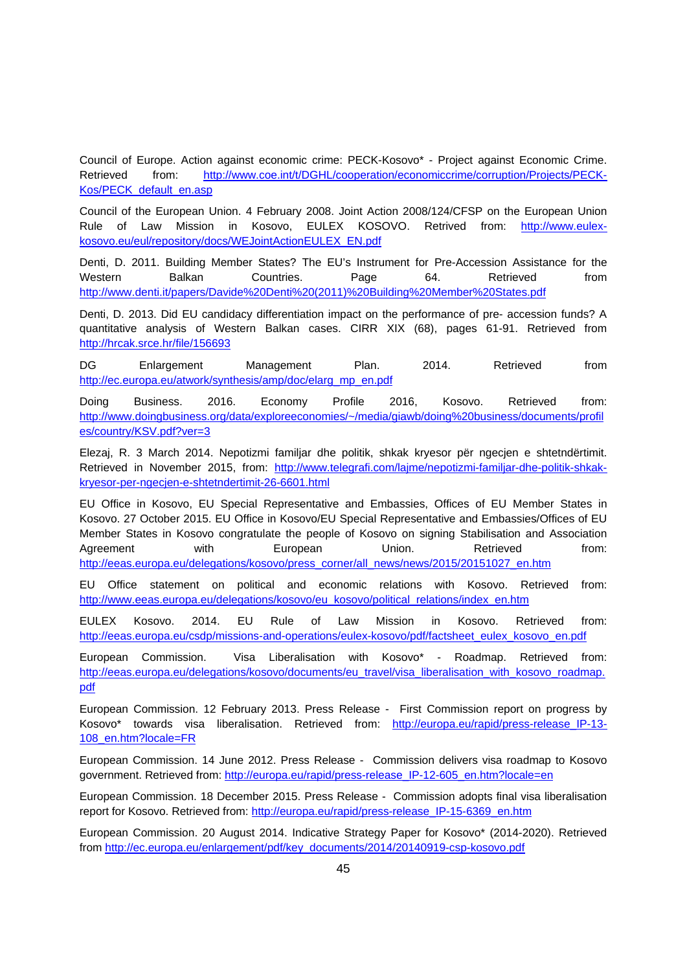Council of Europe. Action against economic crime: PECK-Kosovo\* - Project against Economic Crime. Retrieved from: http://www.coe.int/t/DGHL/cooperation/economiccrime/corruption/Projects/PECK-Kos/PECK\_default\_en.asp

Council of the European Union. 4 February 2008. Joint Action 2008/124/CFSP on the European Union Rule of Law Mission in Kosovo, EULEX KOSOVO. Retrived from: http://www.eulexkosovo.eu/eul/repository/docs/WEJointActionEULEX\_EN.pdf

Denti, D. 2011. Building Member States? The EU's Instrument for Pre-Accession Assistance for the Western Balkan Countries. Page 64. Retrieved from http://www.denti.it/papers/Davide%20Denti%20(2011)%20Building%20Member%20States.pdf

Denti, D. 2013. Did EU candidacy differentiation impact on the performance of pre- accession funds? A quantitative analysis of Western Balkan cases. CIRR XIX (68), pages 61-91. Retrieved from http://hrcak.srce.hr/file/156693

DG Enlargement Management Plan. 2014. Retrieved from http://ec.europa.eu/atwork/synthesis/amp/doc/elarg\_mp\_en.pdf

Doing Business. 2016. Economy Profile 2016, Kosovo. Retrieved from: http://www.doingbusiness.org/data/exploreeconomies/~/media/giawb/doing%20business/documents/profil es/country/KSV.pdf?ver=3

Elezaj, R. 3 March 2014. Nepotizmi familjar dhe politik, shkak kryesor për ngecjen e shtetndërtimit. Retrieved in November 2015, from: http://www.telegrafi.com/lajme/nepotizmi-familjar-dhe-politik-shkakkryesor-per-ngecjen-e-shtetndertimit-26-6601.html

EU Office in Kosovo, EU Special Representative and Embassies, Offices of EU Member States in Kosovo. 27 October 2015. EU Office in Kosovo/EU Special Representative and Embassies/Offices of EU Member States in Kosovo congratulate the people of Kosovo on signing Stabilisation and Association Agreement with European Union. Retrieved from: http://eeas.europa.eu/delegations/kosovo/press\_corner/all\_news/news/2015/20151027\_en.htm

EU Office statement on political and economic relations with Kosovo. Retrieved from: http://www.eeas.europa.eu/delegations/kosovo/eu\_kosovo/political\_relations/index\_en.htm

EULEX Kosovo. 2014. EU Rule of Law Mission in Kosovo. Retrieved from: http://eeas.europa.eu/csdp/missions-and-operations/eulex-kosovo/pdf/factsheet\_eulex\_kosovo\_en.pdf

European Commission. Visa Liberalisation with Kosovo\* - Roadmap. Retrieved from: http://eeas.europa.eu/delegations/kosovo/documents/eu\_travel/visa\_liberalisation\_with\_kosovo\_roadmap. pdf

European Commission. 12 February 2013. Press Release - First Commission report on progress by Kosovo\* towards visa liberalisation. Retrieved from: http://europa.eu/rapid/press-release\_IP-13-108\_en.htm?locale=FR

European Commission. 14 June 2012. Press Release - Commission delivers visa roadmap to Kosovo government. Retrieved from: http://europa.eu/rapid/press-release\_IP-12-605\_en.htm?locale=en

European Commission. 18 December 2015. Press Release - Commission adopts final visa liberalisation report for Kosovo. Retrieved from: http://europa.eu/rapid/press-release IP-15-6369\_en.htm

European Commission. 20 August 2014. Indicative Strategy Paper for Kosovo\* (2014-2020). Retrieved from http://ec.europa.eu/enlargement/pdf/key\_documents/2014/20140919-csp-kosovo.pdf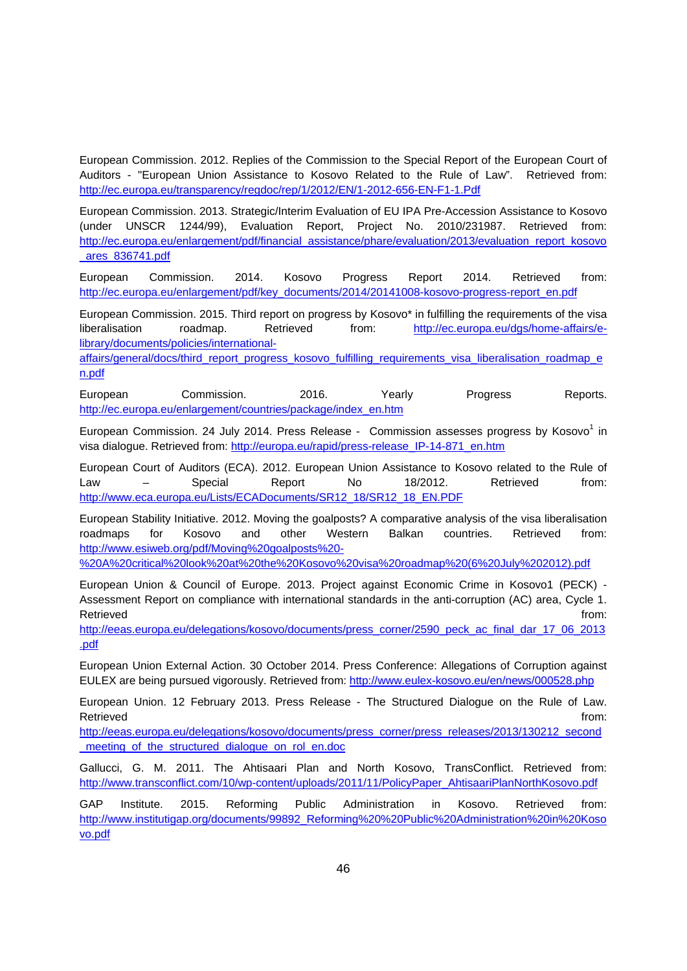European Commission. 2012. Replies of the Commission to the Special Report of the European Court of Auditors - "European Union Assistance to Kosovo Related to the Rule of Law". Retrieved from: http://ec.europa.eu/transparency/regdoc/rep/1/2012/EN/1-2012-656-EN-F1-1.Pdf

European Commission. 2013. Strategic/Interim Evaluation of EU IPA Pre-Accession Assistance to Kosovo (under UNSCR 1244/99), Evaluation Report, Project No. 2010/231987. Retrieved from: http://ec.europa.eu/enlargement/pdf/financial\_assistance/phare/evaluation/2013/evaluation\_report\_kosovo \_ares\_836741.pdf

European Commission. 2014. Kosovo Progress Report 2014. Retrieved from: http://ec.europa.eu/enlargement/pdf/key\_documents/2014/20141008-kosovo-progress-report\_en.pdf

European Commission. 2015. Third report on progress by Kosovo\* in fulfilling the requirements of the visa liberalisation roadmap. Retrieved from: http://ec.europa.eu/dgs/home-affairs/elibrary/documents/policies/international-

affairs/general/docs/third\_report\_progress\_kosovo\_fulfilling\_requirements\_visa\_liberalisation\_roadmap\_e n.pdf

European Commission. 2016. Yearly Progress Reports. http://ec.europa.eu/enlargement/countries/package/index\_en.htm

European Commission. 24 July 2014. Press Release - Commission assesses progress by Kosovo<sup>1</sup> in visa dialogue. Retrieved from: http://europa.eu/rapid/press-release\_IP-14-871\_en.htm

European Court of Auditors (ECA). 2012. European Union Assistance to Kosovo related to the Rule of Law – Special Report No 18/2012. Retrieved from: http://www.eca.europa.eu/Lists/ECADocuments/SR12\_18/SR12\_18\_EN.PDF

European Stability Initiative. 2012. Moving the goalposts? A comparative analysis of the visa liberalisation roadmaps for Kosovo and other Western Balkan countries. Retrieved from: http://www.esiweb.org/pdf/Moving%20goalposts%20-

%20A%20critical%20look%20at%20the%20Kosovo%20visa%20roadmap%20(6%20July%202012).pdf

European Union & Council of Europe. 2013. Project against Economic Crime in Kosovo1 (PECK) - Assessment Report on compliance with international standards in the anti-corruption (AC) area, Cycle 1. Retrieved **from:** The contract of the contract of the contract of the contract of the contract of the contract of the contract of the contract of the contract of the contract of the contract of the contract of the contract

http://eeas.europa.eu/delegations/kosovo/documents/press\_corner/2590\_peck\_ac\_final\_dar\_17\_06\_2013 .pdf

European Union External Action. 30 October 2014. Press Conference: Allegations of Corruption against EULEX are being pursued vigorously. Retrieved from: http://www.eulex-kosovo.eu/en/news/000528.php

European Union. 12 February 2013. Press Release - The Structured Dialogue on the Rule of Law. Retrieved **from:** the contract of the contract of the contract of the contract of the contract of the contract of the contract of the contract of the contract of the contract of the contract of the contract of the contract

http://eeas.europa.eu/delegations/kosovo/documents/press\_corner/press\_releases/2013/130212\_second \_meeting\_of\_the\_structured\_dialogue\_on\_rol\_en.doc

Gallucci, G. M. 2011. The Ahtisaari Plan and North Kosovo, TransConflict. Retrieved from: http://www.transconflict.com/10/wp-content/uploads/2011/11/PolicyPaper\_AhtisaariPlanNorthKosovo.pdf

GAP Institute. 2015. Reforming Public Administration in Kosovo. Retrieved from: http://www.institutigap.org/documents/99892\_Reforming%20%20Public%20Administration%20in%20Koso vo.pdf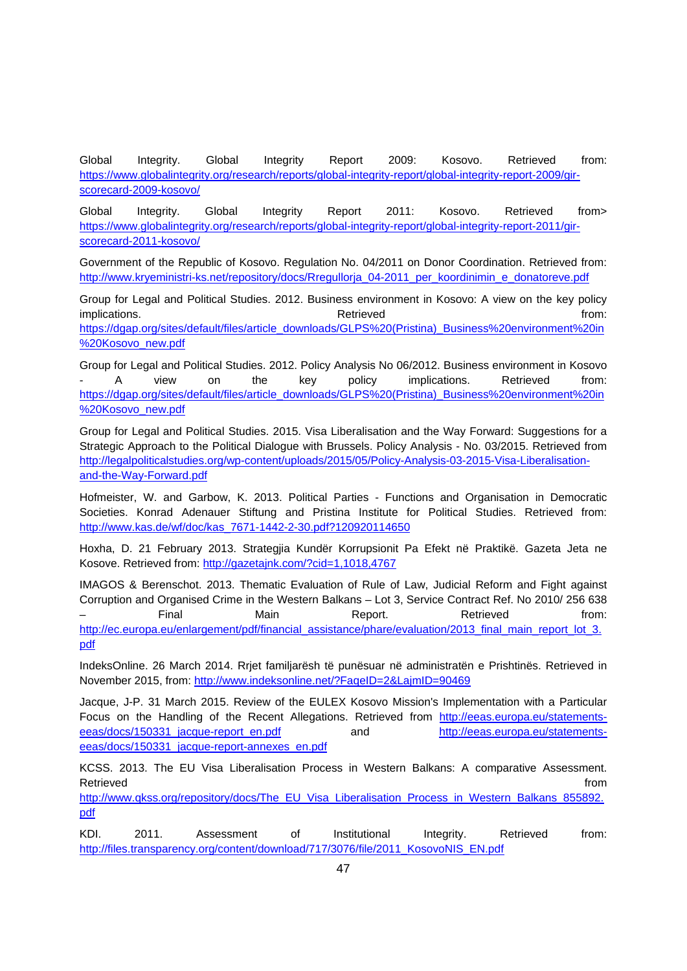Global Integrity. Global Integrity Report 2009: Kosovo. Retrieved from: https://www.globalintegrity.org/research/reports/global-integrity-report/global-integrity-report-2009/girscorecard-2009-kosovo/

Global Integrity. Global Integrity Report 2011: Kosovo. Retrieved from> https://www.globalintegrity.org/research/reports/global-integrity-report/global-integrity-report-2011/girscorecard-2011-kosovo/

Government of the Republic of Kosovo. Regulation No. 04/2011 on Donor Coordination. Retrieved from: http://www.kryeministri-ks.net/repository/docs/Rregullorja\_04-2011\_per\_koordinimin\_e\_donatoreve.pdf

Group for Legal and Political Studies. 2012. Business environment in Kosovo: A view on the key policy implications. The contractions of the contractions of the Retrieved contractions of the contractions of the contractions of the contractions of the contractions of the contractions of the contractions of the contractions o https://dgap.org/sites/default/files/article\_downloads/GLPS%20(Pristina)\_Business%20environment%20in %20Kosovo\_new.pdf

Group for Legal and Political Studies. 2012. Policy Analysis No 06/2012. Business environment in Kosovo A view on the key policy implications. Retrieved from: https://dgap.org/sites/default/files/article\_downloads/GLPS%20(Pristina)\_Business%20environment%20in %20Kosovo\_new.pdf

Group for Legal and Political Studies. 2015. Visa Liberalisation and the Way Forward: Suggestions for a Strategic Approach to the Political Dialogue with Brussels. Policy Analysis - No. 03/2015. Retrieved from http://legalpoliticalstudies.org/wp-content/uploads/2015/05/Policy-Analysis-03-2015-Visa-Liberalisationand-the-Way-Forward.pdf

Hofmeister, W. and Garbow, K. 2013. Political Parties - Functions and Organisation in Democratic Societies. Konrad Adenauer Stiftung and Pristina Institute for Political Studies. Retrieved from: http://www.kas.de/wf/doc/kas\_7671-1442-2-30.pdf?120920114650

Hoxha, D. 21 February 2013. Strategjia Kundër Korrupsionit Pa Efekt në Praktikë. Gazeta Jeta ne Kosove. Retrieved from: http://gazetajnk.com/?cid=1,1018,4767

IMAGOS & Berenschot. 2013. Thematic Evaluation of Rule of Law, Judicial Reform and Fight against Corruption and Organised Crime in the Western Balkans – Lot 3, Service Contract Ref. No 2010/ 256 638 – Final Main Report. Retrieved from: http://ec.europa.eu/enlargement/pdf/financial\_assistance/phare/evaluation/2013\_final\_main\_report\_lot\_3. pdf

IndeksOnline. 26 March 2014. Rrjet familjarësh të punësuar në administratën e Prishtinës. Retrieved in November 2015, from: http://www.indeksonline.net/?FaqeID=2&LajmID=90469

Jacque, J-P. 31 March 2015. Review of the EULEX Kosovo Mission's Implementation with a Particular Focus on the Handling of the Recent Allegations. Retrieved from http://eeas.europa.eu/statementseeas/docs/150331\_jacque-report\_en.pdf and http://eeas.europa.eu/statementseeas/docs/150331\_jacque-report-annexes\_en.pdf

KCSS. 2013. The EU Visa Liberalisation Process in Western Balkans: A comparative Assessment. Retrieved **from the set of the set of the set of the set of the set of the set of the set of the set of the set of the set of the set of the set of the set of the set of the set of the set of the set of the set of the set** 

http://www.qkss.org/repository/docs/The\_EU\_Visa\_Liberalisation\_Process\_in\_Western\_Balkans\_855892. pdf

KDI. 2011. Assessment of Institutional Integrity. Retrieved from: http://files.transparency.org/content/download/717/3076/file/2011\_KosovoNIS\_EN.pdf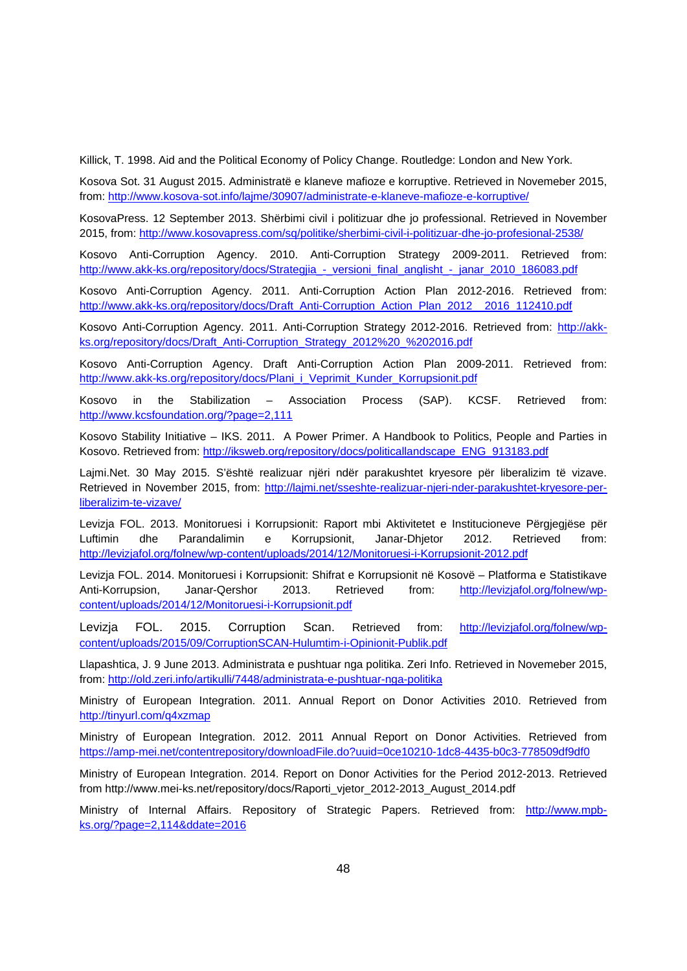Killick, T. 1998. Aid and the Political Economy of Policy Change. Routledge: London and New York.

Kosova Sot. 31 August 2015. Administratë e klaneve mafioze e korruptive. Retrieved in Novemeber 2015, from: http://www.kosova-sot.info/lajme/30907/administrate-e-klaneve-mafioze-e-korruptive/

KosovaPress. 12 September 2013. Shërbimi civil i politizuar dhe jo professional. Retrieved in November 2015, from: http://www.kosovapress.com/sq/politike/sherbimi-civil-i-politizuar-dhe-jo-profesional-2538/

Kosovo Anti-Corruption Agency. 2010. Anti-Corruption Strategy 2009-2011. Retrieved from: http://www.akk-ks.org/repository/docs/Strategjia\_-\_versioni\_final\_anglisht\_-\_janar\_2010\_186083.pdf

Kosovo Anti-Corruption Agency. 2011. Anti-Corruption Action Plan 2012-2016. Retrieved from: http://www.akk-ks.org/repository/docs/Draft\_Anti-Corruption\_Action\_Plan\_2012\_\_2016\_112410.pdf

Kosovo Anti-Corruption Agency. 2011. Anti-Corruption Strategy 2012-2016. Retrieved from: http://akkks.org/repository/docs/Draft\_Anti-Corruption\_Strategy\_2012%20\_%202016.pdf

Kosovo Anti-Corruption Agency. Draft Anti-Corruption Action Plan 2009-2011. Retrieved from: http://www.akk-ks.org/repository/docs/Plani\_i\_Veprimit\_Kunder\_Korrupsionit.pdf

Kosovo in the Stabilization – Association Process (SAP). KCSF. Retrieved from: http://www.kcsfoundation.org/?page=2,111

Kosovo Stability Initiative – IKS. 2011. A Power Primer. A Handbook to Politics, People and Parties in Kosovo. Retrieved from: http://iksweb.org/repository/docs/politicallandscape\_ENG\_913183.pdf

Lajmi.Net. 30 May 2015. S'është realizuar njëri ndër parakushtet kryesore për liberalizim të vizave. Retrieved in November 2015, from: http://lajmi.net/sseshte-realizuar-njeri-nder-parakushtet-kryesore-perliberalizim-te-vizave/

Levizja FOL. 2013. Monitoruesi i Korrupsionit: Raport mbi Aktivitetet e Institucioneve Përgjegjëse për Luftimin dhe Parandalimin e Korrupsionit, Janar-Dhjetor 2012. Retrieved from: http://levizjafol.org/folnew/wp-content/uploads/2014/12/Monitoruesi-i-Korrupsionit-2012.pdf

Levizja FOL. 2014. Monitoruesi i Korrupsionit: Shifrat e Korrupsionit në Kosovë – Platforma e Statistikave Anti-Korrupsion, Janar-Qershor 2013. Retrieved from: http://levizjafol.org/folnew/wpcontent/uploads/2014/12/Monitoruesi-i-Korrupsionit.pdf

Levizja FOL. 2015. Corruption Scan. Retrieved from: http://levizjafol.org/folnew/wpcontent/uploads/2015/09/CorruptionSCAN-Hulumtim-i-Opinionit-Publik.pdf

Llapashtica, J. 9 June 2013. Administrata e pushtuar nga politika. Zeri Info. Retrieved in Novemeber 2015, from: http://old.zeri.info/artikulli/7448/administrata-e-pushtuar-nga-politika

Ministry of European Integration. 2011. Annual Report on Donor Activities 2010. Retrieved from http://tinyurl.com/q4xzmap

Ministry of European Integration. 2012. 2011 Annual Report on Donor Activities. Retrieved from https://amp-mei.net/contentrepository/downloadFile.do?uuid=0ce10210-1dc8-4435-b0c3-778509df9df0

Ministry of European Integration. 2014. Report on Donor Activities for the Period 2012-2013. Retrieved from http://www.mei-ks.net/repository/docs/Raporti\_vjetor\_2012-2013\_August\_2014.pdf

Ministry of Internal Affairs. Repository of Strategic Papers. Retrieved from: http://www.mpbks.org/?page=2,114&ddate=2016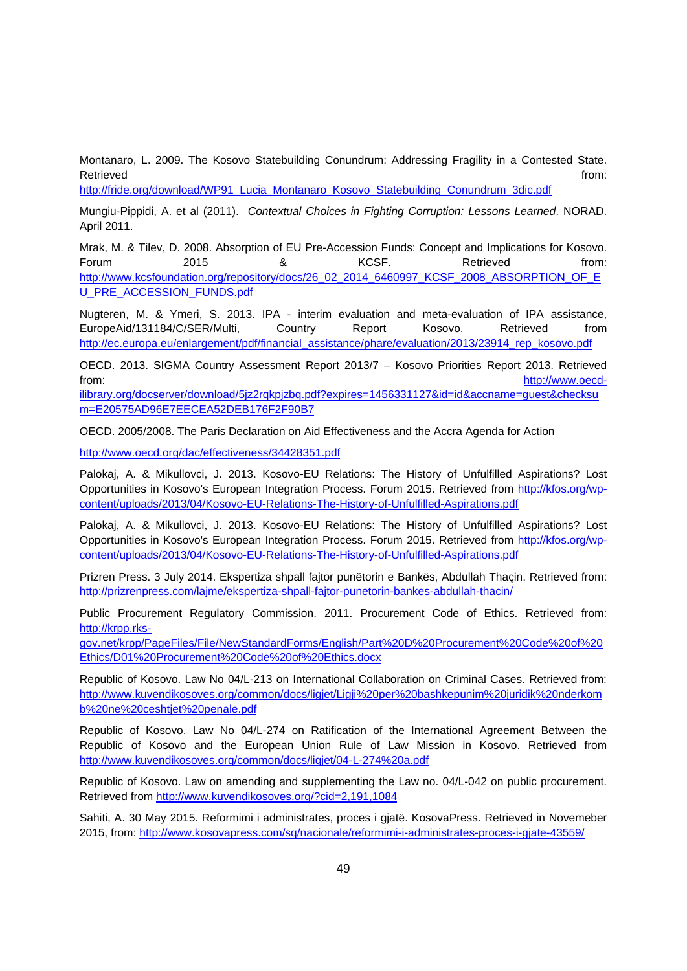Montanaro, L. 2009. The Kosovo Statebuilding Conundrum: Addressing Fragility in a Contested State. Retrieved **from:** the contract of the contract of the contract of the contract of the contract of the contract of the contract of the contract of the contract of the contract of the contract of the contract of the contract

http://fride.org/download/WP91\_Lucia\_Montanaro\_Kosovo\_Statebuilding\_Conundrum\_3dic.pdf

Mungiu-Pippidi, A. et al (2011). *Contextual Choices in Fighting Corruption: Lessons Learned*. NORAD. April 2011.

Mrak, M. & Tilev, D. 2008. Absorption of EU Pre-Accession Funds: Concept and Implications for Kosovo. Forum 2015 & KCSF. Retrieved from: http://www.kcsfoundation.org/repository/docs/26\_02\_2014\_6460997\_KCSF\_2008\_ABSORPTION\_OF\_E U\_PRE\_ACCESSION\_FUNDS.pdf

Nugteren, M. & Ymeri, S. 2013. IPA - interim evaluation and meta-evaluation of IPA assistance, EuropeAid/131184/C/SER/Multi, Country Report Kosovo. Retrieved from http://ec.europa.eu/enlargement/pdf/financial\_assistance/phare/evaluation/2013/23914\_rep\_kosovo.pdf

OECD. 2013. SIGMA Country Assessment Report 2013/7 – Kosovo Priorities Report 2013. Retrieved from: http://www.oecd-

ilibrary.org/docserver/download/5jz2rqkpjzbq.pdf?expires=1456331127&id=id&accname=guest&checksu m=E20575AD96E7EECEA52DEB176F2F90B7

OECD. 2005/2008. The Paris Declaration on Aid Effectiveness and the Accra Agenda for Action

http://www.oecd.org/dac/effectiveness/34428351.pdf

Palokaj, A. & Mikullovci, J. 2013. Kosovo-EU Relations: The History of Unfulfilled Aspirations? Lost Opportunities in Kosovo's European Integration Process. Forum 2015. Retrieved from http://kfos.org/wpcontent/uploads/2013/04/Kosovo-EU-Relations-The-History-of-Unfulfilled-Aspirations.pdf

Palokaj, A. & Mikullovci, J. 2013. Kosovo-EU Relations: The History of Unfulfilled Aspirations? Lost Opportunities in Kosovo's European Integration Process. Forum 2015. Retrieved from http://kfos.org/wpcontent/uploads/2013/04/Kosovo-EU-Relations-The-History-of-Unfulfilled-Aspirations.pdf

Prizren Press. 3 July 2014. Ekspertiza shpall fajtor punëtorin e Bankës, Abdullah Thaçin. Retrieved from: http://prizrenpress.com/lajme/ekspertiza-shpall-fajtor-punetorin-bankes-abdullah-thacin/

Public Procurement Regulatory Commission. 2011. Procurement Code of Ethics. Retrieved from: http://krpp.rks-

gov.net/krpp/PageFiles/File/NewStandardForms/English/Part%20D%20Procurement%20Code%20of%20 Ethics/D01%20Procurement%20Code%20of%20Ethics.docx

Republic of Kosovo. Law No 04/L-213 on International Collaboration on Criminal Cases. Retrieved from: http://www.kuvendikosoves.org/common/docs/ligjet/Ligji%20per%20bashkepunim%20juridik%20nderkom b%20ne%20ceshtjet%20penale.pdf

Republic of Kosovo. Law No 04/L-274 on Ratification of the International Agreement Between the Republic of Kosovo and the European Union Rule of Law Mission in Kosovo. Retrieved from http://www.kuvendikosoves.org/common/docs/ligjet/04-L-274%20a.pdf

Republic of Kosovo. Law on amending and supplementing the Law no. 04/L-042 on public procurement. Retrieved from http://www.kuvendikosoves.org/?cid=2,191,1084

Sahiti, A. 30 May 2015. Reformimi i administrates, proces i gjatë. KosovaPress. Retrieved in Novemeber 2015, from: http://www.kosovapress.com/sq/nacionale/reformimi-i-administrates-proces-i-gjate-43559/